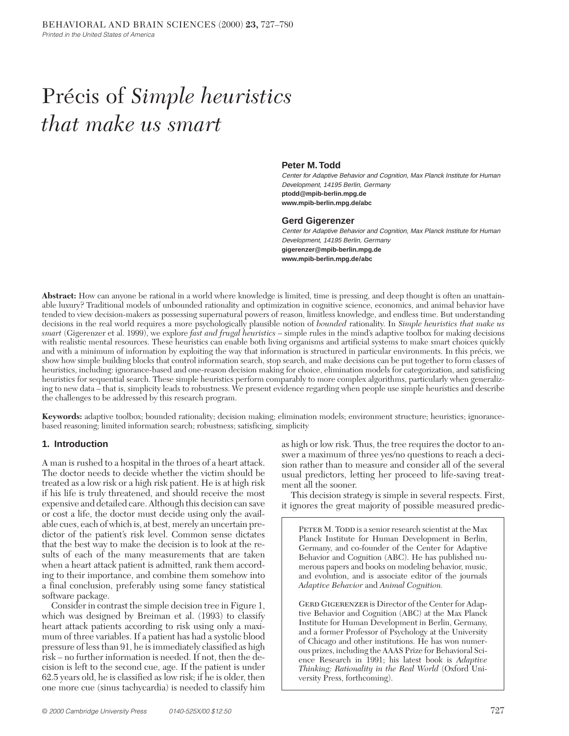# Précis of *Simple heuristics that make us smart*

## **Peter M.Todd**

Center for Adaptive Behavior and Cognition, Max Planck Institute for Human Development, 14195 Berlin, Germany **ptodd@mpib-berlin.mpg.de www.mpib-berlin.mpg.de/abc**

#### **Gerd Gigerenzer**

Center for Adaptive Behavior and Cognition, Max Planck Institute for Human Development, 14195 Berlin, Germany **gigerenzer@mpib-berlin.mpg.de www.mpib-berlin.mpg.de/abc**

**Abstract:** How can anyone be rational in a world where knowledge is limited, time is pressing, and deep thought is often an unattainable luxury? Traditional models of unbounded rationality and optimization in cognitive science, economics, and animal behavior have tended to view decision-makers as possessing supernatural powers of reason, limitless knowledge, and endless time. But understanding decisions in the real world requires a more psychologically plausible notion of *bounded* rationality. In *Simple heuristics that make us smart* (Gigerenzer et al. 1999), we explore *fast and frugal heuristics –* simple rules in the mind's adaptive toolbox for making decisions with realistic mental resources. These heuristics can enable both living organisms and artificial systems to make smart choices quickly and with a minimum of information by exploiting the way that information is structured in particular environments. In this précis, we show how simple building blocks that control information search, stop search, and make decisions can be put together to form classes of heuristics, including: ignorance-based and one-reason decision making for choice, elimination models for categorization, and satisficing heuristics for sequential search. These simple heuristics perform comparably to more complex algorithms, particularly when generalizing to new data – that is, simplicity leads to robustness. We present evidence regarding when people use simple heuristics and describe the challenges to be addressed by this research program.

**Keywords:** adaptive toolbox; bounded rationality; decision making; elimination models; environment structure; heuristics; ignorancebased reasoning; limited information search; robustness; satisficing, simplicity

## **1. Introduction**

A man is rushed to a hospital in the throes of a heart attack. The doctor needs to decide whether the victim should be treated as a low risk or a high risk patient. He is at high risk if his life is truly threatened, and should receive the most expensive and detailed care. Although this decision can save or cost a life, the doctor must decide using only the available cues, each of which is, at best, merely an uncertain predictor of the patient's risk level. Common sense dictates that the best way to make the decision is to look at the results of each of the many measurements that are taken when a heart attack patient is admitted, rank them according to their importance, and combine them somehow into a final conclusion, preferably using some fancy statistical software package.

Consider in contrast the simple decision tree in Figure 1, which was designed by Breiman et al. (1993) to classify heart attack patients according to risk using only a maximum of three variables. If a patient has had a systolic blood pressure of less than 91, he is immediately classified as high risk – no further information is needed. If not, then the decision is left to the second cue, age. If the patient is under 62.5 years old, he is classified as low risk; if he is older, then one more cue (sinus tachycardia) is needed to classify him

as high or low risk. Thus, the tree requires the doctor to answer a maximum of three yes/no questions to reach a decision rather than to measure and consider all of the several usual predictors, letting her proceed to life-saving treatment all the sooner.

This decision strategy is simple in several respects. First, it ignores the great majority of possible measured predic-

PETER M. TODD is a senior research scientist at the Max Planck Institute for Human Development in Berlin, Germany, and co-founder of the Center for Adaptive Behavior and Cognition (ABC). He has published numerous papers and books on modeling behavior, music, and evolution, and is associate editor of the journals *Adaptive Behavior* and *Animal Cognition.*

GERD GIGERENZER is Director of the Center for Adaptive Behavior and Cognition (ABC) at the Max Planck Institute for Human Development in Berlin, Germany, and a former Professor of Psychology at the University of Chicago and other institutions. He has won numerous prizes, including the AAAS Prize for Behavioral Science Research in 1991; his latest book is *Adaptive Thinking: Rationality in the Real World* (Oxford University Press, forthcoming).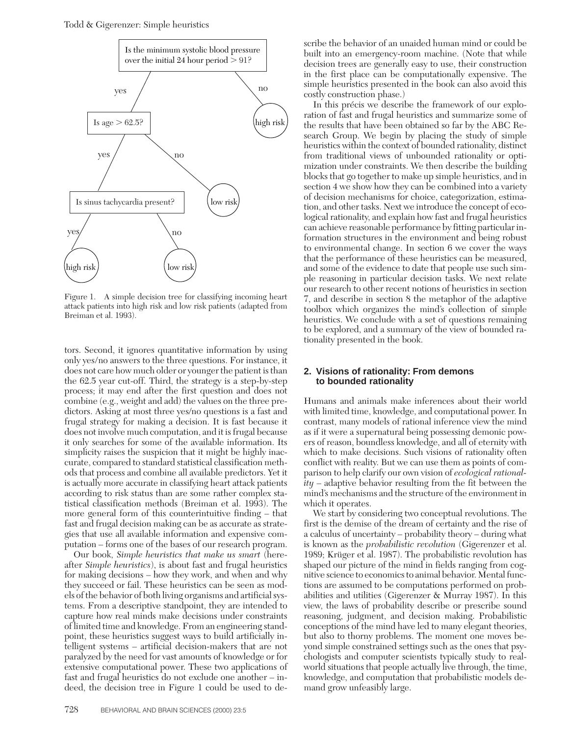

Figure 1. A simple decision tree for classifying incoming heart attack patients into high risk and low risk patients (adapted from Breiman et al. 1993).

tors. Second, it ignores quantitative information by using only yes/no answers to the three questions. For instance, it does not care how much older or younger the patient is than the 62.5 year cut-off. Third, the strategy is a step-by-step process; it may end after the first question and does not combine (e.g., weight and add) the values on the three predictors. Asking at most three yes/no questions is a fast and frugal strategy for making a decision. It is fast because it does not involve much computation, and it is frugal because it only searches for some of the available information. Its simplicity raises the suspicion that it might be highly inaccurate, compared to standard statistical classification methods that process and combine all available predictors. Yet it is actually more accurate in classifying heart attack patients according to risk status than are some rather complex statistical classification methods (Breiman et al. 1993). The more general form of this counterintuitive finding – that fast and frugal decision making can be as accurate as strategies that use all available information and expensive computation – forms one of the bases of our research program.

Our book, *Simple heuristics that make us smart* (hereafter *Simple heuristics*), is about fast and frugal heuristics for making decisions – how they work, and when and why they succeed or fail. These heuristics can be seen as models of the behavior of both living organisms and artificial systems. From a descriptive standpoint, they are intended to capture how real minds make decisions under constraints of limited time and knowledge. From an engineering standpoint, these heuristics suggest ways to build artificially intelligent systems – artificial decision-makers that are not paralyzed by the need for vast amounts of knowledge or for extensive computational power. These two applications of fast and frugal heuristics do not exclude one another – indeed, the decision tree in Figure 1 could be used to de-

scribe the behavior of an unaided human mind or could be built into an emergency-room machine. (Note that while decision trees are generally easy to use, their construction in the first place can be computationally expensive. The simple heuristics presented in the book can also avoid this costly construction phase.)

In this précis we describe the framework of our exploration of fast and frugal heuristics and summarize some of the results that have been obtained so far by the ABC Research Group. We begin by placing the study of simple heuristics within the context of bounded rationality, distinct from traditional views of unbounded rationality or optimization under constraints. We then describe the building blocks that go together to make up simple heuristics, and in section 4 we show how they can be combined into a variety of decision mechanisms for choice, categorization, estimation, and other tasks. Next we introduce the concept of ecological rationality, and explain how fast and frugal heuristics can achieve reasonable performance by fitting particular information structures in the environment and being robust to environmental change. In section 6 we cover the ways that the performance of these heuristics can be measured, and some of the evidence to date that people use such simple reasoning in particular decision tasks. We next relate our research to other recent notions of heuristics in section 7, and describe in section 8 the metaphor of the adaptive toolbox which organizes the mind's collection of simple heuristics. We conclude with a set of questions remaining to be explored, and a summary of the view of bounded rationality presented in the book.

## **2. Visions of rationality: From demons to bounded rationality**

Humans and animals make inferences about their world with limited time, knowledge, and computational power. In contrast, many models of rational inference view the mind as if it were a supernatural being possessing demonic powers of reason, boundless knowledge, and all of eternity with which to make decisions. Such visions of rationality often conflict with reality. But we can use them as points of comparison to help clarify our own vision of *ecological rationality* – adaptive behavior resulting from the fit between the mind's mechanisms and the structure of the environment in which it operates.

We start by considering two conceptual revolutions. The first is the demise of the dream of certainty and the rise of a calculus of uncertainty – probability theory – during what is known as the *probabilistic revolution* (Gigerenzer et al. 1989; Krüger et al. 1987). The probabilistic revolution has shaped our picture of the mind in fields ranging from cognitive science to economics to animal behavior. Mental functions are assumed to be computations performed on probabilities and utilities (Gigerenzer & Murray 1987). In this view, the laws of probability describe or prescribe sound reasoning, judgment, and decision making. Probabilistic conceptions of the mind have led to many elegant theories, but also to thorny problems. The moment one moves beyond simple constrained settings such as the ones that psychologists and computer scientists typically study to realworld situations that people actually live through, the time, knowledge, and computation that probabilistic models demand grow unfeasibly large.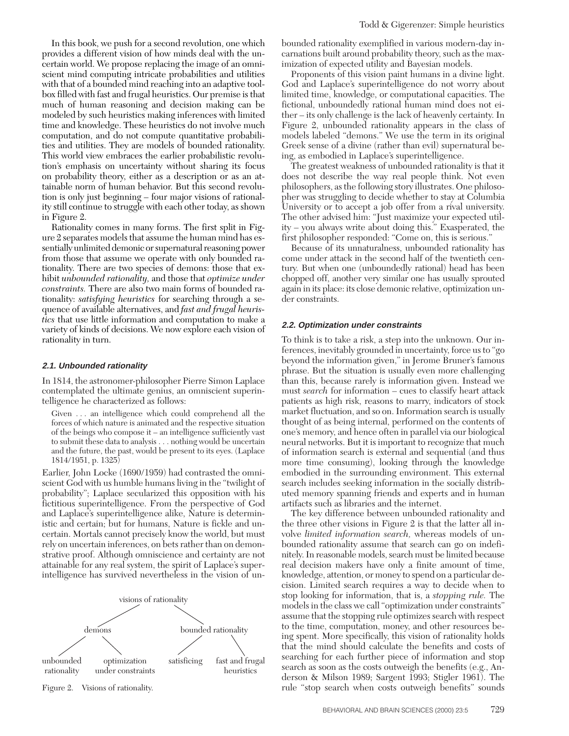In this book, we push for a second revolution, one which provides a different vision of how minds deal with the uncertain world. We propose replacing the image of an omniscient mind computing intricate probabilities and utilities with that of a bounded mind reaching into an adaptive toolbox filled with fast and frugal heuristics. Our premise is that much of human reasoning and decision making can be modeled by such heuristics making inferences with limited time and knowledge. These heuristics do not involve much computation, and do not compute quantitative probabilities and utilities. They are models of bounded rationality. This world view embraces the earlier probabilistic revolution's emphasis on uncertainty without sharing its focus on probability theory, either as a description or as an attainable norm of human behavior. But this second revolution is only just beginning – four major visions of rationality still continue to struggle with each other today, as shown in Figure 2.

Rationality comes in many forms. The first split in Figure 2 separates models that assume the human mind has essentially unlimited demonic or supernatural reasoning power from those that assume we operate with only bounded rationality. There are two species of demons: those that exhibit *unbounded rationality,* and those that *optimize under constraints.* There are also two main forms of bounded rationality: *satisfying heuristics* for searching through a sequence of available alternatives, and *fast and frugal heuristics* that use little information and computation to make a variety of kinds of decisions. We now explore each vision of rationality in turn.

#### **2.1. Unbounded rationality**

In 1814, the astronomer-philosopher Pierre Simon Laplace contemplated the ultimate genius, an omniscient superintelligence he characterized as follows:

Given . . . an intelligence which could comprehend all the forces of which nature is animated and the respective situation of the beings who compose it – an intelligence sufficiently vast to submit these data to analysis . . . nothing would be uncertain and the future, the past, would be present to its eyes. (Laplace 1814/1951, p. 1325)

Earlier, John Locke (1690/1959) had contrasted the omniscient God with us humble humans living in the "twilight of probability"; Laplace secularized this opposition with his fictitious superintelligence. From the perspective of God and Laplace's superintelligence alike, Nature is deterministic and certain; but for humans, Nature is fickle and uncertain. Mortals cannot precisely know the world, but must rely on uncertain inferences, on bets rather than on demonstrative proof. Although omniscience and certainty are not attainable for any real system, the spirit of Laplace's superintelligence has survived nevertheless in the vision of un-



Figure 2. Visions of rationality.

bounded rationality exemplified in various modern-day incarnations built around probability theory, such as the maximization of expected utility and Bayesian models.

Proponents of this vision paint humans in a divine light. God and Laplace's superintelligence do not worry about limited time, knowledge, or computational capacities. The fictional, unboundedly rational human mind does not either – its only challenge is the lack of heavenly certainty. In Figure 2, unbounded rationality appears in the class of models labeled "demons." We use the term in its original Greek sense of a divine (rather than evil) supernatural being, as embodied in Laplace's superintelligence.

The greatest weakness of unbounded rationality is that it does not describe the way real people think. Not even philosophers, as the following story illustrates. One philosopher was struggling to decide whether to stay at Columbia University or to accept a job offer from a rival university. The other advised him: "Just maximize your expected utility – you always write about doing this." Exasperated, the first philosopher responded: "Come on, this is serious."

Because of its unnaturalness, unbounded rationality has come under attack in the second half of the twentieth century. But when one (unboundedly rational) head has been chopped off, another very similar one has usually sprouted again in its place: its close demonic relative, optimization under constraints.

#### **2.2. Optimization under constraints**

To think is to take a risk, a step into the unknown. Our inferences, inevitably grounded in uncertainty, force us to "go beyond the information given," in Jerome Bruner's famous phrase. But the situation is usually even more challenging than this, because rarely is information given. Instead we must *search* for information – cues to classify heart attack patients as high risk, reasons to marry, indicators of stock market fluctuation, and so on. Information search is usually thought of as being internal, performed on the contents of one's memory, and hence often in parallel via our biological neural networks. But it is important to recognize that much of information search is external and sequential (and thus more time consuming), looking through the knowledge embodied in the surrounding environment. This external search includes seeking information in the socially distributed memory spanning friends and experts and in human artifacts such as libraries and the internet.

The key difference between unbounded rationality and the three other visions in Figure 2 is that the latter all involve *limited information search,* whereas models of unbounded rationality assume that search can go on indefinitely. In reasonable models, search must be limited because real decision makers have only a finite amount of time, knowledge, attention, or money to spend on a particular decision. Limited search requires a way to decide when to stop looking for information, that is, a *stopping rule.* The models in the class we call "optimization under constraints" assume that the stopping rule optimizes search with respect to the time, computation, money, and other resources being spent. More specifically, this vision of rationality holds that the mind should calculate the benefits and costs of searching for each further piece of information and stop search as soon as the costs outweigh the benefits (e.g., Anderson & Milson 1989; Sargent 1993; Stigler 1961). The rule "stop search when costs outweigh benefits" sounds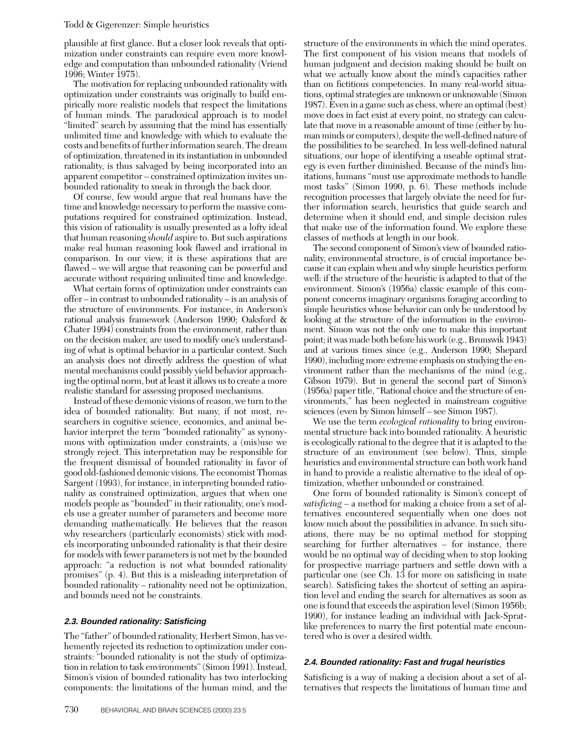plausible at first glance. But a closer look reveals that optimization under constraints can require even more knowledge and computation than unbounded rationality (Vriend 1996; Winter 1975).

The motivation for replacing unbounded rationality with optimization under constraints was originally to build empirically more realistic models that respect the limitations of human minds. The paradoxical approach is to model "limited" search by assuming that the mind has essentially unlimited time and knowledge with which to evaluate the costs and benefits of further information search. The dream of optimization, threatened in its instantiation in unbounded rationality, is thus salvaged by being incorporated into an apparent competitor – constrained optimization invites unbounded rationality to sneak in through the back door.

Of course, few would argue that real humans have the time and knowledge necessary to perform the massive computations required for constrained optimization. Instead, this vision of rationality is usually presented as a lofty ideal that human reasoning *should* aspire to. But such aspirations make real human reasoning look flawed and irrational in comparison. In our view, it is these aspirations that are flawed – we will argue that reasoning can be powerful and accurate without requiring unlimited time and knowledge.

What certain forms of optimization under constraints can offer – in contrast to unbounded rationality – is an analysis of the structure of environments. For instance, in Anderson's rational analysis framework (Anderson 1990; Oaksford & Chater 1994) constraints from the environment, rather than on the decision maker, are used to modify one's understanding of what is optimal behavior in a particular context. Such an analysis does not directly address the question of what mental mechanisms could possibly yield behavior approaching the optimal norm, but at least it allows us to create a more realistic standard for assessing proposed mechanisms.

Instead of these demonic visions of reason, we turn to the idea of bounded rationality. But many, if not most, researchers in cognitive science, economics, and animal behavior interpret the term "bounded rationality" as synonymous with optimization under constraints, a (mis)use we strongly reject. This interpretation may be responsible for the frequent dismissal of bounded rationality in favor of good old-fashioned demonic visions. The economist Thomas Sargent (1993), for instance, in interpreting bounded rationality as constrained optimization, argues that when one models people as "bounded" in their rationality, one's models use a greater number of parameters and become more demanding mathematically. He believes that the reason why researchers (particularly economists) stick with models incorporating unbounded rationality is that their desire for models with fewer parameters is not met by the bounded approach: "a reduction is not what bounded rationality promises" (p. 4). But this is a misleading interpretation of bounded rationality – rationality need not be optimization, and bounds need not be constraints.

## **2.3. Bounded rationality: Satisficing**

The "father" of bounded rationality, Herbert Simon, has vehemently rejected its reduction to optimization under constraints: "bounded rationality is not the study of optimization in relation to task environments" (Simon 1991). Instead, Simon's vision of bounded rationality has two interlocking components: the limitations of the human mind, and the

structure of the environments in which the mind operates. The first component of his vision means that models of human judgment and decision making should be built on what we actually know about the mind's capacities rather than on fictitious competencies. In many real-world situations, optimal strategies are unknown or unknowable (Simon 1987). Even in a game such as chess, where an optimal (best) move does in fact exist at every point, no strategy can calculate that move in a reasonable amount of time (either by human minds or computers), despite the well-defined nature of the possibilities to be searched. In less well-defined natural situations, our hope of identifying a useable optimal strategy is even further diminished. Because of the mind's limitations, humans "must use approximate methods to handle most tasks" (Simon 1990, p. 6). These methods include recognition processes that largely obviate the need for further information search, heuristics that guide search and determine when it should end, and simple decision rules that make use of the information found. We explore these classes of methods at length in our book.

The second component of Simon's view of bounded rationality, environmental structure, is of crucial importance because it can explain when and why simple heuristics perform well: if the structure of the heuristic is adapted to that of the environment. Simon's (1956a) classic example of this component concerns imaginary organisms foraging according to simple heuristics whose behavior can only be understood by looking at the structure of the information in the environment. Simon was not the only one to make this important point; it was made both before his work (e.g., Brunswik 1943) and at various times since (e.g., Anderson 1990; Shepard 1990), including more extreme emphasis on studying the environment rather than the mechanisms of the mind (e.g., Gibson 1979). But in general the second part of Simon's (1956a) paper title, "Rational choice and the structure of environments," has been neglected in mainstream cognitive sciences (even by Simon himself – see Simon 1987).

We use the term *ecological rationality* to bring environmental structure back into bounded rationality. A heuristic is ecologically rational to the degree that it is adapted to the structure of an environment (see below). Thus, simple heuristics and environmental structure can both work hand in hand to provide a realistic alternative to the ideal of optimization, whether unbounded or constrained.

One form of bounded rationality is Simon's concept of *satisficing* – a method for making a choice from a set of alternatives encountered sequentially when one does not know much about the possibilities in advance. In such situations, there may be no optimal method for stopping searching for further alternatives – for instance, there would be no optimal way of deciding when to stop looking for prospective marriage partners and settle down with a particular one (see Ch. 13 for more on satisficing in mate search). Satisficing takes the shortcut of setting an aspiration level and ending the search for alternatives as soon as one is found that exceeds the aspiration level (Simon 1956b; 1990), for instance leading an individual with Jack-Spratlike preferences to marry the first potential mate encountered who is over a desired width.

## **2.4. Bounded rationality: Fast and frugal heuristics**

Satisficing is a way of making a decision about a set of alternatives that respects the limitations of human time and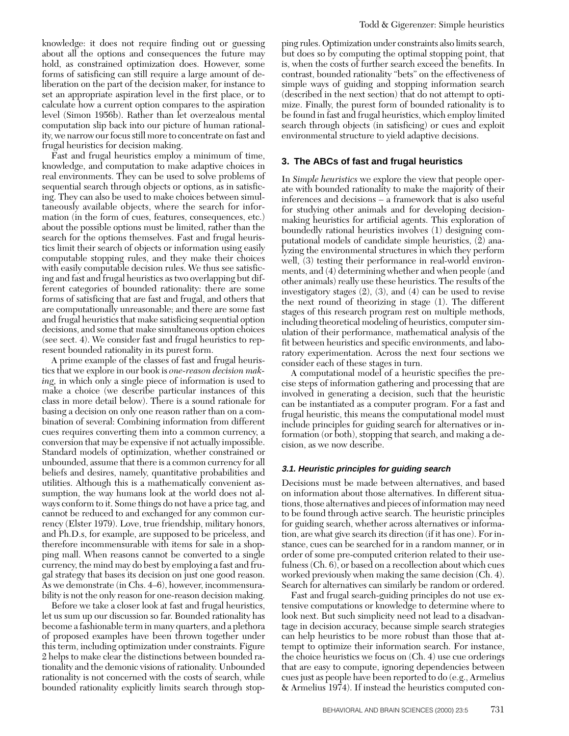knowledge: it does not require finding out or guessing about all the options and consequences the future may hold, as constrained optimization does. However, some forms of satisficing can still require a large amount of deliberation on the part of the decision maker, for instance to set an appropriate aspiration level in the first place, or to calculate how a current option compares to the aspiration level (Simon 1956b). Rather than let overzealous mental computation slip back into our picture of human rationality, we narrow our focus still more to concentrate on fast and frugal heuristics for decision making.

Fast and frugal heuristics employ a minimum of time, knowledge, and computation to make adaptive choices in real environments. They can be used to solve problems of sequential search through objects or options, as in satisficing. They can also be used to make choices between simultaneously available objects, where the search for information (in the form of cues, features, consequences, etc.) about the possible options must be limited, rather than the search for the options themselves. Fast and frugal heuristics limit their search of objects or information using easily computable stopping rules, and they make their choices with easily computable decision rules. We thus see satisficing and fast and frugal heuristics as two overlapping but different categories of bounded rationality: there are some forms of satisficing that are fast and frugal, and others that are computationally unreasonable; and there are some fast and frugal heuristics that make satisficing sequential option decisions, and some that make simultaneous option choices (see sect. 4). We consider fast and frugal heuristics to represent bounded rationality in its purest form.

A prime example of the classes of fast and frugal heuristics that we explore in our book is *one-reason decision making,* in which only a single piece of information is used to make a choice (we describe particular instances of this class in more detail below). There is a sound rationale for basing a decision on only one reason rather than on a combination of several: Combining information from different cues requires converting them into a common currency, a conversion that may be expensive if not actually impossible. Standard models of optimization, whether constrained or unbounded, assume that there is a common currency for all beliefs and desires, namely, quantitative probabilities and utilities. Although this is a mathematically convenient assumption, the way humans look at the world does not always conform to it. Some things do not have a price tag, and cannot be reduced to and exchanged for any common currency (Elster 1979). Love, true friendship, military honors, and Ph.D.s, for example, are supposed to be priceless, and therefore incommensurable with items for sale in a shopping mall. When reasons cannot be converted to a single currency, the mind may do best by employing a fast and frugal strategy that bases its decision on just one good reason. As we demonstrate (in Chs. 4–6), however, incommensurability is not the only reason for one-reason decision making.

Before we take a closer look at fast and frugal heuristics, let us sum up our discussion so far. Bounded rationality has become a fashionable term in many quarters, and a plethora of proposed examples have been thrown together under this term, including optimization under constraints. Figure 2 helps to make clear the distinctions between bounded rationality and the demonic visions of rationality. Unbounded rationality is not concerned with the costs of search, while bounded rationality explicitly limits search through stop-

ping rules. Optimization under constraints also limits search, but does so by computing the optimal stopping point, that is, when the costs of further search exceed the benefits. In contrast, bounded rationality "bets" on the effectiveness of simple ways of guiding and stopping information search (described in the next section) that do not attempt to optimize. Finally, the purest form of bounded rationality is to be found in fast and frugal heuristics, which employ limited search through objects (in satisficing) or cues and exploit environmental structure to yield adaptive decisions.

#### **3. The ABCs of fast and frugal heuristics**

In *Simple heuristics* we explore the view that people operate with bounded rationality to make the majority of their inferences and decisions – a framework that is also useful for studying other animals and for developing decisionmaking heuristics for artificial agents. This exploration of boundedly rational heuristics involves (1) designing computational models of candidate simple heuristics,  $(\overline{2})$  analyzing the environmental structures in which they perform well,  $(3)$  testing their performance in real-world environments, and (4) determining whether and when people (and other animals) really use these heuristics. The results of the investigatory stages (2), (3), and (4) can be used to revise the next round of theorizing in stage (1). The different stages of this research program rest on multiple methods, including theoretical modeling of heuristics, computer simulation of their performance, mathematical analysis of the fit between heuristics and specific environments, and laboratory experimentation. Across the next four sections we consider each of these stages in turn.

A computational model of a heuristic specifies the precise steps of information gathering and processing that are involved in generating a decision, such that the heuristic can be instantiated as a computer program. For a fast and frugal heuristic, this means the computational model must include principles for guiding search for alternatives or information (or both), stopping that search, and making a decision, as we now describe.

#### **3.1. Heuristic principles for guiding search**

Decisions must be made between alternatives, and based on information about those alternatives. In different situations, those alternatives and pieces of information may need to be found through active search. The heuristic principles for guiding search, whether across alternatives or information, are what give search its direction (if it has one). For instance, cues can be searched for in a random manner, or in order of some pre-computed criterion related to their usefulness (Ch. 6), or based on a recollection about which cues worked previously when making the same decision (Ch. 4). Search for alternatives can similarly be random or ordered.

Fast and frugal search-guiding principles do not use extensive computations or knowledge to determine where to look next. But such simplicity need not lead to a disadvantage in decision accuracy, because simple search strategies can help heuristics to be more robust than those that attempt to optimize their information search. For instance, the choice heuristics we focus on (Ch. 4) use cue orderings that are easy to compute, ignoring dependencies between cues just as people have been reported to do (e.g., Armelius & Armelius 1974). If instead the heuristics computed con-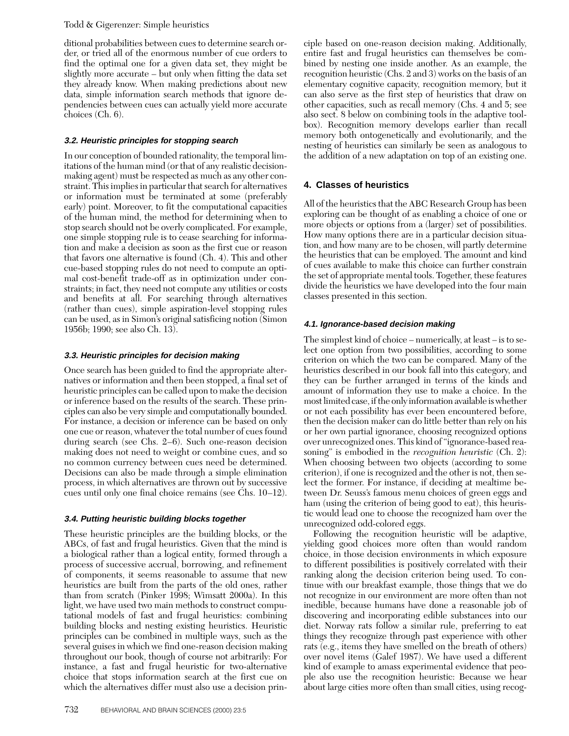## Todd & Gigerenzer: Simple heuristics

ditional probabilities between cues to determine search order, or tried all of the enormous number of cue orders to find the optimal one for a given data set, they might be slightly more accurate – but only when fitting the data set they already know. When making predictions about new data, simple information search methods that ignore dependencies between cues can actually yield more accurate choices (Ch. 6).

## **3.2. Heuristic principles for stopping search**

In our conception of bounded rationality, the temporal limitations of the human mind (or that of any realistic decisionmaking agent) must be respected as much as any other constraint. This implies in particular that search for alternatives or information must be terminated at some (preferably early) point. Moreover, to fit the computational capacities of the human mind, the method for determining when to stop search should not be overly complicated. For example, one simple stopping rule is to cease searching for information and make a decision as soon as the first cue or reason that favors one alternative is found (Ch. 4). This and other cue-based stopping rules do not need to compute an optimal cost-benefit trade-off as in optimization under constraints; in fact, they need not compute any utilities or costs and benefits at all. For searching through alternatives (rather than cues), simple aspiration-level stopping rules can be used, as in Simon's original satisficing notion (Simon 1956b; 1990; see also Ch. 13).

## **3.3. Heuristic principles for decision making**

Once search has been guided to find the appropriate alternatives or information and then been stopped, a final set of heuristic principles can be called upon to make the decision or inference based on the results of the search. These principles can also be very simple and computationally bounded. For instance, a decision or inference can be based on only one cue or reason, whatever the total number of cues found during search (see Chs. 2–6). Such one-reason decision making does not need to weight or combine cues, and so no common currency between cues need be determined. Decisions can also be made through a simple elimination process, in which alternatives are thrown out by successive cues until only one final choice remains (see Chs. 10–12).

## **3.4. Putting heuristic building blocks together**

These heuristic principles are the building blocks, or the ABCs, of fast and frugal heuristics. Given that the mind is a biological rather than a logical entity, formed through a process of successive accrual, borrowing, and refinement of components, it seems reasonable to assume that new heuristics are built from the parts of the old ones, rather than from scratch (Pinker 1998; Wimsatt 2000a). In this light, we have used two main methods to construct computational models of fast and frugal heuristics: combining building blocks and nesting existing heuristics. Heuristic principles can be combined in multiple ways, such as the several guises in which we find one-reason decision making throughout our book, though of course not arbitrarily: For instance, a fast and frugal heuristic for two-alternative choice that stops information search at the first cue on which the alternatives differ must also use a decision principle based on one-reason decision making. Additionally, entire fast and frugal heuristics can themselves be combined by nesting one inside another. As an example, the recognition heuristic (Chs. 2 and 3) works on the basis of an elementary cognitive capacity, recognition memory, but it can also serve as the first step of heuristics that draw on other capacities, such as recall memory (Chs. 4 and 5; see also sect. 8 below on combining tools in the adaptive toolbox). Recognition memory develops earlier than recall memory both ontogenetically and evolutionarily, and the nesting of heuristics can similarly be seen as analogous to the addition of a new adaptation on top of an existing one.

## **4. Classes of heuristics**

All of the heuristics that the ABC Research Group has been exploring can be thought of as enabling a choice of one or more objects or options from a (larger) set of possibilities. How many options there are in a particular decision situation, and how many are to be chosen, will partly determine the heuristics that can be employed. The amount and kind of cues available to make this choice can further constrain the set of appropriate mental tools. Together, these features divide the heuristics we have developed into the four main classes presented in this section.

## **4.1. Ignorance-based decision making**

The simplest kind of choice – numerically, at least – is to select one option from two possibilities, according to some criterion on which the two can be compared. Many of the heuristics described in our book fall into this category, and they can be further arranged in terms of the kinds and amount of information they use to make a choice. In the most limited case, if the only information available is whether or not each possibility has ever been encountered before, then the decision maker can do little better than rely on his or her own partial ignorance, choosing recognized options over unrecognized ones. This kind of "ignorance-based reasoning" is embodied in the *recognition heuristic* (Ch. 2): When choosing between two objects (according to some criterion), if one is recognized and the other is not, then select the former. For instance, if deciding at mealtime between Dr. Seuss's famous menu choices of green eggs and ham (using the criterion of being good to eat), this heuristic would lead one to choose the recognized ham over the unrecognized odd-colored eggs.

Following the recognition heuristic will be adaptive, yielding good choices more often than would random choice, in those decision environments in which exposure to different possibilities is positively correlated with their ranking along the decision criterion being used. To continue with our breakfast example, those things that we do not recognize in our environment are more often than not inedible, because humans have done a reasonable job of discovering and incorporating edible substances into our diet. Norway rats follow a similar rule, preferring to eat things they recognize through past experience with other rats (e.g., items they have smelled on the breath of others) over novel items (Galef 1987). We have used a different kind of example to amass experimental evidence that people also use the recognition heuristic: Because we hear about large cities more often than small cities, using recog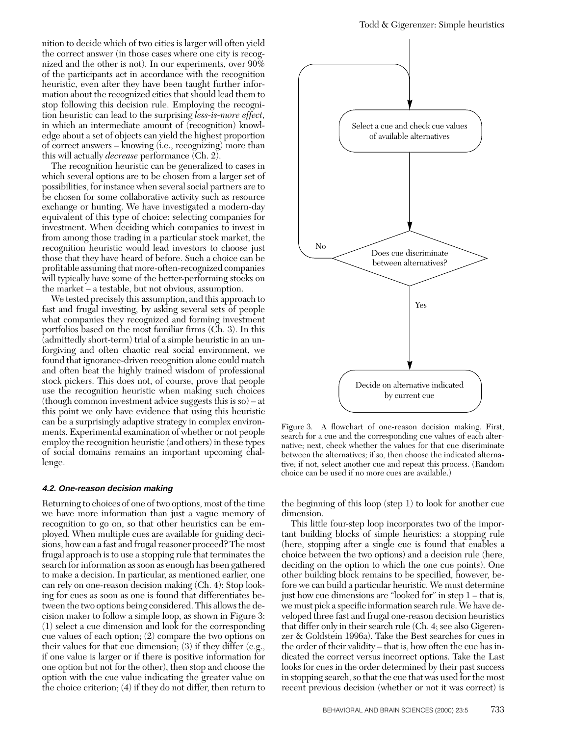nition to decide which of two cities is larger will often yield the correct answer (in those cases where one city is recognized and the other is not). In our experiments, over 90% of the participants act in accordance with the recognition heuristic, even after they have been taught further information about the recognized cities that should lead them to stop following this decision rule. Employing the recognition heuristic can lead to the surprising *less-is-more effect,* in which an intermediate amount of (recognition) knowledge about a set of objects can yield the highest proportion of correct answers – knowing (i.e., recognizing) more than this will actually *decrease* performance (Ch. 2).

The recognition heuristic can be generalized to cases in which several options are to be chosen from a larger set of possibilities, for instance when several social partners are to be chosen for some collaborative activity such as resource exchange or hunting. We have investigated a modern-day equivalent of this type of choice: selecting companies for investment. When deciding which companies to invest in from among those trading in a particular stock market, the recognition heuristic would lead investors to choose just those that they have heard of before. Such a choice can be profitable assuming that more-often-recognized companies will typically have some of the better-performing stocks on the market – a testable, but not obvious, assumption.

We tested precisely this assumption, and this approach to fast and frugal investing, by asking several sets of people what companies they recognized and forming investment portfolios based on the most familiar firms (Ch. 3). In this (admittedly short-term) trial of a simple heuristic in an unforgiving and often chaotic real social environment, we found that ignorance-driven recognition alone could match and often beat the highly trained wisdom of professional stock pickers. This does not, of course, prove that people use the recognition heuristic when making such choices (though common investment advice suggests this is so) – at this point we only have evidence that using this heuristic can be a surprisingly adaptive strategy in complex environments. Experimental examination of whether or not people employ the recognition heuristic (and others) in these types of social domains remains an important upcoming challenge.

#### **4.2. One-reason decision making**

Returning to choices of one of two options, most of the time we have more information than just a vague memory of recognition to go on, so that other heuristics can be employed. When multiple cues are available for guiding decisions, how can a fast and frugal reasoner proceed? The most frugal approach is to use a stopping rule that terminates the search for information as soon as enough has been gathered to make a decision. In particular, as mentioned earlier, one can rely on one-reason decision making (Ch. 4): Stop looking for cues as soon as one is found that differentiates between the two options being considered. This allows the decision maker to follow a simple loop, as shown in Figure 3: (1) select a cue dimension and look for the corresponding cue values of each option; (2) compare the two options on their values for that cue dimension; (3) if they differ (e.g., if one value is larger or if there is positive information for one option but not for the other), then stop and choose the option with the cue value indicating the greater value on the choice criterion; (4) if they do not differ, then return to



Figure 3. A flowchart of one-reason decision making. First, search for a cue and the corresponding cue values of each alternative; next, check whether the values for that cue discriminate between the alternatives; if so, then choose the indicated alternative; if not, select another cue and repeat this process. (Random choice can be used if no more cues are available.)

the beginning of this loop (step 1) to look for another cue dimension.

This little four-step loop incorporates two of the important building blocks of simple heuristics: a stopping rule (here, stopping after a single cue is found that enables a choice between the two options) and a decision rule (here, deciding on the option to which the one cue points). One other building block remains to be specified, however, before we can build a particular heuristic. We must determine just how cue dimensions are "looked for" in step 1 – that is, we must pick a specific information search rule. We have developed three fast and frugal one-reason decision heuristics that differ only in their search rule (Ch. 4; see also Gigerenzer & Goldstein 1996a). Take the Best searches for cues in the order of their validity – that is, how often the cue has indicated the correct versus incorrect options. Take the Last looks for cues in the order determined by their past success in stopping search, so that the cue that was used for the most recent previous decision (whether or not it was correct) is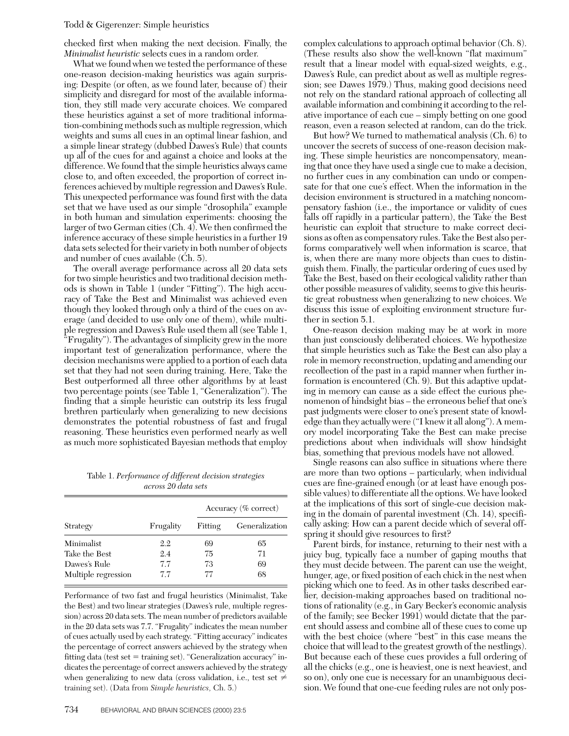#### Todd & Gigerenzer: Simple heuristics

checked first when making the next decision. Finally, the *Minimalist heuristic* selects cues in a random order.

What we found when we tested the performance of these one-reason decision-making heuristics was again surprising: Despite (or often, as we found later, because of) their simplicity and disregard for most of the available information, they still made very accurate choices. We compared these heuristics against a set of more traditional information-combining methods such as multiple regression, which weights and sums all cues in an optimal linear fashion, and a simple linear strategy (dubbed Dawes's Rule) that counts up all of the cues for and against a choice and looks at the difference. We found that the simple heuristics always came close to, and often exceeded, the proportion of correct inferences achieved by multiple regression and Dawes's Rule. This unexpected performance was found first with the data set that we have used as our simple "drosophila" example in both human and simulation experiments: choosing the larger of two German cities (Ch. 4). We then confirmed the inference accuracy of these simple heuristics in a further 19 data sets selected for their variety in both number of objects and number of cues available (Ch. 5).

The overall average performance across all 20 data sets for two simple heuristics and two traditional decision methods is shown in Table 1 (under "Fitting"). The high accuracy of Take the Best and Minimalist was achieved even though they looked through only a third of the cues on average (and decided to use only one of them), while multiple regression and Dawes's Rule used them all (see Table 1, "Frugality"). The advantages of simplicity grew in the more important test of generalization performance, where the decision mechanisms were applied to a portion of each data set that they had not seen during training. Here, Take the Best outperformed all three other algorithms by at least two percentage points (see Table 1, "Generalization"). The finding that a simple heuristic can outstrip its less frugal brethren particularly when generalizing to new decisions demonstrates the potential robustness of fast and frugal reasoning. These heuristics even performed nearly as well as much more sophisticated Bayesian methods that employ

Table 1. *Performance of different decision strategies across 20 data sets*

| Strategy            | Frugality | Accuracy ( $%$ correct) |                |
|---------------------|-----------|-------------------------|----------------|
|                     |           | Fitting                 | Generalization |
| Minimalist          | 2.2       | 69                      | 65             |
| Take the Best       | 2.4       | 75                      | 71             |
| Dawes's Rule        | 7.7       | 73                      | 69             |
| Multiple regression | 77        | 77                      | 68             |

Performance of two fast and frugal heuristics (Minimalist, Take the Best) and two linear strategies (Dawes's rule, multiple regression) across 20 data sets. The mean number of predictors available in the 20 data sets was 7.7. "Frugality" indicates the mean number of cues actually used by each strategy. "Fitting accuracy" indicates the percentage of correct answers achieved by the strategy when fitting data (test set  $=$  training set). "Generalization accuracy" indicates the percentage of correct answers achieved by the strategy when generalizing to new data (cross validation, i.e., test set  $\neq$ training set). (Data from *Simple heuristics,* Ch. 5.)

complex calculations to approach optimal behavior (Ch. 8). (These results also show the well-known "flat maximum" result that a linear model with equal-sized weights, e.g., Dawes's Rule, can predict about as well as multiple regression; see Dawes 1979.) Thus, making good decisions need not rely on the standard rational approach of collecting all available information and combining it according to the relative importance of each cue – simply betting on one good reason, even a reason selected at random, can do the trick.

But how? We turned to mathematical analysis (Ch. 6) to uncover the secrets of success of one-reason decision making. These simple heuristics are noncompensatory, meaning that once they have used a single cue to make a decision, no further cues in any combination can undo or compensate for that one cue's effect. When the information in the decision environment is structured in a matching noncompensatory fashion (i.e., the importance or validity of cues falls off rapidly in a particular pattern), the Take the Best heuristic can exploit that structure to make correct decisions as often as compensatory rules. Take the Best also performs comparatively well when information is scarce, that is, when there are many more objects than cues to distinguish them. Finally, the particular ordering of cues used by Take the Best, based on their ecological validity rather than other possible measures of validity, seems to give this heuristic great robustness when generalizing to new choices. We discuss this issue of exploiting environment structure further in section 5.1.

One-reason decision making may be at work in more than just consciously deliberated choices. We hypothesize that simple heuristics such as Take the Best can also play a role in memory reconstruction, updating and amending our recollection of the past in a rapid manner when further information is encountered (Ch. 9). But this adaptive updating in memory can cause as a side effect the curious phenomenon of hindsight bias – the erroneous belief that one's past judgments were closer to one's present state of knowledge than they actually were ("I knew it all along"). A memory model incorporating Take the Best can make precise predictions about when individuals will show hindsight bias, something that previous models have not allowed.

Single reasons can also suffice in situations where there are more than two options – particularly, when individual cues are fine-grained enough (or at least have enough possible values) to differentiate all the options. We have looked at the implications of this sort of single-cue decision making in the domain of parental investment (Ch. 14), specifically asking: How can a parent decide which of several offspring it should give resources to first?

Parent birds, for instance, returning to their nest with a juicy bug, typically face a number of gaping mouths that they must decide between. The parent can use the weight, hunger, age, or fixed position of each chick in the nest when picking which one to feed. As in other tasks described earlier, decision-making approaches based on traditional notions of rationality (e.g., in Gary Becker's economic analysis of the family; see Becker 1991) would dictate that the parent should assess and combine all of these cues to come up with the best choice (where "best" in this case means the choice that will lead to the greatest growth of the nestlings). But because each of these cues provides a full ordering of all the chicks (e.g., one is heaviest, one is next heaviest, and so on), only one cue is necessary for an unambiguous decision. We found that one-cue feeding rules are not only pos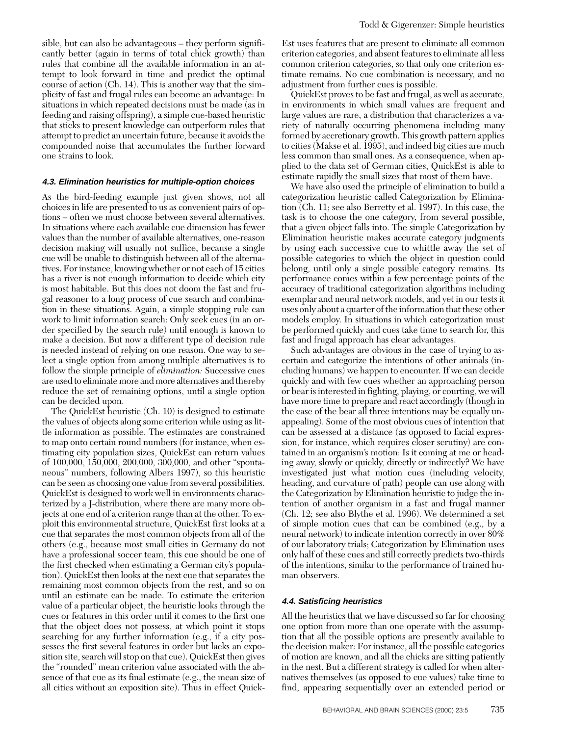sible, but can also be advantageous – they perform significantly better (again in terms of total chick growth) than rules that combine all the available information in an attempt to look forward in time and predict the optimal course of action (Ch. 14). This is another way that the simplicity of fast and frugal rules can become an advantage: In situations in which repeated decisions must be made (as in feeding and raising offspring), a simple cue-based heuristic that sticks to present knowledge can outperform rules that attempt to predict an uncertain future, because it avoids the compounded noise that accumulates the further forward one strains to look.

#### **4.3. Elimination heuristics for multiple-option choices**

As the bird-feeding example just given shows, not all choices in life are presented to us as convenient pairs of options – often we must choose between several alternatives. In situations where each available cue dimension has fewer values than the number of available alternatives, one-reason decision making will usually not suffice, because a single cue will be unable to distinguish between all of the alternatives. For instance, knowing whether or not each of 15 cities has a river is not enough information to decide which city is most habitable. But this does not doom the fast and frugal reasoner to a long process of cue search and combination in these situations. Again, a simple stopping rule can work to limit information search: Only seek cues (in an order specified by the search rule) until enough is known to make a decision. But now a different type of decision rule is needed instead of relying on one reason. One way to select a single option from among multiple alternatives is to follow the simple principle of *elimination:* Successive cues are used to eliminate more and more alternatives and thereby reduce the set of remaining options, until a single option can be decided upon.

The QuickEst heuristic (Ch. 10) is designed to estimate the values of objects along some criterion while using as little information as possible. The estimates are constrained to map onto certain round numbers (for instance, when estimating city population sizes, QuickEst can return values of 100,000, 150,000, 200,000, 300,000, and other "spontaneous" numbers, following Albers 1997), so this heuristic can be seen as choosing one value from several possibilities. QuickEst is designed to work well in environments characterized by a J-distribution, where there are many more objects at one end of a criterion range than at the other. To exploit this environmental structure, QuickEst first looks at a cue that separates the most common objects from all of the others (e.g., because most small cities in Germany do not have a professional soccer team, this cue should be one of the first checked when estimating a German city's population). QuickEst then looks at the next cue that separates the remaining most common objects from the rest, and so on until an estimate can be made. To estimate the criterion value of a particular object, the heuristic looks through the cues or features in this order until it comes to the first one that the object does not possess, at which point it stops searching for any further information (e.g., if a city possesses the first several features in order but lacks an exposition site, search will stop on that cue). QuickEst then gives the "rounded" mean criterion value associated with the absence of that cue as its final estimate (e.g., the mean size of all cities without an exposition site). Thus in effect Quick-

Est uses features that are present to eliminate all common criterion categories, and absent features to eliminate all less common criterion categories, so that only one criterion estimate remains. No cue combination is necessary, and no adjustment from further cues is possible.

QuickEst proves to be fast and frugal, as well as accurate, in environments in which small values are frequent and large values are rare, a distribution that characterizes a variety of naturally occurring phenomena including many formed by accretionary growth. This growth pattern applies to cities (Makse et al. 1995), and indeed big cities are much less common than small ones. As a consequence, when applied to the data set of German cities, QuickEst is able to estimate rapidly the small sizes that most of them have.

We have also used the principle of elimination to build a categorization heuristic called Categorization by Elimination (Ch. 11; see also Berretty et al. 1997). In this case, the task is to choose the one category, from several possible, that a given object falls into. The simple Categorization by Elimination heuristic makes accurate category judgments by using each successive cue to whittle away the set of possible categories to which the object in question could belong, until only a single possible category remains. Its performance comes within a few percentage points of the accuracy of traditional categorization algorithms including exemplar and neural network models, and yet in our tests it uses only about a quarter of the information that these other models employ. In situations in which categorization must be performed quickly and cues take time to search for, this fast and frugal approach has clear advantages.

Such advantages are obvious in the case of trying to ascertain and categorize the intentions of other animals (including humans) we happen to encounter. If we can decide quickly and with few cues whether an approaching person or bear is interested in fighting, playing, or courting, we will have more time to prepare and react accordingly (though in the case of the bear all three intentions may be equally unappealing). Some of the most obvious cues of intention that can be assessed at a distance (as opposed to facial expression, for instance, which requires closer scrutiny) are contained in an organism's motion: Is it coming at me or heading away, slowly or quickly, directly or indirectly? We have investigated just what motion cues (including velocity, heading, and curvature of path) people can use along with the Categorization by Elimination heuristic to judge the intention of another organism in a fast and frugal manner (Ch. 12; see also Blythe et al. 1996). We determined a set of simple motion cues that can be combined (e.g., by a neural network) to indicate intention correctly in over 80% of our laboratory trials; Categorization by Elimination uses only half of these cues and still correctly predicts two-thirds of the intentions, similar to the performance of trained human observers.

#### **4.4. Satisficing heuristics**

All the heuristics that we have discussed so far for choosing one option from more than one operate with the assumption that all the possible options are presently available to the decision maker: For instance, all the possible categories of motion are known, and all the chicks are sitting patiently in the nest. But a different strategy is called for when alternatives themselves (as opposed to cue values) take time to find, appearing sequentially over an extended period or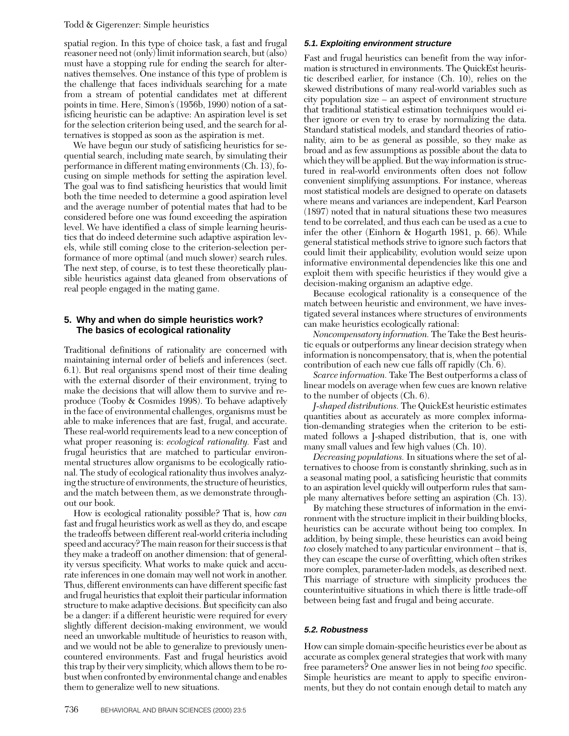#### Todd & Gigerenzer: Simple heuristics

spatial region. In this type of choice task, a fast and frugal reasoner need not (only) limit information search, but (also) must have a stopping rule for ending the search for alternatives themselves. One instance of this type of problem is the challenge that faces individuals searching for a mate from a stream of potential candidates met at different points in time. Here, Simon's (1956b, 1990) notion of a satisficing heuristic can be adaptive: An aspiration level is set for the selection criterion being used, and the search for alternatives is stopped as soon as the aspiration is met.

We have begun our study of satisficing heuristics for sequential search, including mate search, by simulating their performance in different mating environments (Ch. 13), focusing on simple methods for setting the aspiration level. The goal was to find satisficing heuristics that would limit both the time needed to determine a good aspiration level and the average number of potential mates that had to be considered before one was found exceeding the aspiration level. We have identified a class of simple learning heuristics that do indeed determine such adaptive aspiration levels, while still coming close to the criterion-selection performance of more optimal (and much slower) search rules. The next step, of course, is to test these theoretically plausible heuristics against data gleaned from observations of real people engaged in the mating game.

## **5. Why and when do simple heuristics work? The basics of ecological rationality**

Traditional definitions of rationality are concerned with maintaining internal order of beliefs and inferences (sect. 6.1). But real organisms spend most of their time dealing with the external disorder of their environment, trying to make the decisions that will allow them to survive and reproduce (Tooby & Cosmides 1998). To behave adaptively in the face of environmental challenges, organisms must be able to make inferences that are fast, frugal, and accurate. These real-world requirements lead to a new conception of what proper reasoning is: *ecological rationality.* Fast and frugal heuristics that are matched to particular environmental structures allow organisms to be ecologically rational. The study of ecological rationality thus involves analyzing the structure of environments, the structure of heuristics, and the match between them, as we demonstrate throughout our book.

How is ecological rationality possible? That is, how *can* fast and frugal heuristics work as well as they do, and escape the tradeoffs between different real-world criteria including speed and accuracy? The main reason for their success is that they make a tradeoff on another dimension: that of generality versus specificity. What works to make quick and accurate inferences in one domain may well not work in another. Thus, different environments can have different specific fast and frugal heuristics that exploit their particular information structure to make adaptive decisions. But specificity can also be a danger: if a different heuristic were required for every slightly different decision-making environment, we would need an unworkable multitude of heuristics to reason with, and we would not be able to generalize to previously unencountered environments. Fast and frugal heuristics avoid this trap by their very simplicity, which allows them to be robust when confronted by environmental change and enables them to generalize well to new situations.

## **5.1. Exploiting environment structure**

Fast and frugal heuristics can benefit from the way information is structured in environments. The QuickEst heuristic described earlier, for instance (Ch. 10), relies on the skewed distributions of many real-world variables such as city population size – an aspect of environment structure that traditional statistical estimation techniques would either ignore or even try to erase by normalizing the data. Standard statistical models, and standard theories of rationality, aim to be as general as possible, so they make as broad and as few assumptions as possible about the data to which they will be applied. But the way information is structured in real-world environments often does not follow convenient simplifying assumptions. For instance, whereas most statistical models are designed to operate on datasets where means and variances are independent, Karl Pearson (1897) noted that in natural situations these two measures tend to be correlated, and thus each can be used as a cue to infer the other (Einhorn & Hogarth 1981, p. 66). While general statistical methods strive to ignore such factors that could limit their applicability, evolution would seize upon informative environmental dependencies like this one and exploit them with specific heuristics if they would give a decision-making organism an adaptive edge.

Because ecological rationality is a consequence of the match between heuristic and environment, we have investigated several instances where structures of environments can make heuristics ecologically rational:

*Noncompensatory information.* The Take the Best heuristic equals or outperforms any linear decision strategy when information is noncompensatory, that is, when the potential contribution of each new cue falls off rapidly (Ch. 6).

*Scarce information.* Take The Best outperforms a class of linear models on average when few cues are known relative to the number of objects (Ch. 6).

*J-shaped distributions.* The QuickEst heuristic estimates quantities about as accurately as more complex information-demanding strategies when the criterion to be estimated follows a J-shaped distribution, that is, one with many small values and few high values (Ch. 10).

*Decreasing populations.* In situations where the set of alternatives to choose from is constantly shrinking, such as in a seasonal mating pool, a satisficing heuristic that commits to an aspiration level quickly will outperform rules that sample many alternatives before setting an aspiration (Ch. 13).

By matching these structures of information in the environment with the structure implicit in their building blocks, heuristics can be accurate without being too complex. In addition, by being simple, these heuristics can avoid being *too* closely matched to any particular environment – that is, they can escape the curse of overfitting, which often strikes more complex, parameter-laden models, as described next. This marriage of structure with simplicity produces the counterintuitive situations in which there is little trade-off between being fast and frugal and being accurate.

## **5.2. Robustness**

How can simple domain-specific heuristics ever be about as accurate as complex general strategies that work with many free parameters? One answer lies in not being *too* specific. Simple heuristics are meant to apply to specific environments, but they do not contain enough detail to match any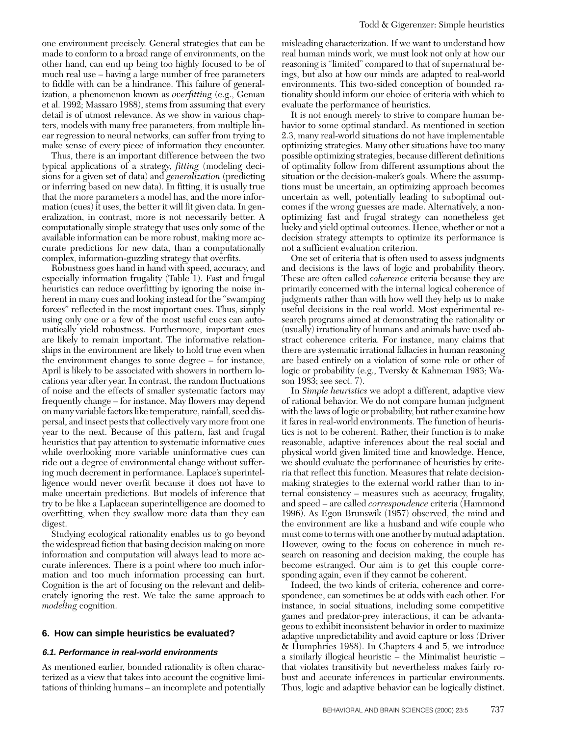Thus, there is an important difference between the two typical applications of a strategy, *fitting* (modeling decisions for a given set of data) and *generalization* (predicting or inferring based on new data). In fitting, it is usually true that the more parameters a model has, and the more information (cues) it uses, the better it will fit given data. In generalization, in contrast, more is not necessarily better. A computationally simple strategy that uses only some of the available information can be more robust, making more accurate predictions for new data, than a computationally complex, information-guzzling strategy that overfits.

Robustness goes hand in hand with speed, accuracy, and especially information frugality (Table 1). Fast and frugal heuristics can reduce overfitting by ignoring the noise inherent in many cues and looking instead for the "swamping forces" reflected in the most important cues. Thus, simply using only one or a few of the most useful cues can automatically yield robustness. Furthermore, important cues are likely to remain important. The informative relationships in the environment are likely to hold true even when the environment changes to some degree – for instance, April is likely to be associated with showers in northern locations year after year. In contrast, the random fluctuations of noise and the effects of smaller systematic factors may frequently change – for instance, May flowers may depend on many variable factors like temperature, rainfall, seed dispersal, and insect pests that collectively vary more from one year to the next. Because of this pattern, fast and frugal heuristics that pay attention to systematic informative cues while overlooking more variable uninformative cues can ride out a degree of environmental change without suffering much decrement in performance. Laplace's superintelligence would never overfit because it does not have to make uncertain predictions. But models of inference that try to be like a Laplacean superintelligence are doomed to overfitting, when they swallow more data than they can digest.

Studying ecological rationality enables us to go beyond the widespread fiction that basing decision making on more information and computation will always lead to more accurate inferences. There is a point where too much information and too much information processing can hurt. Cognition is the art of focusing on the relevant and deliberately ignoring the rest. We take the same approach to *modeling* cognition.

#### **6. How can simple heuristics be evaluated?**

#### **6.1. Performance in real-world environments**

As mentioned earlier, bounded rationality is often characterized as a view that takes into account the cognitive limitations of thinking humans – an incomplete and potentially

misleading characterization. If we want to understand how real human minds work, we must look not only at how our reasoning is "limited" compared to that of supernatural beings, but also at how our minds are adapted to real-world environments. This two-sided conception of bounded rationality should inform our choice of criteria with which to evaluate the performance of heuristics.

It is not enough merely to strive to compare human behavior to some optimal standard. As mentioned in section 2.3, many real-world situations do not have implementable optimizing strategies. Many other situations have too many possible optimizing strategies, because different definitions of optimality follow from different assumptions about the situation or the decision-maker's goals. Where the assumptions must be uncertain, an optimizing approach becomes uncertain as well, potentially leading to suboptimal outcomes if the wrong guesses are made. Alternatively, a nonoptimizing fast and frugal strategy can nonetheless get lucky and yield optimal outcomes. Hence, whether or not a decision strategy attempts to optimize its performance is not a sufficient evaluation criterion.

One set of criteria that is often used to assess judgments and decisions is the laws of logic and probability theory. These are often called *coherence* criteria because they are primarily concerned with the internal logical coherence of judgments rather than with how well they help us to make useful decisions in the real world. Most experimental research programs aimed at demonstrating the rationality or (usually) irrationality of humans and animals have used abstract coherence criteria. For instance, many claims that there are systematic irrational fallacies in human reasoning are based entirely on a violation of some rule or other of logic or probability (e.g., Tversky & Kahneman 1983; Wason 1983; see sect. 7).

In *Simple heuristics* we adopt a different, adaptive view of rational behavior. We do not compare human judgment with the laws of logic or probability, but rather examine how it fares in real-world environments. The function of heuristics is not to be coherent. Rather, their function is to make reasonable, adaptive inferences about the real social and physical world given limited time and knowledge. Hence, we should evaluate the performance of heuristics by criteria that reflect this function. Measures that relate decisionmaking strategies to the external world rather than to internal consistency – measures such as accuracy, frugality, and speed – are called *correspondence* criteria (Hammond 1996). As Egon Brunswik (1957) observed, the mind and the environment are like a husband and wife couple who must come to terms with one another by mutual adaptation. However, owing to the focus on coherence in much research on reasoning and decision making, the couple has become estranged. Our aim is to get this couple corresponding again, even if they cannot be coherent.

Indeed, the two kinds of criteria, coherence and correspondence, can sometimes be at odds with each other. For instance, in social situations, including some competitive games and predator-prey interactions, it can be advantageous to exhibit inconsistent behavior in order to maximize adaptive unpredictability and avoid capture or loss (Driver & Humphries 1988). In Chapters 4 and 5, we introduce a similarly illogical heuristic – the Minimalist heuristic – that violates transitivity but nevertheless makes fairly robust and accurate inferences in particular environments. Thus, logic and adaptive behavior can be logically distinct.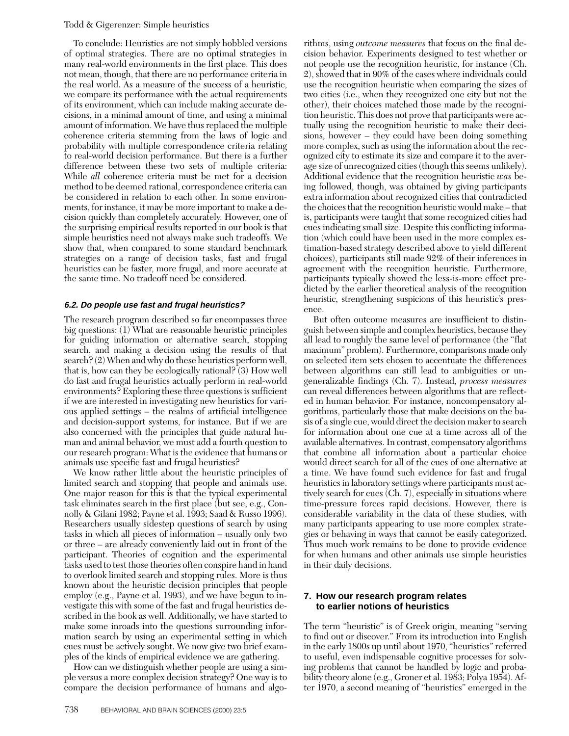#### Todd & Gigerenzer: Simple heuristics

To conclude: Heuristics are not simply hobbled versions of optimal strategies. There are no optimal strategies in many real-world environments in the first place. This does not mean, though, that there are no performance criteria in the real world. As a measure of the success of a heuristic, we compare its performance with the actual requirements of its environment, which can include making accurate decisions, in a minimal amount of time, and using a minimal amount of information. We have thus replaced the multiple coherence criteria stemming from the laws of logic and probability with multiple correspondence criteria relating to real-world decision performance. But there is a further difference between these two sets of multiple criteria: While *all* coherence criteria must be met for a decision method to be deemed rational, correspondence criteria can be considered in relation to each other. In some environments, for instance, it may be more important to make a decision quickly than completely accurately. However, one of the surprising empirical results reported in our book is that simple heuristics need not always make such tradeoffs. We show that, when compared to some standard benchmark strategies on a range of decision tasks, fast and frugal heuristics can be faster, more frugal, and more accurate at the same time. No tradeoff need be considered.

## **6.2. Do people use fast and frugal heuristics?**

The research program described so far encompasses three big questions: (1) What are reasonable heuristic principles for guiding information or alternative search, stopping search, and making a decision using the results of that search? (2) When and why do these heuristics perform well, that is, how can they be ecologically rational?  $(3)$  How well do fast and frugal heuristics actually perform in real-world environments? Exploring these three questions is sufficient if we are interested in investigating new heuristics for various applied settings – the realms of artificial intelligence and decision-support systems, for instance. But if we are also concerned with the principles that guide natural human and animal behavior, we must add a fourth question to our research program: What is the evidence that humans or animals use specific fast and frugal heuristics?

We know rather little about the heuristic principles of limited search and stopping that people and animals use. One major reason for this is that the typical experimental task eliminates search in the first place (but see, e.g., Connolly & Gilani 1982; Payne et al. 1993; Saad & Russo 1996). Researchers usually sidestep questions of search by using tasks in which all pieces of information – usually only two or three – are already conveniently laid out in front of the participant. Theories of cognition and the experimental tasks used to test those theories often conspire hand in hand to overlook limited search and stopping rules. More is thus known about the heuristic decision principles that people employ (e.g., Payne et al. 1993), and we have begun to investigate this with some of the fast and frugal heuristics described in the book as well. Additionally, we have started to make some inroads into the questions surrounding information search by using an experimental setting in which cues must be actively sought. We now give two brief examples of the kinds of empirical evidence we are gathering.

How can we distinguish whether people are using a simple versus a more complex decision strategy? One way is to compare the decision performance of humans and algorithms, using *outcome measures* that focus on the final decision behavior. Experiments designed to test whether or not people use the recognition heuristic, for instance (Ch. 2), showed that in 90% of the cases where individuals could use the recognition heuristic when comparing the sizes of two cities (i.e., when they recognized one city but not the other), their choices matched those made by the recognition heuristic. This does not prove that participants were actually using the recognition heuristic to make their decisions, however – they could have been doing something more complex, such as using the information about the recognized city to estimate its size and compare it to the average size of unrecognized cities (though this seems unlikely). Additional evidence that the recognition heuristic *was* being followed, though, was obtained by giving participants extra information about recognized cities that contradicted the choices that the recognition heuristic would make – that is, participants were taught that some recognized cities had cues indicating small size. Despite this conflicting information (which could have been used in the more complex estimation-based strategy described above to yield different choices), participants still made 92% of their inferences in agreement with the recognition heuristic. Furthermore, participants typically showed the less-is-more effect predicted by the earlier theoretical analysis of the recognition heuristic, strengthening suspicions of this heuristic's presence.

But often outcome measures are insufficient to distinguish between simple and complex heuristics, because they all lead to roughly the same level of performance (the "flat maximum" problem). Furthermore, comparisons made only on selected item sets chosen to accentuate the differences between algorithms can still lead to ambiguities or ungeneralizable findings (Ch. 7). Instead, *process measures* can reveal differences between algorithms that are reflected in human behavior. For instance, noncompensatory algorithms, particularly those that make decisions on the basis of a single cue, would direct the decision maker to search for information about one cue at a time across all of the available alternatives. In contrast, compensatory algorithms that combine all information about a particular choice would direct search for all of the cues of one alternative at a time. We have found such evidence for fast and frugal heuristics in laboratory settings where participants must actively search for cues (Ch. 7), especially in situations where time-pressure forces rapid decisions. However, there is considerable variability in the data of these studies, with many participants appearing to use more complex strategies or behaving in ways that cannot be easily categorized. Thus much work remains to be done to provide evidence for when humans and other animals use simple heuristics in their daily decisions.

## **7. How our research program relates to earlier notions of heuristics**

The term "heuristic" is of Greek origin, meaning "serving to find out or discover." From its introduction into English in the early 1800s up until about 1970, "heuristics" referred to useful, even indispensable cognitive processes for solving problems that cannot be handled by logic and probability theory alone (e.g., Groner et al. 1983; Polya 1954). After 1970, a second meaning of "heuristics" emerged in the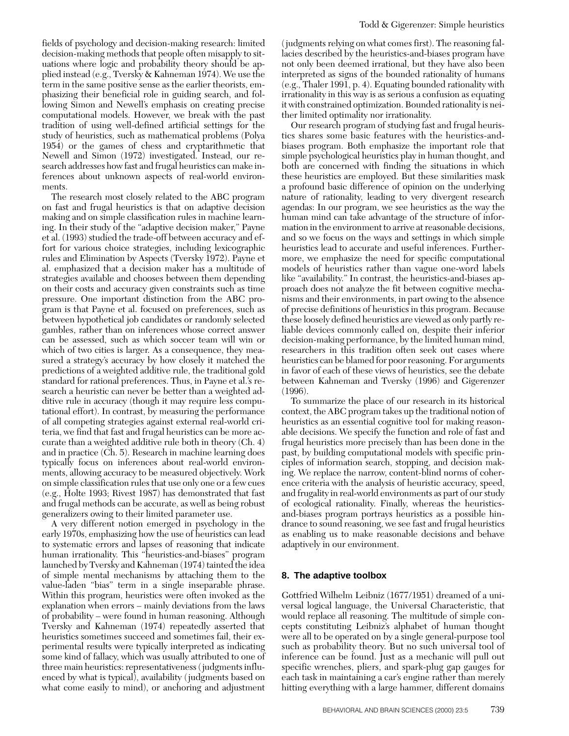fields of psychology and decision-making research: limited decision-making methods that people often misapply to situations where logic and probability theory should be applied instead (e.g., Tversky & Kahneman 1974). We use the term in the same positive sense as the earlier theorists, emphasizing their beneficial role in guiding search, and following Simon and Newell's emphasis on creating precise computational models. However, we break with the past tradition of using well-defined artificial settings for the study of heuristics, such as mathematical problems (Polya 1954) or the games of chess and cryptarithmetic that Newell and Simon (1972) investigated. Instead, our research addresses how fast and frugal heuristics can make inferences about unknown aspects of real-world environments.

The research most closely related to the ABC program on fast and frugal heuristics is that on adaptive decision making and on simple classification rules in machine learning. In their study of the "adaptive decision maker," Payne et al. (1993) studied the trade-off between accuracy and effort for various choice strategies, including lexicographic rules and Elimination by Aspects (Tversky 1972). Payne et al. emphasized that a decision maker has a multitude of strategies available and chooses between them depending on their costs and accuracy given constraints such as time pressure. One important distinction from the ABC program is that Payne et al. focused on preferences, such as between hypothetical job candidates or randomly selected gambles, rather than on inferences whose correct answer can be assessed, such as which soccer team will win or which of two cities is larger. As a consequence, they measured a strategy's accuracy by how closely it matched the predictions of a weighted additive rule, the traditional gold standard for rational preferences. Thus, in Payne et al.'s research a heuristic can never be better than a weighted additive rule in accuracy (though it may require less computational effort). In contrast, by measuring the performance of all competing strategies against external real-world criteria, we find that fast and frugal heuristics can be more accurate than a weighted additive rule both in theory (Ch. 4) and in practice (Ch. 5). Research in machine learning does typically focus on inferences about real-world environments, allowing accuracy to be measured objectively. Work on simple classification rules that use only one or a few cues (e.g., Holte 1993; Rivest 1987) has demonstrated that fast and frugal methods can be accurate, as well as being robust generalizers owing to their limited parameter use.

A very different notion emerged in psychology in the early 1970s, emphasizing how the use of heuristics can lead to systematic errors and lapses of reasoning that indicate human irrationality. This "heuristics-and-biases" program launched by Tversky and Kahneman (1974) tainted the idea of simple mental mechanisms by attaching them to the value-laden "bias" term in a single inseparable phrase. Within this program, heuristics were often invoked as the explanation when errors – mainly deviations from the laws of probability – were found in human reasoning. Although Tversky and Kahneman (1974) repeatedly asserted that heuristics sometimes succeed and sometimes fail, their experimental results were typically interpreted as indicating some kind of fallacy, which was usually attributed to one of three main heuristics: representativeness (judgments influenced by what is typical), availability (judgments based on what come easily to mind), or anchoring and adjustment

(judgments relying on what comes first). The reasoning fallacies described by the heuristics-and-biases program have not only been deemed irrational, but they have also been interpreted as signs of the bounded rationality of humans (e.g., Thaler 1991, p. 4). Equating bounded rationality with irrationality in this way is as serious a confusion as equating it with constrained optimization. Bounded rationality is neither limited optimality nor irrationality.

Our research program of studying fast and frugal heuristics shares some basic features with the heuristics-andbiases program. Both emphasize the important role that simple psychological heuristics play in human thought, and both are concerned with finding the situations in which these heuristics are employed. But these similarities mask a profound basic difference of opinion on the underlying nature of rationality, leading to very divergent research agendas: In our program, we see heuristics as the way the human mind can take advantage of the structure of information in the environment to arrive at reasonable decisions, and so we focus on the ways and settings in which simple heuristics lead to accurate and useful inferences. Furthermore, we emphasize the need for specific computational models of heuristics rather than vague one-word labels like "availability." In contrast, the heuristics-and-biases approach does not analyze the fit between cognitive mechanisms and their environments, in part owing to the absence of precise definitions of heuristics in this program. Because these loosely defined heuristics are viewed as only partly reliable devices commonly called on, despite their inferior decision-making performance, by the limited human mind, researchers in this tradition often seek out cases where heuristics can be blamed for poor reasoning. For arguments in favor of each of these views of heuristics, see the debate between Kahneman and Tversky (1996) and Gigerenzer (1996).

To summarize the place of our research in its historical context, the ABC program takes up the traditional notion of heuristics as an essential cognitive tool for making reasonable decisions. We specify the function and role of fast and frugal heuristics more precisely than has been done in the past, by building computational models with specific principles of information search, stopping, and decision making. We replace the narrow, content-blind norms of coherence criteria with the analysis of heuristic accuracy, speed, and frugality in real-world environments as part of our study of ecological rationality. Finally, whereas the heuristicsand-biases program portrays heuristics as a possible hindrance to sound reasoning, we see fast and frugal heuristics as enabling us to make reasonable decisions and behave adaptively in our environment.

## **8. The adaptive toolbox**

Gottfried Wilhelm Leibniz (1677/1951) dreamed of a universal logical language, the Universal Characteristic, that would replace all reasoning. The multitude of simple concepts constituting Leibniz's alphabet of human thought were all to be operated on by a single general-purpose tool such as probability theory. But no such universal tool of inference can be found. Just as a mechanic will pull out specific wrenches, pliers, and spark-plug gap gauges for each task in maintaining a car's engine rather than merely hitting everything with a large hammer, different domains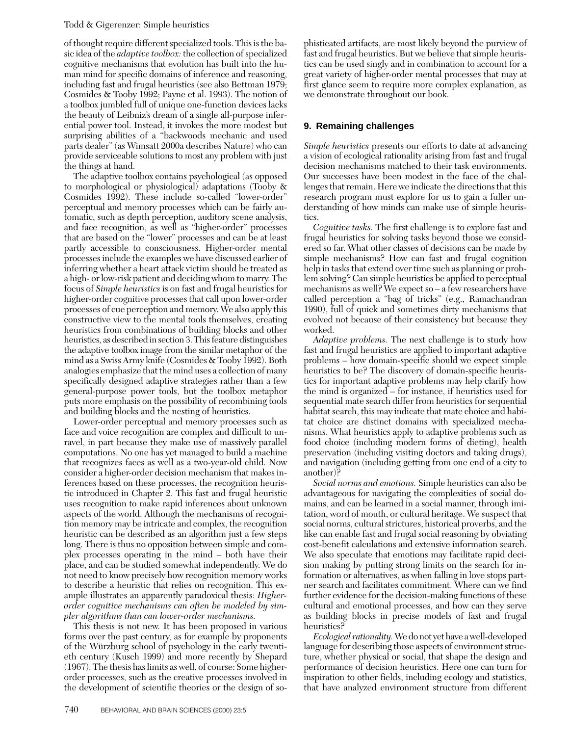#### Todd & Gigerenzer: Simple heuristics

of thought require different specialized tools. This is the basic idea of the *adaptive toolbox:* the collection of specialized cognitive mechanisms that evolution has built into the human mind for specific domains of inference and reasoning, including fast and frugal heuristics (see also Bettman 1979; Cosmides & Tooby 1992; Payne et al. 1993). The notion of a toolbox jumbled full of unique one-function devices lacks the beauty of Leibniz's dream of a single all-purpose inferential power tool. Instead, it invokes the more modest but surprising abilities of a "backwoods mechanic and used parts dealer" (as Wimsatt 2000a describes Nature) who can provide serviceable solutions to most any problem with just the things at hand.

The adaptive toolbox contains psychological (as opposed to morphological or physiological) adaptations (Tooby & Cosmides 1992). These include so-called "lower-order" perceptual and memory processes which can be fairly automatic, such as depth perception, auditory scene analysis, and face recognition, as well as "higher-order" processes that are based on the "lower" processes and can be at least partly accessible to consciousness. Higher-order mental processes include the examples we have discussed earlier of inferring whether a heart attack victim should be treated as a high- or low-risk patient and deciding whom to marry. The focus of *Simple heuristics* is on fast and frugal heuristics for higher-order cognitive processes that call upon lower-order processes of cue perception and memory. We also apply this constructive view to the mental tools themselves, creating heuristics from combinations of building blocks and other heuristics, as described in section 3. This feature distinguishes the adaptive toolbox image from the similar metaphor of the mind as a Swiss Army knife (Cosmides & Tooby 1992). Both analogies emphasize that the mind uses a collection of many specifically designed adaptive strategies rather than a few general-purpose power tools, but the toolbox metaphor puts more emphasis on the possibility of recombining tools and building blocks and the nesting of heuristics.

Lower-order perceptual and memory processes such as face and voice recognition are complex and difficult to unravel, in part because they make use of massively parallel computations. No one has yet managed to build a machine that recognizes faces as well as a two-year-old child. Now consider a higher-order decision mechanism that makes inferences based on these processes, the recognition heuristic introduced in Chapter 2. This fast and frugal heuristic uses recognition to make rapid inferences about unknown aspects of the world. Although the mechanisms of recognition memory may be intricate and complex, the recognition heuristic can be described as an algorithm just a few steps long. There is thus no opposition between simple and complex processes operating in the mind – both have their place, and can be studied somewhat independently. We do not need to know precisely how recognition memory works to describe a heuristic that relies on recognition. This example illustrates an apparently paradoxical thesis: *Higherorder cognitive mechanisms can often be modeled by simpler algorithms than can lower-order mechanisms.*

This thesis is not new. It has been proposed in various forms over the past century, as for example by proponents of the Würzburg school of psychology in the early twentieth century (Kusch 1999) and more recently by Shepard (1967). The thesis has limits as well, of course: Some higherorder processes, such as the creative processes involved in the development of scientific theories or the design of so-

phisticated artifacts, are most likely beyond the purview of fast and frugal heuristics. But we believe that simple heuristics can be used singly and in combination to account for a great variety of higher-order mental processes that may at first glance seem to require more complex explanation, as we demonstrate throughout our book.

## **9. Remaining challenges**

*Simple heuristics* presents our efforts to date at advancing a vision of ecological rationality arising from fast and frugal decision mechanisms matched to their task environments. Our successes have been modest in the face of the challenges that remain. Here we indicate the directions that this research program must explore for us to gain a fuller understanding of how minds can make use of simple heuristics.

*Cognitive tasks.* The first challenge is to explore fast and frugal heuristics for solving tasks beyond those we considered so far. What other classes of decisions can be made by simple mechanisms? How can fast and frugal cognition help in tasks that extend over time such as planning or problem solving? Can simple heuristics be applied to perceptual mechanisms as well? We expect so – a few researchers have called perception a "bag of tricks" (e.g., Ramachandran 1990), full of quick and sometimes dirty mechanisms that evolved not because of their consistency but because they worked.

*Adaptive problems.* The next challenge is to study how fast and frugal heuristics are applied to important adaptive problems – how domain-specific should we expect simple heuristics to be? The discovery of domain-specific heuristics for important adaptive problems may help clarify how the mind is organized – for instance, if heuristics used for sequential mate search differ from heuristics for sequential habitat search, this may indicate that mate choice and habitat choice are distinct domains with specialized mechanisms. What heuristics apply to adaptive problems such as food choice (including modern forms of dieting), health preservation (including visiting doctors and taking drugs), and navigation (including getting from one end of a city to another)?

*Social norms and emotions.* Simple heuristics can also be advantageous for navigating the complexities of social domains, and can be learned in a social manner, through imitation, word of mouth, or cultural heritage. We suspect that social norms, cultural strictures, historical proverbs, and the like can enable fast and frugal social reasoning by obviating cost-benefit calculations and extensive information search. We also speculate that emotions may facilitate rapid decision making by putting strong limits on the search for information or alternatives, as when falling in love stops partner search and facilitates commitment. Where can we find further evidence for the decision-making functions of these cultural and emotional processes, and how can they serve as building blocks in precise models of fast and frugal heuristics?

*Ecological rationality.*We do not yet have a well-developed language for describing those aspects of environment structure, whether physical or social, that shape the design and performance of decision heuristics. Here one can turn for inspiration to other fields, including ecology and statistics, that have analyzed environment structure from different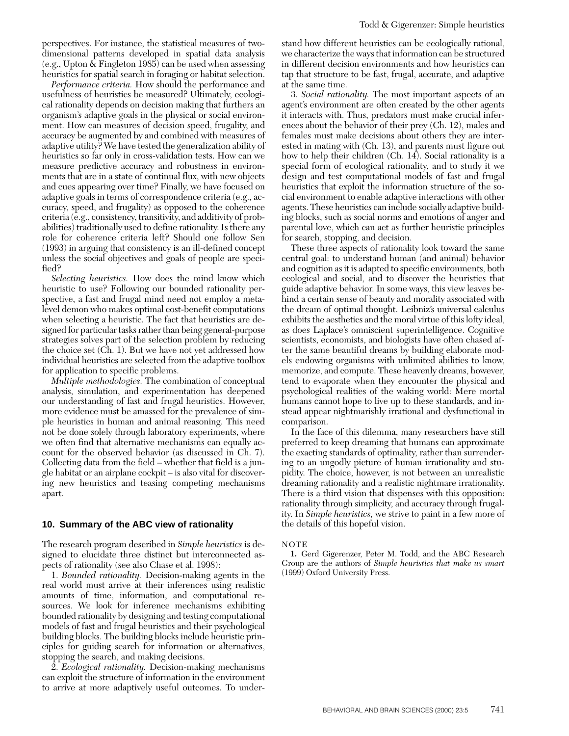*Performance criteria.* How should the performance and usefulness of heuristics be measured? Ultimately, ecological rationality depends on decision making that furthers an organism's adaptive goals in the physical or social environment. How can measures of decision speed, frugality, and accuracy be augmented by and combined with measures of adaptive utility? We have tested the generalization ability of heuristics so far only in cross-validation tests. How can we measure predictive accuracy and robustness in environments that are in a state of continual flux, with new objects and cues appearing over time? Finally, we have focused on adaptive goals in terms of correspondence criteria (e.g., accuracy, speed, and frugality) as opposed to the coherence criteria (e.g., consistency, transitivity, and additivity of probabilities) traditionally used to define rationality. Is there any role for coherence criteria left? Should one follow Sen (1993) in arguing that consistency is an ill-defined concept unless the social objectives and goals of people are specified?

*Selecting heuristics.* How does the mind know which heuristic to use? Following our bounded rationality perspective, a fast and frugal mind need not employ a metalevel demon who makes optimal cost-benefit computations when selecting a heuristic. The fact that heuristics are designed for particular tasks rather than being general-purpose strategies solves part of the selection problem by reducing the choice set (Ch. 1). But we have not yet addressed how individual heuristics are selected from the adaptive toolbox for application to specific problems.

*Multiple methodologies.* The combination of conceptual analysis, simulation, and experimentation has deepened our understanding of fast and frugal heuristics. However, more evidence must be amassed for the prevalence of simple heuristics in human and animal reasoning. This need not be done solely through laboratory experiments, where we often find that alternative mechanisms can equally account for the observed behavior (as discussed in Ch. 7). Collecting data from the field – whether that field is a jungle habitat or an airplane cockpit – is also vital for discovering new heuristics and teasing competing mechanisms apart.

## **10. Summary of the ABC view of rationality**

The research program described in *Simple heuristics* is designed to elucidate three distinct but interconnected aspects of rationality (see also Chase et al. 1998):

1. *Bounded rationality.* Decision-making agents in the real world must arrive at their inferences using realistic amounts of time, information, and computational resources. We look for inference mechanisms exhibiting bounded rationality by designing and testing computational models of fast and frugal heuristics and their psychological building blocks. The building blocks include heuristic principles for guiding search for information or alternatives, stopping the search, and making decisions.

2. *Ecological rationality.* Decision-making mechanisms can exploit the structure of information in the environment to arrive at more adaptively useful outcomes. To under-

stand how different heuristics can be ecologically rational, we characterize the ways that information can be structured in different decision environments and how heuristics can tap that structure to be fast, frugal, accurate, and adaptive at the same time.

3. *Social rationality.* The most important aspects of an agent's environment are often created by the other agents it interacts with. Thus, predators must make crucial inferences about the behavior of their prey (Ch. 12), males and females must make decisions about others they are interested in mating with (Ch. 13), and parents must figure out how to help their children (Ch. 14). Social rationality is a special form of ecological rationality, and to study it we design and test computational models of fast and frugal heuristics that exploit the information structure of the social environment to enable adaptive interactions with other agents. These heuristics can include socially adaptive building blocks, such as social norms and emotions of anger and parental love, which can act as further heuristic principles for search, stopping, and decision.

These three aspects of rationality look toward the same central goal: to understand human (and animal) behavior and cognition as it is adapted to specific environments, both ecological and social, and to discover the heuristics that guide adaptive behavior. In some ways, this view leaves behind a certain sense of beauty and morality associated with the dream of optimal thought. Leibniz's universal calculus exhibits the aesthetics and the moral virtue of this lofty ideal, as does Laplace's omniscient superintelligence. Cognitive scientists, economists, and biologists have often chased after the same beautiful dreams by building elaborate models endowing organisms with unlimited abilities to know, memorize, and compute. These heavenly dreams, however, tend to evaporate when they encounter the physical and psychological realities of the waking world: Mere mortal humans cannot hope to live up to these standards, and instead appear nightmarishly irrational and dysfunctional in comparison.

In the face of this dilemma, many researchers have still preferred to keep dreaming that humans can approximate the exacting standards of optimality, rather than surrendering to an ungodly picture of human irrationality and stupidity. The choice, however, is not between an unrealistic dreaming rationality and a realistic nightmare irrationality. There is a third vision that dispenses with this opposition: rationality through simplicity, and accuracy through frugality. In *Simple heuristics,* we strive to paint in a few more of the details of this hopeful vision.

#### **NOTE**

**1.** Gerd Gigerenzer, Peter M. Todd, and the ABC Research Group are the authors of *Simple heuristics that make us smart* (1999) Oxford University Press.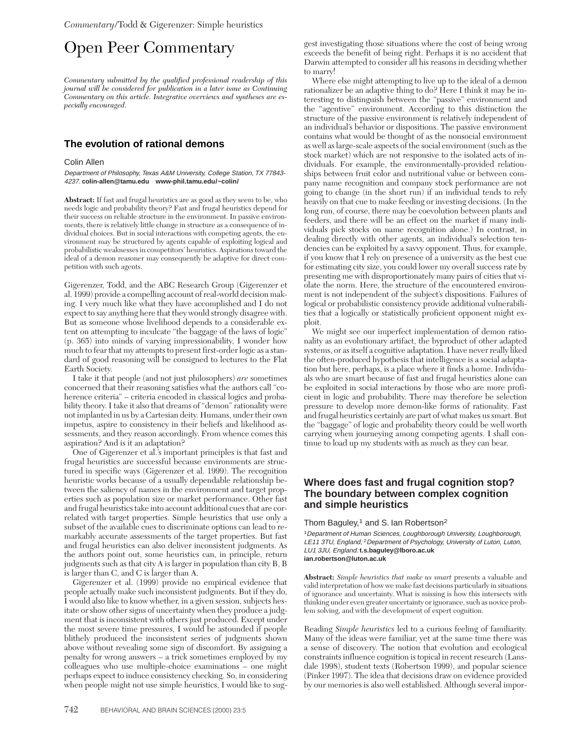# Open Peer Commentary

*Commentary submitted by the qualified professional readership of this journal will be considered for publication in a later issue as Continuing Commentary on this article. Integrative overviews and syntheses are especially encouraged.*

## **The evolution of rational demons**

#### Colin Allen

Department of Philosophy, Texas A&M University, College Station, TX 77843- 4237. **colin-allen@tamu.edu www-phil.tamu.edu/~colin/**

**Abstract:** If fast and frugal heuristics are as good as they seem to be, who needs logic and probability theory? Fast and frugal heuristics depend for their success on reliable structure in the environment. In passive environments, there is relatively little change in structure as a consequence of individual choices. But in social interactions with competing agents, the environment may be structured by agents capable of exploiting logical and probabilistic weaknesses in competitors' heuristics. Aspirations toward the ideal of a demon reasoner may consequently be adaptive for direct competition with such agents.

Gigerenzer, Todd, and the ABC Research Group (Gigerenzer et al. 1999) provide a compelling account of real-world decision making. I very much like what they have accomplished and I do not expect to say anything here that they would strongly disagree with. But as someone whose livelihood depends to a considerable extent on attempting to inculcate "the baggage of the laws of logic" (p. 365) into minds of varying impressionability, I wonder how much to fear that my attempts to present first-order logic as a standard of good reasoning will be consigned to lectures to the Flat Earth Society.

I take it that people (and not just philosophers) *are* sometimes concerned that their reasoning satisfies what the authors call "coherence criteria" – criteria encoded in classical logics and probability theory. I take it also that dreams of "demon" rationality were not implanted in us by a Cartesian deity. Humans, under their own impetus, aspire to consistency in their beliefs and likelihood assessments, and they reason accordingly. From whence comes this aspiration? And is it an adaptation?

One of Gigerenzer et al.'s important principles is that fast and frugal heuristics are successful because environments are structured in specific ways (Gigerenzer et al. 1999). The recognition heuristic works because of a usually dependable relationship between the saliency of names in the environment and target properties such as population size or market performance. Other fast and frugal heuristics take into account additional cues that are correlated with target properties. Simple heuristics that use only a subset of the available cues to discriminate options can lead to remarkably accurate assessments of the target properties. But fast and frugal heuristics can also deliver inconsistent judgments. As the authors point out, some heuristics can, in principle, return judgments such as that city A is larger in population than city B, B is larger than C, and C is larger than A.

Gigerenzer et al. (1999) provide no empirical evidence that people actually make such inconsistent judgments. But if they do, I would also like to know whether, in a given session, subjects hesitate or show other signs of uncertainty when they produce a judgment that is inconsistent with others just produced. Except under the most severe time pressures, I would be astounded if people blithely produced the inconsistent series of judgments shown above without revealing some sign of discomfort. By assigning a penalty for wrong answers – a trick sometimes employed by my colleagues who use multiple-choice examinations – one might perhaps expect to induce consistency checking. So, in considering when people might not use simple heuristics, I would like to suggest investigating those situations where the cost of being wrong exceeds the benefit of being right. Perhaps it is no accident that Darwin attempted to consider all his reasons in deciding whether to marry!

Where else might attempting to live up to the ideal of a demon rationalizer be an adaptive thing to do? Here I think it may be interesting to distinguish between the "passive" environment and the "agentive" environment. According to this distinction the structure of the passive environment is relatively independent of an individual's behavior or dispositions. The passive environment contains what would be thought of as the nonsocial environment as well as large-scale aspects of the social environment (such as the stock market) which are not responsive to the isolated acts of individuals. For example, the environmentally-provided relationships between fruit color and nutritional value or between company name recognition and company stock performance are not going to change (in the short run) if an individual tends to rely heavily on that cue to make feeding or investing decisions. (In the long run, of course, there may be coevolution between plants and feeders, and there will be an effect on the market if many individuals pick stocks on name recognition alone.) In contrast, in dealing directly with other agents, an individual's selection tendencies can be exploited by a savvy opponent. Thus, for example, if you know that I rely on presence of a university as the best cue for estimating city size, you could lower my overall success rate by presenting me with disproportionately many pairs of cities that violate the norm. Here, the structure of the encountered environment is not independent of the subject's dispositions. Failures of logical or probabilistic consistency provide additional vulnerabilities that a logically or statistically proficient opponent might exploit.

We might see our imperfect implementation of demon rationality as an evolutionary artifact, the byproduct of other adapted systems, or as itself a cognitive adaptation. I have never really liked the often-produced hypothesis that intelligence is a social adaptation but here, perhaps, is a place where it finds a home. Individuals who are smart because of fast and frugal heuristics alone can be exploited in social interactions by those who are more proficient in logic and probability. There may therefore be selection pressure to develop more demon-like forms of rationality. Fast and frugal heuristics certainly are part of what makes us smart. But the "baggage" of logic and probability theory could be well worth carrying when journeying among competing agents. I shall continue to load up my students with as much as they can bear.

## **Where does fast and frugal cognition stop? The boundary between complex cognition and simple heuristics**

Thom Baguley,<sup>1</sup> and S. Ian Robertson<sup>2</sup>

<sup>1</sup>Department of Human Sciences, Loughborough University, Loughborough, LE11 3TU, England; <sup>2</sup>Department of Psychology, University of Luton, Luton, LU1 3JU, England. **t.s.baguley@lboro.ac.uk ian.robertson@luton.ac.uk**

**Abstract:** *Simple heuristics that make us smart* presents a valuable and valid interpretation of how we make fast decisions particularly in situations of ignorance and uncertainty. What is missing is how this intersects with thinking under even greater uncertainty or ignorance, such as novice problem solving, and with the development of expert cognition.

Reading *Simple heuristics* led to a curious feeling of familiarity. Many of the ideas were familiar, yet at the same time there was a sense of discovery. The notion that evolution and ecological constraints influence cognition is topical in recent research (Lansdale 1998), student texts (Robertson 1999), and popular science (Pinker 1997). The idea that decisions draw on evidence provided by our memories is also well established. Although several impor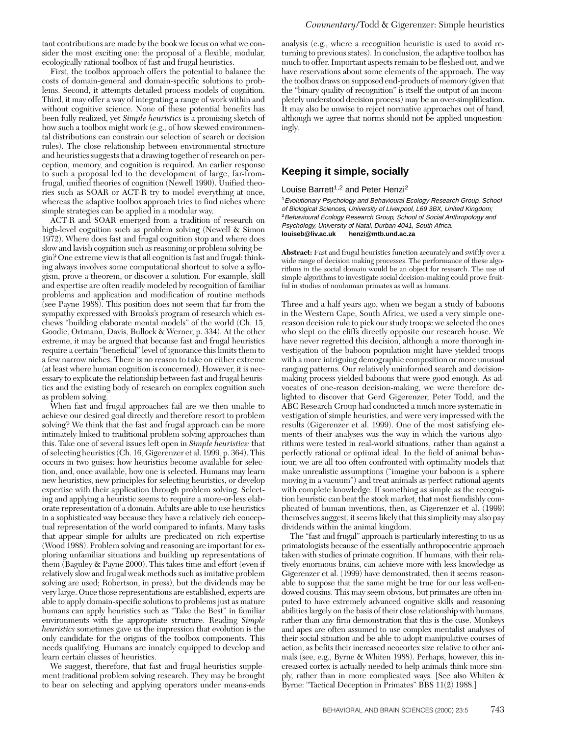tant contributions are made by the book we focus on what we consider the most exciting one: the proposal of a flexible, modular, ecologically rational toolbox of fast and frugal heuristics.

First, the toolbox approach offers the potential to balance the costs of domain-general and domain-specific solutions to problems. Second, it attempts detailed process models of cognition. Third, it may offer a way of integrating a range of work within and without cognitive science. None of these potential benefits has been fully realized, yet *Simple heuristics* is a promising sketch of how such a toolbox might work (e.g., of how skewed environmental distributions can constrain our selection of search or decision rules). The close relationship between environmental structure and heuristics suggests that a drawing together of research on perception, memory, and cognition is required. An earlier response to such a proposal led to the development of large, far-fromfrugal, unified theories of cognition (Newell 1990). Unified theories such as SOAR or ACT-R try to model everything at once, whereas the adaptive toolbox approach tries to find niches where simple strategies can be applied in a modular way.

ACT-R and SOAR emerged from a tradition of research on high-level cognition such as problem solving (Newell & Simon 1972). Where does fast and frugal cognition stop and where does slow and lavish cognition such as reasoning or problem solving begin? One extreme view is that all cognition is fast and frugal: thinking always involves some computational shortcut to solve a syllogism, prove a theorem, or discover a solution. For example, skill and expertise are often readily modeled by recognition of familiar problems and application and modification of routine methods (see Payne 1988). This position does not seem that far from the sympathy expressed with Brooks's program of research which eschews "building elaborate mental models" of the world (Ch. 15, Goodie, Ortmann, Davis, Bullock & Werner, p. 334). At the other extreme, it may be argued that because fast and frugal heuristics require a certain "beneficial" level of ignorance this limits them to a few narrow niches. There is no reason to take on either extreme (at least where human cognition is concerned). However, it is necessary to explicate the relationship between fast and frugal heuristics and the existing body of research on complex cognition such as problem solving.

When fast and frugal approaches fail are we then unable to achieve our desired goal directly and therefore resort to problem solving? We think that the fast and frugal approach can be more intimately linked to traditional problem solving approaches than this. Take one of several issues left open in *Simple heuristics:* that of selecting heuristics (Ch. 16, Gigerenzer et al. 1999, p. 364). This occurs in two guises: how heuristics become available for selection, and, once available, how one is selected. Humans may learn new heuristics, new principles for selecting heuristics, or develop expertise with their application through problem solving. Selecting and applying a heuristic seems to require a more-or-less elaborate representation of a domain. Adults are able to use heuristics in a sophisticated way because they have a relatively rich conceptual representation of the world compared to infants. Many tasks that appear simple for adults are predicated on rich expertise (Wood 1988). Problem solving and reasoning are important for exploring unfamiliar situations and building up representations of them (Baguley & Payne 2000). This takes time and effort (even if relatively slow and frugal weak methods such as imitative problem solving are used; Robertson, in press), but the dividends may be very large. Once those representations are established, experts are able to apply domain-specific solutions to problems just as mature humans can apply heuristics such as "Take the Best" in familiar environments with the appropriate structure. Reading *Simple heuristics* sometimes gave us the impression that evolution is the only candidate for the origins of the toolbox components. This needs qualifying. Humans are innately equipped to develop and learn certain classes of heuristics.

We suggest, therefore, that fast and frugal heuristics supplement traditional problem solving research. They may be brought to bear on selecting and applying operators under means-ends analysis (e.g., where a recognition heuristic is used to avoid returning to previous states). In conclusion, the adaptive toolbox has much to offer. Important aspects remain to be fleshed out, and we have reservations about some elements of the approach. The way the toolbox draws on supposed end-products of memory (given that the "binary quality of recognition" is itself the output of an incompletely understood decision process) may be an over-simplification. It may also be unwise to reject normative approaches out of hand, although we agree that norms should not be applied unquestioningly.

## **Keeping it simple, socially**

#### Louise Barrett<sup>1,2</sup> and Peter Henzi<sup>2</sup>

<sup>1</sup>Evolutionary Psychology and Behavioural Ecology Research Group, School of Biological Sciences, University of Liverpool, L69 3BX, United Kingdom; <sup>2</sup>Behavioural Ecology Research Group, School of Social Anthropology and Psychology, University of Natal, Durban 4041, South Africa. **louiseb@liv.ac.uk henzi@mtb.und.ac.za**

**Abstract:** Fast and frugal heuristics function accurately and swiftly over a wide range of decision making processes. The performance of these algorithms in the social domain would be an object for research. The use of simple algorithms to investigate social decision-making could prove fruitful in studies of nonhuman primates as well as humans.

Three and a half years ago, when we began a study of baboons in the Western Cape, South Africa, we used a very simple onereason decision rule to pick our study troops: we selected the ones who slept on the cliffs directly opposite our research house. We have never regretted this decision, although a more thorough investigation of the baboon population might have yielded troops with a more intriguing demographic composition or more unusual ranging patterns. Our relatively uninformed search and decisionmaking process yielded baboons that were good enough. As advocates of one-reason decision-making, we were therefore delighted to discover that Gerd Gigerenzer, Peter Todd, and the ABC Research Group had conducted a much more systematic investigation of simple heuristics, and were very impressed with the results (Gigerenzer et al. 1999). One of the most satisfying elements of their analyses was the way in which the various algorithms were tested in real-world situations, rather than against a perfectly rational or optimal ideal. In the field of animal behaviour, we are all too often confronted with optimality models that make unrealistic assumptions ("imagine your baboon is a sphere moving in a vacuum") and treat animals as perfect rational agents with complete knowledge. If something as simple as the recognition heuristic can beat the stock market, that most fiendishly complicated of human inventions, then, as Gigerenzer et al. (1999) themselves suggest, it seems likely that this simplicity may also pay dividends within the animal kingdom.

The "fast and frugal" approach is particularly interesting to us as primatologists because of the essentially anthropocentric approach taken with studies of primate cognition. If humans, with their relatively enormous brains, can achieve more with less knowledge as Gigerenzer et al. (1999) have demonstrated, then it seems reasonable to suppose that the same might be true for our less well-endowed cousins. This may seem obvious, but primates are often imputed to have extremely advanced cognitive skills and reasoning abilities largely on the basis of their close relationship with humans, rather than any firm demonstration that this is the case. Monkeys and apes are often assumed to use complex mentalist analyses of their social situation and be able to adopt manipulative courses of action, as befits their increased neocortex size relative to other animals (see, e.g., Byrne & Whiten 1988). Perhaps, however, this increased cortex is actually needed to help animals think more simply, rather than in more complicated ways. [See also Whiten & Byrne: "Tactical Deception in Primates" BBS 11(2) 1988.]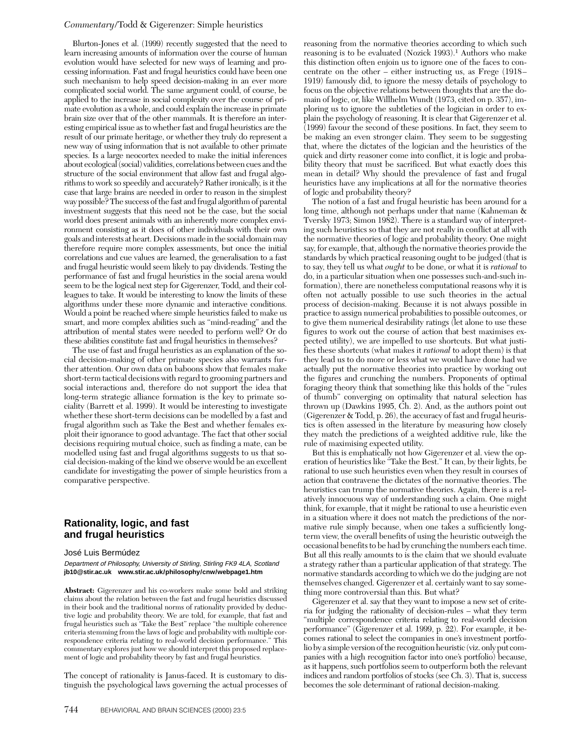Blurton-Jones et al. (1999) recently suggested that the need to learn increasing amounts of information over the course of human evolution would have selected for new ways of learning and processing information. Fast and frugal heuristics could have been one such mechanism to help speed decision-making in an ever more complicated social world. The same argument could, of course, be applied to the increase in social complexity over the course of primate evolution as a whole, and could explain the increase in primate brain size over that of the other mammals. It is therefore an interesting empirical issue as to whether fast and frugal heuristics are the result of our primate heritage, or whether they truly do represent a new way of using information that is not available to other primate species. Is a large neocortex needed to make the initial inferences about ecological (social) validities, correlations between cues and the structure of the social environment that allow fast and frugal algorithms to work so speedily and accurately? Rather ironically, is it the case that large brains are needed in order to reason in the simplest way possible? The success of the fast and frugal algorithm of parental investment suggests that this need not be the case, but the social world does present animals with an inherently more complex environment consisting as it does of other individuals with their own goals and interests at heart. Decisions made in the social domain may therefore require more complex assessments, but once the initial correlations and cue values are learned, the generalisation to a fast and frugal heuristic would seem likely to pay dividends. Testing the performance of fast and frugal heuristics in the social arena would seem to be the logical next step for Gigerenzer, Todd, and their colleagues to take. It would be interesting to know the limits of these algorithms under these more dynamic and interactive conditions. Would a point be reached where simple heuristics failed to make us smart, and more complex abilities such as "mind-reading" and the attribution of mental states were needed to perform well? Or do these abilities constitute fast and frugal heuristics in themselves?

The use of fast and frugal heuristics as an explanation of the social decision-making of other primate species also warrants further attention. Our own data on baboons show that females make short-term tactical decisions with regard to grooming partners and social interactions and, therefore do not support the idea that long-term strategic alliance formation is the key to primate sociality (Barrett et al. 1999). It would be interesting to investigate whether these short-term decisions can be modelled by a fast and frugal algorithm such as Take the Best and whether females exploit their ignorance to good advantage. The fact that other social decisions requiring mutual choice, such as finding a mate, can be modelled using fast and frugal algorithms suggests to us that social decision-making of the kind we observe would be an excellent candidate for investigating the power of simple heuristics from a comparative perspective.

## **Rationality, logic, and fast and frugal heuristics**

José Luis Bermúdez

Department of Philosophy, University of Stirling, Stirling FK9 4LA, Scotland **jb10@stir.ac.uk www.stir.ac.uk/philosophy/cnw/webpage1.htm**

**Abstract:** Gigerenzer and his co-workers make some bold and striking claims about the relation between the fast and frugal heuristics discussed in their book and the traditional norms of rationality provided by deductive logic and probability theory. We are told, for example, that fast and frugal heuristics such as "Take the Best" replace "the multiple coherence criteria stemming from the laws of logic and probability with multiple correspondence criteria relating to real-world decision performance." This commentary explores just how we should interpret this proposed replacement of logic and probability theory by fast and frugal heuristics.

The concept of rationality is Janus-faced. It is customary to distinguish the psychological laws governing the actual processes of

744 BEHAVIORAL AND BRAIN SCIENCES (2000) 23:5

reasoning from the normative theories according to which such reasoning is to be evaluated (Nozick 1993).<sup>1</sup> Authors who make this distinction often enjoin us to ignore one of the faces to concentrate on the other – either instructing us, as Frege (1918– 1919) famously did, to ignore the messy details of psychology to focus on the objective relations between thoughts that are the domain of logic, or, like Willhelm Wundt (1973, cited on p. 357), imploring us to ignore the subtleties of the logician in order to explain the psychology of reasoning. It is clear that Gigerenzer et al. (1999) favour the second of these positions. In fact, they seem to be making an even stronger claim. They seem to be suggesting that, where the dictates of the logician and the heuristics of the quick and dirty reasoner come into conflict, it is logic and probability theory that must be sacrificed. But what exactly does this mean in detail? Why should the prevalence of fast and frugal heuristics have any implications at all for the normative theories of logic and probability theory?

The notion of a fast and frugal heuristic has been around for a long time, although not perhaps under that name (Kahneman & Tversky 1973; Simon 1982). There is a standard way of interpreting such heuristics so that they are not really in conflict at all with the normative theories of logic and probability theory. One might say, for example, that, although the normative theories provide the standards by which practical reasoning ought to be judged (that is to say, they tell us what *ought* to be done, or what it is *rational* to do, in a particular situation when one possesses such-and-such information), there are nonetheless computational reasons why it is often not actually possible to use such theories in the actual process of decision-making. Because it is not always possible in practice to assign numerical probabilities to possible outcomes, or to give them numerical desirability ratings (let alone to use these figures to work out the course of action that best maximises expected utility), we are impelled to use shortcuts. But what justifies these shortcuts (what makes it *rational* to adopt them) is that they lead us to do more or less what we would have done had we actually put the normative theories into practice by working out the figures and crunching the numbers. Proponents of optimal foraging theory think that something like this holds of the "rules of thumb" converging on optimality that natural selection has thrown up (Dawkins 1995, Ch. 2). And, as the authors point out (Gigerenzer & Todd, p. 26), the accuracy of fast and frugal heuristics is often assessed in the literature by measuring how closely they match the predictions of a weighted additive rule, like the rule of maximising expected utility.

But this is emphatically not how Gigerenzer et al. view the operation of heuristics like "Take the Best." It can, by their lights, be rational to use such heuristics even when they result in courses of action that contravene the dictates of the normative theories. The heuristics can trump the normative theories. Again, there is a relatively innocuous way of understanding such a claim. One might think, for example, that it might be rational to use a heuristic even in a situation where it does not match the predictions of the normative rule simply because, when one takes a sufficiently longterm view, the overall benefits of using the heuristic outweigh the occasional benefits to be had by crunching the numbers each time. But all this really amounts to is the claim that we should evaluate a strategy rather than a particular application of that strategy. The normative standards according to which we do the judging are not themselves changed. Gigerenzer et al. certainly want to say something more controversial than this. But what?

Gigerenzer et al. say that they want to impose a new set of criteria for judging the rationality of decision-rules – what they term "multiple correspondence criteria relating to real-world decision performance" (Gigerenzer et al. 1999, p. 22). For example, it becomes rational to select the companies in one's investment portfolio by a simple version of the recognition heuristic (viz. only put companies with a high recognition factor into one's portfolio) because, as it happens, such portfolios seem to outperform both the relevant indices and random portfolios of stocks (see Ch. 3). That is, success becomes the sole determinant of rational decision-making.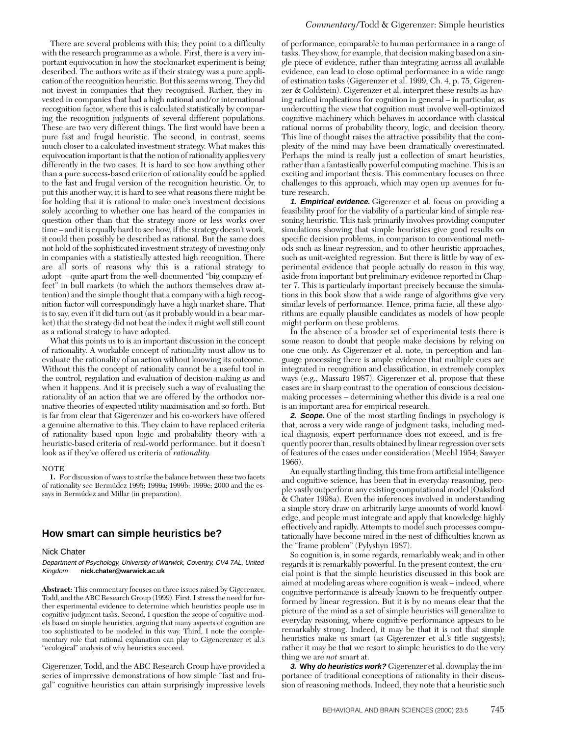There are several problems with this; they point to a difficulty with the research programme as a whole. First, there is a very important equivocation in how the stockmarket experiment is being described. The authors write as if their strategy was a pure application of the recognition heuristic. But this seems wrong. They did not invest in companies that they recognised. Rather, they invested in companies that had a high national and/or international recognition factor, where this is calculated statistically by comparing the recognition judgments of several different populations. These are two very different things. The first would have been a pure fast and frugal heuristic. The second, in contrast, seems much closer to a calculated investment strategy. What makes this equivocation important is that the notion of rationality applies very differently in the two cases. It is hard to see how anything other than a pure success-based criterion of rationality could be applied to the fast and frugal version of the recognition heuristic. Or, to put this another way, it is hard to see what reasons there might be for holding that it is rational to make one's investment decisions solely according to whether one has heard of the companies in question other than that the strategy more or less works over time – and it is equally hard to see how, if the strategy doesn't work, it could then possibly be described as rational. But the same does not hold of the sophisticated investment strategy of investing only in companies with a statistically attested high recognition. There are all sorts of reasons why this is a rational strategy to adopt – quite apart from the well-documented "big company effect" in bull markets (to which the authors themselves draw attention) and the simple thought that a company with a high recognition factor will correspondingly have a high market share. That is to say, even if it did turn out (as it probably would in a bear market) that the strategy did not beat the index it might well still count as a rational strategy to have adopted.

What this points us to is an important discussion in the concept of rationality. A workable concept of rationality must allow us to evaluate the rationality of an action without knowing its outcome. Without this the concept of rationality cannot be a useful tool in the control, regulation and evaluation of decision-making as and when it happens. And it is precisely such a way of evaluating the rationality of an action that we are offered by the orthodox normative theories of expected utility maximisation and so forth. But is far from clear that Gigerenzer and his co-workers have offered a genuine alternative to this. They claim to have replaced criteria of rationality based upon logic and probability theory with a heuristic-based criteria of real-world performance. but it doesn't look as if they've offered us criteria of *rationality.*

#### **NOTE**

**1.** For discussion of ways to strike the balance between these two facets of rationality see Bermúdez 1998; 1999a; 1999b; 1999c; 2000 and the essays in Bermúdez and Millar (in preparation).

#### **How smart can simple heuristics be?**

#### Nick Chater

Department of Psychology, University of Warwick, Coventry, CV4 7AL, United Kingdom **nick.chater@warwick.ac.uk**

**Abstract:** This commentary focuses on three issues raised by Gigerenzer, Todd, and the ABC Research Group (1999). First, I stress the need for further experimental evidence to determine which heuristics people use in cognitive judgment tasks. Second, I question the scope of cognitive models based on simple heuristics, arguing that many aspects of cognition are too sophisticated to be modeled in this way. Third, I note the complementary role that rational explanation can play to Gigenerenzer et al.'s "ecological" analysis of why heuristics succeed.

Gigerenzer, Todd, and the ABC Research Group have provided a series of impressive demonstrations of how simple "fast and frugal" cognitive heuristics can attain surprisingly impressive levels of performance, comparable to human performance in a range of tasks. They show, for example, that decision making based on a single piece of evidence, rather than integrating across all available evidence, can lead to close optimal performance in a wide range of estimation tasks (Gigerenzer et al. 1999, Ch. 4, p. 75, Gigerenzer & Goldstein). Gigerenzer et al. interpret these results as having radical implications for cognition in general – in particular, as undercutting the view that cognition must involve well-optimized cognitive machinery which behaves in accordance with classical rational norms of probability theory, logic, and decision theory. This line of thought raises the attractive possibility that the complexity of the mind may have been dramatically overestimated. Perhaps the mind is really just a collection of smart heuristics, rather than a fantastically powerful computing machine. This is an exciting and important thesis. This commentary focuses on three challenges to this approach, which may open up avenues for future research.

**1. Empirical evidence.** Gigerenzer et al. focus on providing a feasibility proof for the viability of a particular kind of simple reasoning heuristic. This task primarily involves providing computer simulations showing that simple heuristics give good results on specific decision problems, in comparison to conventional methods such as linear regression, and to other heuristic approaches, such as unit-weighted regression. But there is little by way of experimental evidence that people actually do reason in this way, aside from important but preliminary evidence reported in Chapter 7. This is particularly important precisely because the simulations in this book show that a wide range of algorithms give very similar levels of performance. Hence, prima facie, all these algorithms are equally plausible candidates as models of how people might perform on these problems.

In the absence of a broader set of experimental tests there is some reason to doubt that people make decisions by relying on one cue only. As Gigerenzer et al. note, in perception and language processing there is ample evidence that multiple cues are integrated in recognition and classification, in extremely complex ways (e.g., Massaro 1987). Gigerenzer et al. propose that these cases are in sharp contrast to the operation of conscious decisionmaking processes – determining whether this divide is a real one is an important area for empirical research.

**2. Scope.** One of the most startling findings in psychology is that, across a very wide range of judgment tasks, including medical diagnosis, expert performance does not exceed, and is frequently poorer than, results obtained by linear regression over sets of features of the cases under consideration (Meehl 1954; Sawyer 1966).

An equally startling finding, this time from artificial intelligence and cognitive science, has been that in everyday reasoning, people vastly outperform any existing computational model (Oaksford & Chater 1998a). Even the inferences involved in understanding a simple story draw on arbitrarily large amounts of world knowledge, and people must integrate and apply that knowledge highly effectively and rapidly. Attempts to model such processes computationally have become mired in the nest of difficulties known as the "frame problem" (Pylyshyn 1987).

So cognition is, in some regards, remarkably weak; and in other regards it is remarkably powerful. In the present context, the crucial point is that the simple heuristics discussed in this book are aimed at modeling areas where cognition is weak – indeed, where cognitive performance is already known to be frequently outperformed by linear regression. But it is by no means clear that the picture of the mind as a set of simple heuristics will generalize to everyday reasoning, where cognitive performance appears to be remarkably strong. Indeed, it may be that it is not that simple heuristics make us smart (as Gigerenzer et al.'s title suggests); rather it may be that we resort to simple heuristics to do the very thing we are *not* smart at.

**3. Why do heuristics work?** Gigerenzer et al. downplay the importance of traditional conceptions of rationality in their discussion of reasoning methods. Indeed, they note that a heuristic such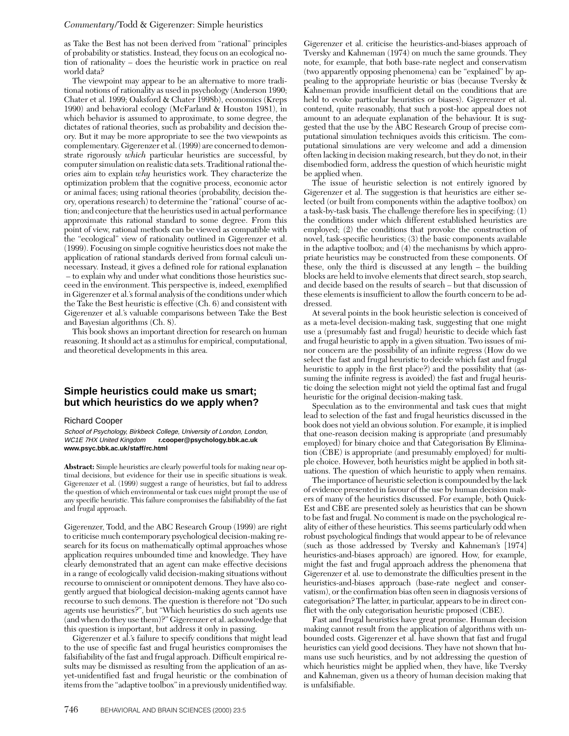as Take the Best has not been derived from "rational" principles of probability or statistics. Instead, they focus on an ecological notion of rationality – does the heuristic work in practice on real world data?

The viewpoint may appear to be an alternative to more traditional notions of rationality as used in psychology (Anderson 1990; Chater et al. 1999; Oaksford & Chater 1998b), economics (Kreps 1990) and behavioral ecology (McFarland & Houston 1981), in which behavior is assumed to approximate, to some degree, the dictates of rational theories, such as probability and decision theory. But it may be more appropriate to see the two viewpoints as complementary. Gigerenzer et al. (1999) are concerned to demonstrate rigorously *which* particular heuristics are successful, by computer simulation on realistic data sets. Traditional rational theories aim to explain *why* heuristics work. They characterize the optimization problem that the cognitive process, economic actor or animal faces; using rational theories (probability, decision theory, operations research) to determine the "rational" course of action; and conjecture that the heuristics used in actual performance approximate this rational standard to some degree. From this point of view, rational methods can be viewed as compatible with the "ecological" view of rationality outlined in Gigerenzer et al. (1999). Focusing on simple cognitive heuristics does not make the application of rational standards derived from formal calculi unnecessary. Instead, it gives a defined role for rational explanation – to explain why and under what conditions those heuristics succeed in the environment. This perspective is, indeed, exemplified in Gigerenzer et al.'s formal analysis of the conditions under which the Take the Best heuristic is effective (Ch. 6) and consistent with Gigerenzer et al.'s valuable comparisons between Take the Best and Bayesian algorithms (Ch. 8).

This book shows an important direction for research on human reasoning. It should act as a stimulus for empirical, computational, and theoretical developments in this area.

## **Simple heuristics could make us smart; but which heuristics do we apply when?**

#### Richard Cooper

School of Psychology, Birkbeck College, University of London, London, WC1E 7HX United Kingdom **r.cooper@psychology.bbk.ac.uk www.psyc.bbk.ac.uk/staff/rc.html**

**Abstract:** Simple heuristics are clearly powerful tools for making near optimal decisions, but evidence for their use in specific situations is weak. Gigerenzer et al. (1999) suggest a range of heuristics, but fail to address the question of which environmental or task cues might prompt the use of any specific heuristic. This failure compromises the falsifiability of the fast and frugal approach.

Gigerenzer, Todd, and the ABC Research Group (1999) are right to criticise much contemporary psychological decision-making research for its focus on mathematically optimal approaches whose application requires unbounded time and knowledge. They have clearly demonstrated that an agent can make effective decisions in a range of ecologically valid decision-making situations without recourse to omniscient or omnipotent demons. They have also cogently argued that biological decision-making agents cannot have recourse to such demons. The question is therefore not "Do such agents use heuristics?", but "Which heuristics do such agents use (and when do they use them)?" Gigerenzer et al. acknowledge that this question is important, but address it only in passing.

Gigerenzer et al.'s failure to specify conditions that might lead to the use of specific fast and frugal heuristics compromises the falsifiability of the fast and frugal approach. Difficult empirical results may be dismissed as resulting from the application of an asyet-unidentified fast and frugal heuristic or the combination of items from the "adaptive toolbox" in a previously unidentified way. Gigerenzer et al. criticise the heuristics-and-biases approach of Tversky and Kahneman (1974) on much the same grounds. They note, for example, that both base-rate neglect and conservatism (two apparently opposing phenomena) can be "explained" by appealing to the appropriate heuristic or bias (because Tversky & Kahneman provide insufficient detail on the conditions that are held to evoke particular heuristics or biases). Gigerenzer et al. contend, quite reasonably, that such a post-hoc appeal does not amount to an adequate explanation of the behaviour. It is suggested that the use by the ABC Research Group of precise computational simulation techniques avoids this criticism. The computational simulations are very welcome and add a dimension often lacking in decision making research, but they do not, in their disembodied form, address the question of which heuristic might be applied when.

The issue of heuristic selection is not entirely ignored by Gigerenzer et al. The suggestion is that heuristics are either selected (or built from components within the adaptive toolbox) on a task-by-task basis. The challenge therefore lies in specifying: (1) the conditions under which different established heuristics are employed; (2) the conditions that provoke the construction of novel, task-specific heuristics; (3) the basic components available in the adaptive toolbox; and (4) the mechanisms by which appropriate heuristics may be constructed from these components. Of these, only the third is discussed at any length – the building blocks are held to involve elements that direct search, stop search, and decide based on the results of search – but that discussion of these elements is insufficient to allow the fourth concern to be addressed.

At several points in the book heuristic selection is conceived of as a meta-level decision-making task, suggesting that one might use a (presumably fast and frugal) heuristic to decide which fast and frugal heuristic to apply in a given situation. Two issues of minor concern are the possibility of an infinite regress (How do we select the fast and frugal heuristic to decide which fast and frugal heuristic to apply in the first place?) and the possibility that (assuming the infinite regress is avoided) the fast and frugal heuristic doing the selection might not yield the optimal fast and frugal heuristic for the original decision-making task.

Speculation as to the environmental and task cues that might lead to selection of the fast and frugal heuristics discussed in the book does not yield an obvious solution. For example, it is implied that one-reason decision making is appropriate (and presumably employed) for binary choice and that Categorisation By Elimination (CBE) is appropriate (and presumably employed) for multiple choice. However, both heuristics might be applied in both situations. The question of which heuristic to apply when remains.

The importance of heuristic selection is compounded by the lack of evidence presented in favour of the use by human decision makers of many of the heuristics discussed. For example, both Quick-Est and CBE are presented solely as heuristics that can be shown to be fast and frugal. No comment is made on the psychological reality of either of these heuristics. This seems particularly odd when robust psychological findings that would appear to be of relevance (such as those addressed by Tversky and Kahneman's [1974] heuristics-and-biases approach) are ignored. How, for example, might the fast and frugal approach address the phenomena that Gigerenzer et al. use to demonstrate the difficulties present in the heuristics-and-biases approach (base-rate neglect and conservatism), or the confirmation bias often seen in diagnosis versions of categorisation? The latter, in particular, appears to be in direct conflict with the only categorisation heuristic proposed (CBE).

Fast and frugal heuristics have great promise. Human decision making cannot result from the application of algorithms with unbounded costs. Gigerenzer et al. have shown that fast and frugal heuristics can yield good decisions. They have not shown that humans use such heuristics, and by not addressing the question of which heuristics might be applied when, they have, like Tversky and Kahneman, given us a theory of human decision making that is unfalsifiable.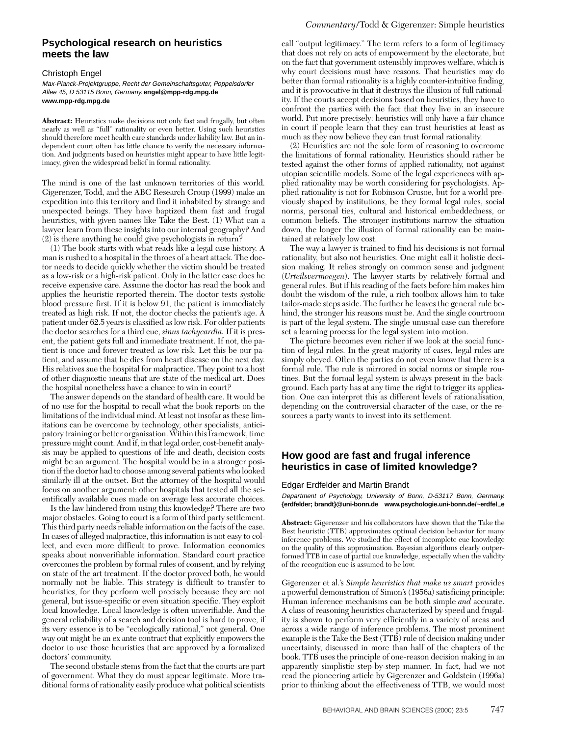## **Psychological research on heuristics meets the law**

#### Christoph Engel

Max-Planck-Projektgruppe, Recht der Gemeinschaftsguter, Poppelsdorfer Allee 45, D 53115 Bonn, Germany. **engel@mpp-rdg.mpg.de www.mpp-rdg.mpg.de**

**Abstract:** Heuristics make decisions not only fast and frugally, but often nearly as well as "full" rationality or even better. Using such heuristics should therefore meet health care standards under liability law. But an independent court often has little chance to verify the necessary information. And judgments based on heuristics might appear to have little legitimacy, given the widespread belief in formal rationality.

The mind is one of the last unknown territories of this world. Gigerenzer, Todd, and the ABC Research Group (1999) make an expedition into this territory and find it inhabited by strange and unexpected beings. They have baptized them fast and frugal heuristics, with given names like Take the Best. (1) What can a lawyer learn from these insights into our internal geography? And (2) is there anything he could give psychologists in return?

(1) The book starts with what reads like a legal case history. A man is rushed to a hospital in the throes of a heart attack. The doctor needs to decide quickly whether the victim should be treated as a low-risk or a high-risk patient. Only in the latter case does he receive expensive care. Assume the doctor has read the book and applies the heuristic reported therein. The doctor tests systolic blood pressure first. If it is below 91, the patient is immediately treated as high risk. If not, the doctor checks the patient's age. A patient under 62.5 years is classified as low risk. For older patients the doctor searches for a third cue, *sinus tachycardia.* If it is present, the patient gets full and immediate treatment. If not, the patient is once and forever treated as low risk. Let this be our patient, and assume that he dies from heart disease on the next day. His relatives sue the hospital for malpractice. They point to a host of other diagnostic means that are state of the medical art. Does the hospital nonetheless have a chance to win in court?

The answer depends on the standard of health care. It would be of no use for the hospital to recall what the book reports on the limitations of the individual mind. At least not insofar as these limitations can be overcome by technology, other specialists, anticipatory training or better organisation. Within this framework, time pressure might count. And if, in that legal order, cost-benefit analysis may be applied to questions of life and death, decision costs might be an argument. The hospital would be in a stronger position if the doctor had to choose among several patients who looked similarly ill at the outset. But the attorney of the hospital would focus on another argument: other hospitals that tested all the scientifically available cues made on average less accurate choices.

Is the law hindered from using this knowledge? There are two major obstacles. Going to court is a form of third party settlement. This third party needs reliable information on the facts of the case. In cases of alleged malpractice, this information is not easy to collect, and even more difficult to prove. Information economics speaks about nonverifiable information. Standard court practice overcomes the problem by formal rules of consent, and by relying on state of the art treatment. If the doctor proved both, he would normally not be liable. This strategy is difficult to transfer to heuristics, for they perform well precisely because they are not general, but issue-specific or even situation specific. They exploit local knowledge. Local knowledge is often unverifiable. And the general reliability of a search and decision tool is hard to prove, if its very essence is to be "ecologically rational," not general. One way out might be an ex ante contract that explicitly empowers the doctor to use those heuristics that are approved by a formalized doctors' community.

The second obstacle stems from the fact that the courts are part of government. What they do must appear legitimate. More traditional forms of rationality easily produce what political scientists

call "output legitimacy." The term refers to a form of legitimacy that does not rely on acts of empowerment by the electorate, but on the fact that government ostensibly improves welfare, which is why court decisions must have reasons. That heuristics may do better than formal rationality is a highly counter-intuitive finding, and it is provocative in that it destroys the illusion of full rationality. If the courts accept decisions based on heuristics, they have to confront the parties with the fact that they live in an insecure world. Put more precisely: heuristics will only have a fair chance in court if people learn that they can trust heuristics at least as much as they now believe they can trust formal rationality.

(2) Heuristics are not the sole form of reasoning to overcome the limitations of formal rationality. Heuristics should rather be tested against the other forms of applied rationality, not against utopian scientific models. Some of the legal experiences with applied rationality may be worth considering for psychologists. Applied rationality is not for Robinson Crusoe, but for a world previously shaped by institutions, be they formal legal rules, social norms, personal ties, cultural and historical embeddedness, or common beliefs. The stronger institutions narrow the situation down, the longer the illusion of formal rationality can be maintained at relatively low cost.

The way a lawyer is trained to find his decisions is not formal rationality, but also not heuristics. One might call it holistic decision making. It relies strongly on common sense and judgment (*Urteilsvermoegen*). The lawyer starts by relatively formal and general rules. But if his reading of the facts before him makes him doubt the wisdom of the rule, a rich toolbox allows him to take tailor-made steps aside. The further he leaves the general rule behind, the stronger his reasons must be. And the single courtroom is part of the legal system. The single unusual case can therefore set a learning process for the legal system into motion.

The picture becomes even richer if we look at the social function of legal rules. In the great majority of cases, legal rules are simply obeyed. Often the parties do not even know that there is a formal rule. The rule is mirrored in social norms or simple routines. But the formal legal system is always present in the background. Each party has at any time the right to trigger its application. One can interpret this as different levels of rationalisation, depending on the controversial character of the case, or the resources a party wants to invest into its settlement.

## **How good are fast and frugal inference heuristics in case of limited knowledge?**

#### Edgar Erdfelder and Martin Brandt

Department of Psychology, University of Bonn, D-53117 Bonn, Germany. **{erdfelder; brandt}@uni-bonn.de www.psychologie.uni-bonn.de/~erdfel–e**

**Abstract:** Gigerenzer and his collaborators have shown that the Take the Best heuristic (TTB) approximates optimal decision behavior for many inference problems. We studied the effect of incomplete cue knowledge on the quality of this approximation. Bayesian algorithms clearly outperformed TTB in case of partial cue knowledge, especially when the validity of the recognition cue is assumed to be low.

Gigerenzer et al.'s *Simple heuristics that make us smart* provides a powerful demonstration of Simon's (1956a) satisficing principle: Human inference mechanisms can be both simple *and* accurate. A class of reasoning heuristics characterized by speed and frugality is shown to perform very efficiently in a variety of areas and across a wide range of inference problems. The most prominent example is the Take the Best (TTB) rule of decision making under uncertainty, discussed in more than half of the chapters of the book. TTB uses the principle of one-reason decision making in an apparently simplistic step-by-step manner. In fact, had we not read the pioneering article by Gigerenzer and Goldstein (1996a) prior to thinking about the effectiveness of TTB, we would most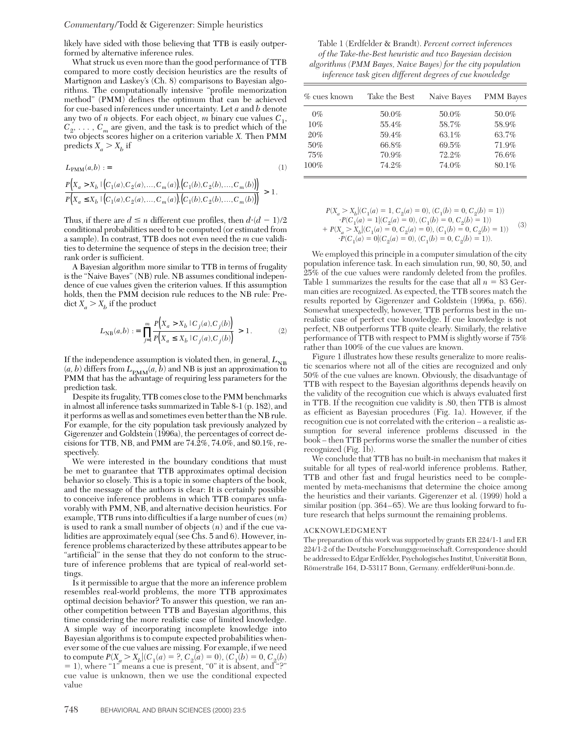likely have sided with those believing that TTB is easily outperformed by alternative inference rules.

What struck us even more than the good performance of TTB compared to more costly decision heuristics are the results of Martignon and Laskey's (Ch. 8) comparisons to Bayesian algorithms. The computationally intensive "profile memorization method" (PMM) defines the optimum that can be achieved for cue-based inferences under uncertainty. Let *a* and *b* denote any two of *n* objects. For each object, *m* binary cue values  $C_1$ ,  $C_2, \ldots, C_m$  are given, and the task is to predict which of the two objects scores higher on a criterion variable *X.* Then PMM predicts  $X_a > X_b$  if

$$
L_{\text{PMM}}(a,b) := \qquad (1) \qquad \frac{100\%}{\text{1000}} \qquad \qquad 74.2\% \qquad \qquad 74.0\% \qquad \qquad 80.1\%
$$

$$
\frac{P(X_a > X_b | (C_1(a), C_2(a), ..., C_m(a)), (C_1(b), C_2(b), ..., C_m(b)))}{P(X_a \le X_b | (C_1(a), C_2(a), ..., C_m(a)), (C_1(b), C_2(b), ..., C_m(b)))} > 1.
$$

Thus, if there are  $d \leq n$  different cue profiles, then  $d \cdot (d - 1)/2$ conditional probabilities need to be computed (or estimated from a sample). In contrast, TTB does not even need the *m* cue validities to determine the sequence of steps in the decision tree; their rank order is sufficient.

A Bayesian algorithm more similar to TTB in terms of frugality is the "Naive Bayes" (NB) rule. NB assumes conditional independence of cue values given the criterion values. If this assumption holds, then the PMM decision rule reduces to the NB rule: Pre- $\text{dict } X_a > X_b$  if the product

$$
L_{\text{NB}}(a,b) := \prod_{j=1}^{m} \frac{P(X_a > X_b \mid C_j(a), C_j(b))}{P(X_a \le X_b \mid C_j(a), C_j(b))} > 1. \tag{2}
$$

If the independence assumption is violated then, in general,  $L_{\rm NB}$  $(a, b)$  differs from  $L_{\text{PMM}}(a, b)$  and NB is just an approximation to PMM that has the advantage of requiring less parameters for the prediction task.

Despite its frugality, TTB comes close to the PMM benchmarks in almost all inference tasks summarized in Table 8-1 (p. 182), and it performs as well as and sometimes even better than the NB rule. For example, for the city population task previously analyzed by Gigerenzer and Goldstein (1996a), the percentages of correct decisions for TTB, NB, and PMM are 74.2%, 74.0%, and 80.1%, respectively.

We were interested in the boundary conditions that must be met to guarantee that TTB approximates optimal decision behavior so closely. This is a topic in some chapters of the book, and the message of the authors is clear: It is certainly possible to conceive inference problems in which TTB compares unfavorably with PMM, NB, and alternative decision heuristics. For example, TTB runs into difficulties if a large number of cues (*m*) is used to rank a small number of objects (*n*) and if the cue validities are approximately equal (see Chs. 5 and 6). However, inference problems characterized by these attributes appear to be "artificial" in the sense that they do not conform to the structure of inference problems that are typical of real-world settings.

Is it permissible to argue that the more an inference problem resembles real-world problems, the more TTB approximates optimal decision behavior? To answer this question, we ran another competition between TTB and Bayesian algorithms, this time considering the more realistic case of limited knowledge. A simple way of incorporating incomplete knowledge into Bayesian algorithms is to compute expected probabilities whenever some of the cue values are missing. For example, if we need to compute  $P(X_a > X_b | (C_1(a) = ?, C_2(a) = 0), (C_1(b) = 0, C_2(b) = 1)$ , where "1" means a cue is present, "0" it is absent, and "?" cue value is unknown, then we use the conditional expected value

Table 1 (Erdfelder & Brandt). *Percent correct inferences of the Take-the-Best heuristic and two Bayesian decision algorithms (PMM Bayes, Naive Bayes) for the city population inference task given different degrees of cue knowledge*

| $\%$ cues known | Take the Best | Naive Bayes | <b>PMM</b> Bayes |
|-----------------|---------------|-------------|------------------|
| $0\%$           | $50.0\%$      | 50.0%       | 50.0%            |
| 10%             | 55.4%         | 58.7%       | 58.9%            |
| 20%             | 59.4%         | 63.1%       | 63.7%            |
| 50%             | 66.8%         | 69.5%       | 71.9%            |
| 75%             | 70.9%         | 72.2%       | 76.6%            |
| 100%            | 74.2%         | 74.0%       | 80.1%            |

$$
\begin{array}{ll} P(X_a > X_b | (C_1(a) = 1,\, C_2(a) = 0),\, (C_1(b) = 0,\, C_2(b) = 1)) \\ \cdot P(C_1(a) = 1 | (C_2(a) = 0),\, (C_1(b) = 0,\, C_2(b) = 1)) \\ + \; P(X_a > X_b | (C_1(a) = 0,\, C_2(a) = 0),\, (C_1(b) = 0,\, C_2(b) = 1)) \\ \cdot P(C_1(a) = 0 | (C_2(a) = 0),\, (C_1(b) = 0,\, C_2(b) = 1)). \end{array} \eqno{(3)}
$$

We employed this principle in a computer simulation of the city population inference task. In each simulation run, 90, 80, 50, and  $25\%$  of the cue values were randomly deleted from the profiles. Table 1 summarizes the results for the case that all  $n = 83$  German cities are recognized. As expected, the TTB scores match the results reported by Gigerenzer and Goldstein (1996a, p. 656). Somewhat unexpectedly, however, TTB performs best in the unrealistic case of perfect cue knowledge. If cue knowledge is not perfect, NB outperforms TTB quite clearly. Similarly, the relative performance of TTB with respect to PMM is slightly worse if 75% rather than 100% of the cue values are known.

Figure 1 illustrates how these results generalize to more realistic scenarios where not all of the cities are recognized and only 50% of the cue values are known. Obviously, the disadvantage of TTB with respect to the Bayesian algorithms depends heavily on the validity of the recognition cue which is always evaluated first in TTB. If the recognition cue validity is .80, then TTB is almost as efficient as Bayesian procedures (Fig. 1a). However, if the recognition cue is not correlated with the criterion – a realistic assumption for several inference problems discussed in the book – then TTB performs worse the smaller the number of cities recognized (Fig. 1b).

We conclude that TTB has no built-in mechanism that makes it suitable for all types of real-world inference problems. Rather, TTB and other fast and frugal heuristics need to be complemented by meta-mechanisms that determine the choice among the heuristics and their variants. Gigerenzer et al. (1999) hold a similar position (pp. 364–65). We are thus looking forward to future research that helps surmount the remaining problems.

#### ACKNOWLEDGMENT

The preparation of this work was supported by grants ER 224/1-1 and ER 224/1-2 of the Deutsche Forschungsgemeinschaft. Correspondence should be addressed to Edgar Erdfelder, Psychologisches Institut, Universität Bonn, Römerstraße 164, D-53117 Bonn, Germany. erdfelder@uni-bonn.de.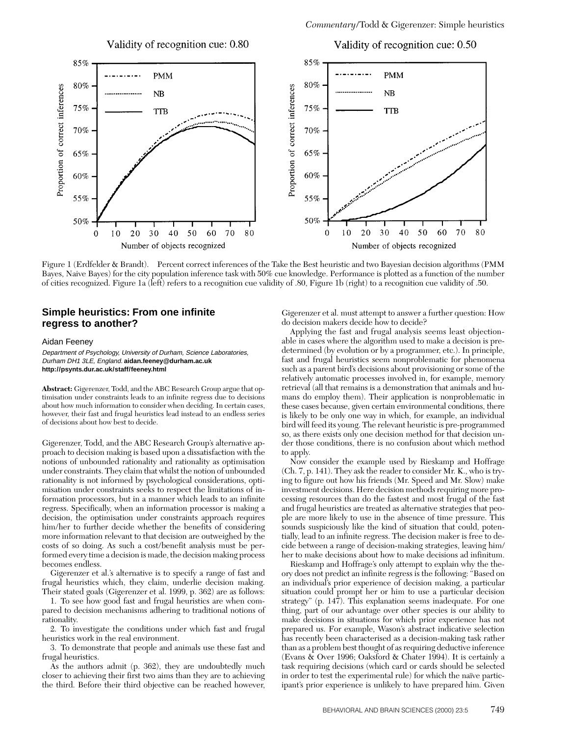Validity of recognition cue: 0.50



Figure 1 (Erdfelder & Brandt). Percent correct inferences of the Take the Best heuristic and two Bayesian decision algorithms (PMM Bayes, Naive Bayes) for the city population inference task with 50% cue knowledge. Performance is plotted as a function of the number of cities recognized. Figure 1a (left) refers to a recognition cue validity of .80, Figure 1b (right) to a recognition cue validity of .50.

## **Simple heuristics: From one infinite regress to another?**

Aidan Feeney

Department of Psychology, University of Durham, Science Laboratories, Durham DH1 3LE, England. **aidan.feeney@durham.ac.uk http://psynts.dur.ac.uk/staff/feeney.html**

**Abstract:** Gigerenzer, Todd, and the ABC Research Group argue that optimisation under constraints leads to an infinite regress due to decisions about how much information to consider when deciding. In certain cases, however, their fast and frugal heuristics lead instead to an endless series of decisions about how best to decide.

Gigerenzer, Todd, and the ABC Research Group's alternative approach to decision making is based upon a dissatisfaction with the notions of unbounded rationality and rationality as optimisation under constraints. They claim that whilst the notion of unbounded rationality is not informed by psychological considerations, optimisation under constraints seeks to respect the limitations of information processors, but in a manner which leads to an infinite regress. Specifically, when an information processor is making a decision, the optimisation under constraints approach requires him/her to further decide whether the benefits of considering more information relevant to that decision are outweighed by the costs of so doing. As such a cost/benefit analysis must be performed every time a decision is made, the decision making process becomes endless.

Gigerenzer et al.'s alternative is to specify a range of fast and frugal heuristics which, they claim, underlie decision making. Their stated goals (Gigerenzer et al. 1999, p. 362) are as follows:

1. To see how good fast and frugal heuristics are when compared to decision mechanisms adhering to traditional notions of rationality.

2. To investigate the conditions under which fast and frugal heuristics work in the real environment.

3. To demonstrate that people and animals use these fast and frugal heuristics.

As the authors admit (p. 362), they are undoubtedly much closer to achieving their first two aims than they are to achieving the third. Before their third objective can be reached however,

Gigerenzer et al. must attempt to answer a further question: How do decision makers decide how to decide?

Applying the fast and frugal analysis seems least objectionable in cases where the algorithm used to make a decision is predetermined (by evolution or by a programmer, etc.). In principle, fast and frugal heuristics seem nonproblematic for phenomena such as a parent bird's decisions about provisioning or some of the relatively automatic processes involved in, for example, memory retrieval (all that remains is a demonstration that animals and humans do employ them). Their application is nonproblematic in these cases because, given certain environmental conditions, there is likely to be only one way in which, for example, an individual bird will feed its young. The relevant heuristic is pre-programmed so, as there exists only one decision method for that decision under those conditions, there is no confusion about which method to apply.

Now consider the example used by Rieskamp and Hoffrage (Ch. 7, p. 141). They ask the reader to consider Mr. K., who is trying to figure out how his friends (Mr. Speed and Mr. Slow) make investment decisions. Here decision methods requiring more processing resources than do the fastest and most frugal of the fast and frugal heuristics are treated as alternative strategies that people are more likely to use in the absence of time pressure. This sounds suspiciously like the kind of situation that could, potentially, lead to an infinite regress. The decision maker is free to decide between a range of decision-making strategies, leaving him/ her to make decisions about how to make decisions ad infinitum.

Rieskamp and Hoffrage's only attempt to explain why the theory does not predict an infinite regress is the following: "Based on an individual's prior experience of decision making, a particular situation could prompt her or him to use a particular decision strategy" (p. 147). This explanation seems inadequate. For one thing, part of our advantage over other species is our ability to make decisions in situations for which prior experience has not prepared us. For example, Wason's abstract indicative selection has recently been characterised as a decision-making task rather than as a problem best thought of as requiring deductive inference (Evans & Over 1996; Oaksford & Chater 1994). It is certainly a task requiring decisions (which card or cards should be selected in order to test the experimental rule) for which the naïve participant's prior experience is unlikely to have prepared him. Given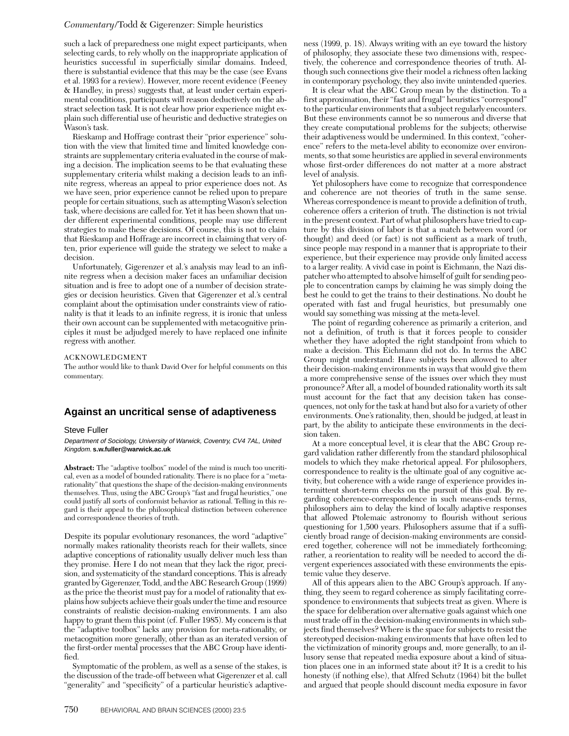such a lack of preparedness one might expect participants, when selecting cards, to rely wholly on the inappropriate application of heuristics successful in superficially similar domains. Indeed, there is substantial evidence that this may be the case (see Evans et al. 1993 for a review). However, more recent evidence (Feeney & Handley, in press) suggests that, at least under certain experimental conditions, participants will reason deductively on the abstract selection task. It is not clear how prior experience might explain such differential use of heuristic and deductive strategies on Wason's task.

Rieskamp and Hoffrage contrast their "prior experience" solution with the view that limited time and limited knowledge constraints are supplementary criteria evaluated in the course of making a decision. The implication seems to be that evaluating these supplementary criteria whilst making a decision leads to an infinite regress, whereas an appeal to prior experience does not. As we have seen, prior experience cannot be relied upon to prepare people for certain situations, such as attempting Wason's selection task, where decisions are called for. Yet it has been shown that under different experimental conditions, people may use different strategies to make these decisions. Of course, this is not to claim that Rieskamp and Hoffrage are incorrect in claiming that very often, prior experience will guide the strategy we select to make a decision.

Unfortunately, Gigerenzer et al.'s analysis may lead to an infinite regress when a decision maker faces an unfamiliar decision situation and is free to adopt one of a number of decision strategies or decision heuristics. Given that Gigerenzer et al.'s central complaint about the optimisation under constraints view of rationality is that it leads to an infinite regress, it is ironic that unless their own account can be supplemented with metacognitive principles it must be adjudged merely to have replaced one infinite regress with another.

#### ACKNOWLEDGMENT

The author would like to thank David Over for helpful comments on this commentary.

## **Against an uncritical sense of adaptiveness**

#### Steve Fuller

Department of Sociology, University of Warwick, Coventry, CV4 7AL, United Kingdom. **s.w.fuller@warwick.ac.uk**

**Abstract:** The "adaptive toolbox" model of the mind is much too uncritical, even as a model of bounded rationality. There is no place for a "metarationality" that questions the shape of the decision-making environments themselves. Thus, using the ABC Group's "fast and frugal heuristics," one could justify all sorts of conformist behavior as rational. Telling in this regard is their appeal to the philosophical distinction between coherence and correspondence theories of truth.

Despite its popular evolutionary resonances, the word "adaptive" normally makes rationality theorists reach for their wallets, since adaptive conceptions of rationality usually deliver much less than they promise. Here I do not mean that they lack the rigor, precision, and systematicity of the standard conceptions. This is already granted by Gigerenzer, Todd, and the ABC Research Group (1999) as the price the theorist must pay for a model of rationality that explains how subjects achieve their goals under the time and resource constraints of realistic decision-making environments. I am also happy to grant them this point (cf. Fuller 1985). My concern is that the "adaptive toolbox" lacks any provision for meta-rationality, or metacognition more generally, other than as an iterated version of the first-order mental processes that the ABC Group have identified.

Symptomatic of the problem, as well as a sense of the stakes, is the discussion of the trade-off between what Gigerenzer et al. call "generality" and "specificity" of a particular heuristic's adaptiveness (1999, p. 18). Always writing with an eye toward the history of philosophy, they associate these two dimensions with, respectively, the coherence and correspondence theories of truth. Although such connections give their model a richness often lacking in contemporary psychology, they also invite unintended queries.

It is clear what the ABC Group mean by the distinction. To a first approximation, their "fast and frugal" heuristics "correspond" to the particular environments that a subject regularly encounters. But these environments cannot be so numerous and diverse that they create computational problems for the subjects; otherwise their adaptiveness would be undermined. In this context, "coherence" refers to the meta-level ability to economize over environments, so that some heuristics are applied in several environments whose first-order differences do not matter at a more abstract level of analysis.

Yet philosophers have come to recognize that correspondence and coherence are not theories of truth in the same sense. Whereas correspondence is meant to provide a definition of truth, coherence offers a criterion of truth. The distinction is not trivial in the present context. Part of what philosophers have tried to capture by this division of labor is that a match between word (or thought) and deed (or fact) is not sufficient as a mark of truth, since people may respond in a manner that is appropriate to their experience, but their experience may provide only limited access to a larger reality. A vivid case in point is Eichmann, the Nazi dispatcher who attempted to absolve himself of guilt for sending people to concentration camps by claiming he was simply doing the best he could to get the trains to their destinations. No doubt he operated with fast and frugal heuristics, but presumably one would say something was missing at the meta-level.

The point of regarding coherence as primarily a criterion, and not a definition, of truth is that it forces people to consider whether they have adopted the right standpoint from which to make a decision. This Eichmann did not do. In terms the ABC Group might understand: Have subjects been allowed to alter their decision-making environments in ways that would give them a more comprehensive sense of the issues over which they must pronounce? After all, a model of bounded rationality worth its salt must account for the fact that any decision taken has consequences, not only for the task at hand but also for a variety of other environments. One's rationality, then, should be judged, at least in part, by the ability to anticipate these environments in the decision taken.

At a more conceptual level, it is clear that the ABC Group regard validation rather differently from the standard philosophical models to which they make rhetorical appeal. For philosophers, correspondence to reality is the ultimate goal of any cognitive activity, but coherence with a wide range of experience provides intermittent short-term checks on the pursuit of this goal. By regarding coherence-correspondence in such means-ends terms, philosophers aim to delay the kind of locally adaptive responses that allowed Ptolemaic astronomy to flourish without serious questioning for 1,500 years. Philosophers assume that if a sufficiently broad range of decision-making environments are considered together, coherence will not be immediately forthcoming; rather, a reorientation to reality will be needed to accord the divergent experiences associated with these environments the epistemic value they deserve.

All of this appears alien to the ABC Group's approach. If anything, they seem to regard coherence as simply facilitating correspondence to environments that subjects treat as given. Where is the space for deliberation over alternative goals against which one must trade off in the decision-making environments in which subjects find themselves? Where is the space for subjects to resist the stereotyped decision-making environments that have often led to the victimization of minority groups and, more generally, to an illusory sense that repeated media exposure about a kind of situation places one in an informed state about it? It is a credit to his honesty (if nothing else), that Alfred Schutz (1964) bit the bullet and argued that people should discount media exposure in favor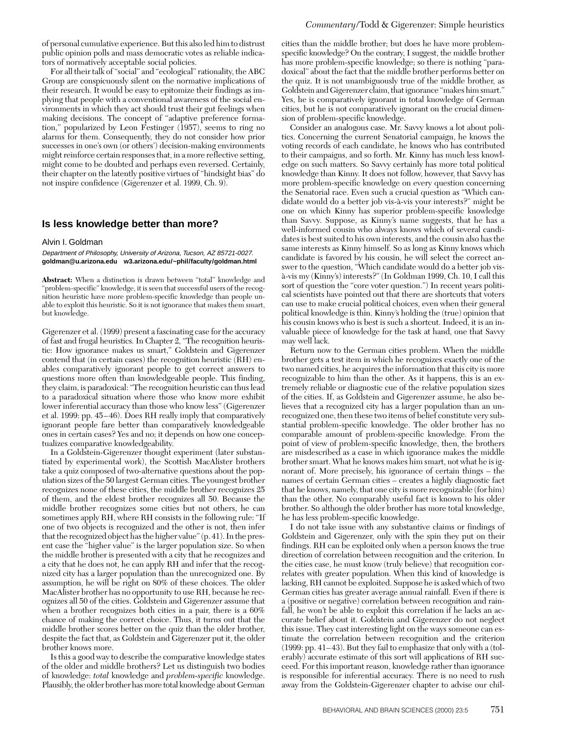of personal cumulative experience. But this also led him to distrust public opinion polls and mass democratic votes as reliable indicators of normatively acceptable social policies.

For all their talk of "social" and "ecological" rationality, the ABC Group are conspicuously silent on the normative implications of their research. It would be easy to epitomize their findings as implying that people with a conventional awareness of the social environments in which they act should trust their gut feelings when making decisions. The concept of "adaptive preference formation," popularized by Leon Festinger (1957), seems to ring no alarms for them. Consequently, they do not consider how prior successes in one's own (or others') decision-making environments might reinforce certain responses that, in a more reflective setting, might come to be doubted and perhaps even reversed. Certainly, their chapter on the latently positive virtues of "hindsight bias" do not inspire confidence (Gigerenzer et al. 1999, Ch. 9).

## **Is less knowledge better than more?**

#### Alvin I. Goldman

Department of Philosophy, University of Arizona, Tucson, AZ 85721-0027. **goldman@u.arizona.edu w3.arizona.edu/~phil/faculty/goldman.html**

**Abstract:** When a distinction is drawn between "total" knowledge and "problem-specific" knowledge, it is seen that successful users of the recognition heuristic have more problem-specific knowledge than people unable to exploit this heuristic. So it is not ignorance that makes them smart, but knowledge.

Gigerenzer et al. (1999) present a fascinating case for the accuracy of fast and frugal heuristics. In Chapter 2, "The recognition heuristic: How ignorance makes us smart," Goldstein and Gigerenzer contend that (in certain cases) the recognition heuristic (RH) enables comparatively ignorant people to get correct answers to questions more often than knowledgeable people. This finding, they claim, is paradoxical: "The recognition heuristic can thus lead to a paradoxical situation where those who know more exhibit lower inferential accuracy than those who know less" (Gigerenzer et al. 1999: pp. 45–46). Does RH really imply that comparatively ignorant people fare better than comparatively knowledgeable ones in certain cases? Yes and no; it depends on how one conceptualizes comparative knowledgeability.

In a Goldstein-Gigerenzer thought experiment (later substantiated by experimental work), the Scottish MacAlister brothers take a quiz composed of two-alternative questions about the population sizes of the 50 largest German cities. The youngest brother recognizes none of these cities, the middle brother recognizes 25 of them, and the eldest brother recognizes all 50. Because the middle brother recognizes some cities but not others, he can sometimes apply RH, where RH consists in the following rule: "If one of two objects is recognized and the other is not, then infer that the recognized object has the higher value" (p. 41). In the present case the "higher value" is the larger population size. So when the middle brother is presented with a city that he recognizes and a city that he does not, he can apply RH and infer that the recognized city has a larger population than the unrecognized one. By assumption, he will be right on 80% of these choices. The older MacAlister brother has no opportunity to use RH, because he recognizes all 50 of the cities. Goldstein and Gigerenzer assume that when a brother recognizes both cities in a pair, there is a 60% chance of making the correct choice. Thus, it turns out that the middle brother scores better on the quiz than the older brother, despite the fact that, as Goldstein and Gigerenzer put it, the older brother knows more.

Is this a good way to describe the comparative knowledge states of the older and middle brothers? Let us distinguish two bodies of knowledge: *total* knowledge and *problem-specific* knowledge. Plausibly, the older brother has more total knowledge about German

cities than the middle brother; but does he have more problemspecific knowledge? On the contrary, I suggest, the middle brother has more problem-specific knowledge; so there is nothing "paradoxical" about the fact that the middle brother performs better on the quiz. It is not unambiguously true of the middle brother, as Goldstein and Gigerenzer claim, that ignorance "makes him smart." Yes, he is comparatively ignorant in total knowledge of German cities, but he is not comparatively ignorant on the crucial dimension of problem-specific knowledge.

Consider an analogous case. Mr. Savvy knows a lot about politics. Concerning the current Senatorial campaign, he knows the voting records of each candidate, he knows who has contributed to their campaigns, and so forth. Mr. Kinny has much less knowledge on such matters. So Savvy certainly has more total political knowledge than Kinny. It does not follow, however, that Savvy has more problem-specific knowledge on every question concerning the Senatorial race. Even such a crucial question as "Which candidate would do a better job vis-à-vis your interests?" might be one on which Kinny has superior problem-specific knowledge than Savvy. Suppose, as Kinny's name suggests, that he has a well-informed cousin who always knows which of several candidates is best suited to his own interests, and the cousin also has the same interests as Kinny himself. So as long as Kinny knows which candidate is favored by his cousin, he will select the correct answer to the question, "Which candidate would do a better job visà-vis my (Kinny's) interests?" (In Goldman 1999, Ch. 10, I call this sort of question the "core voter question.") In recent years political scientists have pointed out that there are shortcuts that voters can use to make crucial political choices, even when their general political knowledge is thin. Kinny's holding the (true) opinion that his cousin knows who is best is such a shortcut. Indeed, it is an invaluable piece of knowledge for the task at hand, one that Savvy may well lack.

Return now to the German cities problem. When the middle brother gets a test item in which he recognizes exactly one of the two named cities, he acquires the information that this city is more recognizable to him than the other. As it happens, this is an extremely reliable or diagnostic cue of the relative population sizes of the cities. If, as Goldstein and Gigerenzer assume, he also believes that a recognized city has a larger population than an unrecognized one, then these two items of belief constitute very substantial problem-specific knowledge. The older brother has no comparable amount of problem-specific knowledge. From the point of view of problem-specific knowledge, then, the brothers are misdescribed as a case in which ignorance makes the middle brother smart. What he knows makes him smart, not what he is ignorant of. More precisely, his ignorance of certain things – the names of certain German cities – creates a highly diagnostic fact that he knows, namely, that one city is more recognizable (for him) than the other. No comparably useful fact is known to his older brother. So although the older brother has more total knowledge, he has less problem-specific knowledge.

I do not take issue with any substantive claims or findings of Goldstein and Gigerenzer, only with the spin they put on their findings. RH can be exploited only when a person knows the true direction of correlation between recognition and the criterion. In the cities case, he must know (truly believe) that recognition correlates with greater population. When this kind of knowledge is lacking, RH cannot be exploited. Suppose he is asked which of two German cities has greater average annual rainfall. Even if there is a (positive or negative) correlation between recognition and rainfall, he won't be able to exploit this correlation if he lacks an accurate belief about it. Goldstein and Gigerenzer do not neglect this issue. They cast interesting light on the ways someone can estimate the correlation between recognition and the criterion (1999: pp. 41–43). But they fail to emphasize that only with a (tolerably) accurate estimate of this sort will applications of RH succeed. For this important reason, knowledge rather than ignorance is responsible for inferential accuracy. There is no need to rush away from the Goldstein-Gigerenzer chapter to advise our chil-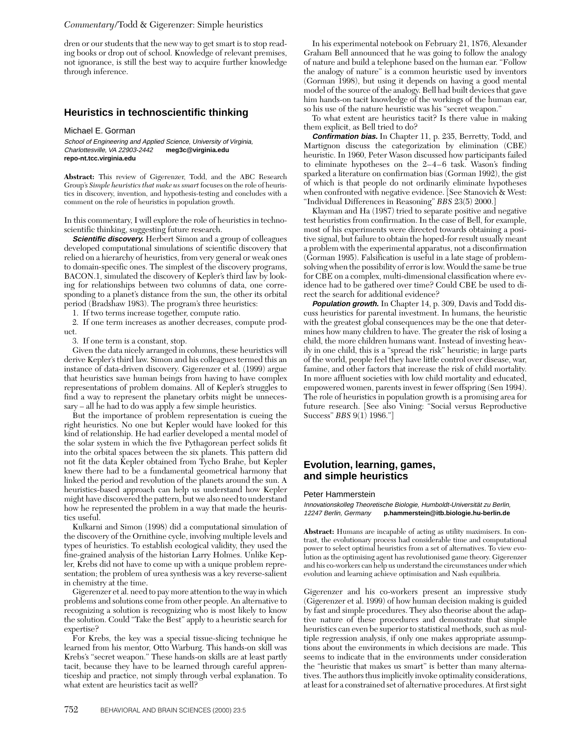dren or our students that the new way to get smart is to stop reading books or drop out of school. Knowledge of relevant premises, not ignorance, is still the best way to acquire further knowledge through inference.

## **Heuristics in technoscientific thinking**

Michael E. Gorman

School of Engineering and Applied Science, University of Virginia, Charlottesville, VA 22903-2442 **meg3c@virginia.edu repo-nt.tcc.virginia.edu**

**Abstract:** This review of Gigerenzer, Todd, and the ABC Research Group's *Simple heuristics that make us smart* focuses on the role of heuristics in discovery, invention, and hypothesis-testing and concludes with a comment on the role of heuristics in population growth.

In this commentary, I will explore the role of heuristics in technoscientific thinking, suggesting future research.

**Scientific discovery.** Herbert Simon and a group of colleagues developed computational simulations of scientific discovery that relied on a hierarchy of heuristics, from very general or weak ones to domain-specific ones. The simplest of the discovery programs, BACON.1, simulated the discovery of Kepler's third law by looking for relationships between two columns of data, one corresponding to a planet's distance from the sun, the other its orbital period (Bradshaw 1983). The program's three heuristics:

1. If two terms increase together, compute ratio.

2. If one term increases as another decreases, compute product.

3. If one term is a constant, stop.

Given the data nicely arranged in columns, these heuristics will derive Kepler's third law. Simon and his colleagues termed this an instance of data-driven discovery. Gigerenzer et al. (1999) argue that heuristics save human beings from having to have complex representations of problem domains. All of Kepler's struggles to find a way to represent the planetary orbits might be unnecessary – all he had to do was apply a few simple heuristics.

But the importance of problem representation is cueing the right heuristics. No one but Kepler would have looked for this kind of relationship. He had earlier developed a mental model of the solar system in which the five Pythagorean perfect solids fit into the orbital spaces between the six planets. This pattern did not fit the data Kepler obtained from Tycho Brahe, but Kepler knew there had to be a fundamental geometrical harmony that linked the period and revolution of the planets around the sun. A heuristics-based approach can help us understand how Kepler might have discovered the pattern, but we also need to understand how he represented the problem in a way that made the heuristics useful.

Kulkarni and Simon (1998) did a computational simulation of the discovery of the Ornithine cycle, involving multiple levels and types of heuristics. To establish ecological validity, they used the fine-grained analysis of the historian Larry Holmes. Unlike Kepler, Krebs did not have to come up with a unique problem representation; the problem of urea synthesis was a key reverse-salient in chemistry at the time.

Gigerenzer et al. need to pay more attention to the way in which problems and solutions come from other people. An alternative to recognizing a solution is recognizing who is most likely to know the solution. Could "Take the Best" apply to a heuristic search for expertise?

For Krebs, the key was a special tissue-slicing technique he learned from his mentor, Otto Warburg. This hands-on skill was Krebs's "secret weapon." These hands-on skills are at least partly tacit, because they have to be learned through careful apprenticeship and practice, not simply through verbal explanation. To what extent are heuristics tacit as well?

In his experimental notebook on February 21, 1876, Alexander Graham Bell announced that he was going to follow the analogy of nature and build a telephone based on the human ear. "Follow the analogy of nature" is a common heuristic used by inventors (Gorman 1998), but using it depends on having a good mental model of the source of the analogy. Bell had built devices that gave him hands-on tacit knowledge of the workings of the human ear, so his use of the nature heuristic was his "secret weapon."

To what extent are heuristics tacit? Is there value in making them explicit, as Bell tried to do?

**Confirmation bias.** In Chapter 11, p. 235, Berretty, Todd, and Martignon discuss the categorization by elimination (CBE) heuristic. In 1960, Peter Wason discussed how participants failed to eliminate hypotheses on the 2–4–6 task. Wason's finding sparked a literature on confirmation bias (Gorman 1992), the gist of which is that people do not ordinarily eliminate hypotheses when confronted with negative evidence. [See Stanovich & West: "Individual Differences in Reasoning" *BBS* 23(5) 2000.]

Klayman and Ha (1987) tried to separate positive and negative test heuristics from confirmation. In the case of Bell, for example, most of his experiments were directed towards obtaining a positive signal, but failure to obtain the hoped-for result usually meant a problem with the experimental apparatus, not a disconfirmation (Gorman 1995). Falsification is useful in a late stage of problemsolving when the possibility of error is low. Would the same be true for CBE on a complex, multi-dimensional classification where evidence had to be gathered over time? Could CBE be used to direct the search for additional evidence?

**Population growth.** In Chapter 14, p. 309, Davis and Todd discuss heuristics for parental investment. In humans, the heuristic with the greatest global consequences may be the one that determines how many children to have. The greater the risk of losing a child, the more children humans want. Instead of investing heavily in one child, this is a "spread the risk" heuristic; in large parts of the world, people feel they have little control over disease, war, famine, and other factors that increase the risk of child mortality. In more affluent societies with low child mortality and educated, empowered women, parents invest in fewer offspring (Sen 1994). The role of heuristics in population growth is a promising area for future research. [See also Vining: "Social versus Reproductive Success" *BBS* 9(1) 1986."]

## **Evolution, learning, games, and simple heuristics**

#### Peter Hammerstein

Innovationskolleg Theoretische Biologie, Humboldt-Universität zu Berlin, 12247 Berlin, Germany **p.hammerstein@itb.biologie.hu-berlin.de**

**Abstract:** Humans are incapable of acting as utility maximisers. In contrast, the evolutionary process had considerable time and computational power to select optimal heuristics from a set of alternatives. To view evolution as the optimising agent has revolutionised game theory. Gigerenzer and his co-workers can help us understand the circumstances under which evolution and learning achieve optimisation and Nash equilibria.

Gigerenzer and his co-workers present an impressive study (Gigerenzer et al. 1999) of how human decision making is guided by fast and simple procedures. They also theorise about the adaptive nature of these procedures and demonstrate that simple heuristics can even be superior to statistical methods, such as multiple regression analysis, if only one makes appropriate assumptions about the environments in which decisions are made. This seems to indicate that in the environments under consideration the "heuristic that makes us smart" is better than many alternatives. The authors thus implicitly invoke optimality considerations, at least for a constrained set of alternative procedures. At first sight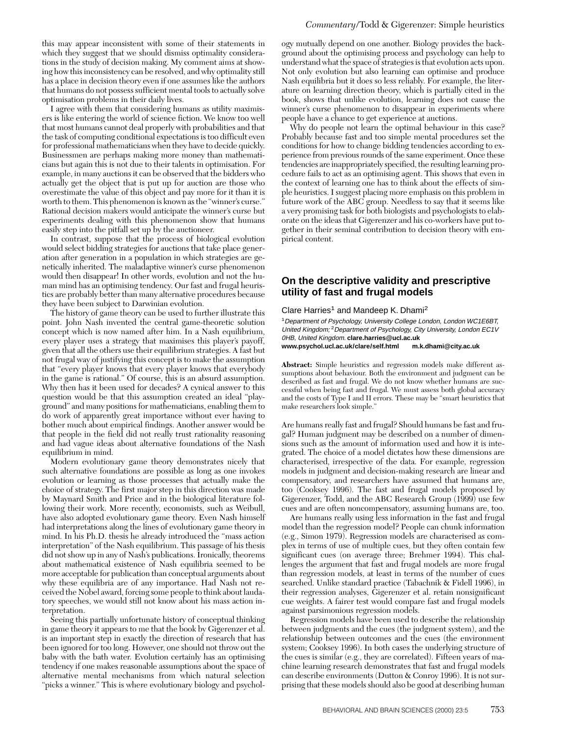this may appear inconsistent with some of their statements in which they suggest that we should dismiss optimality considerations in the study of decision making. My comment aims at showing how this inconsistency can be resolved, and why optimality still has a place in decision theory even if one assumes like the authors that humans do not possess sufficient mental tools to actually solve optimisation problems in their daily lives.

I agree with them that considering humans as utility maximisers is like entering the world of science fiction. We know too well that most humans cannot deal properly with probabilities and that the task of computing conditional expectations is too difficult even for professional mathematicians when they have to decide quickly. Businessmen are perhaps making more money than mathematicians but again this is not due to their talents in optimisation. For example, in many auctions it can be observed that the bidders who actually get the object that is put up for auction are those who overestimate the value of this object and pay more for it than it is worth to them. This phenomenon is known as the "winner's curse." Rational decision makers would anticipate the winner's curse but experiments dealing with this phenomenon show that humans easily step into the pitfall set up by the auctioneer.

In contrast, suppose that the process of biological evolution would select bidding strategies for auctions that take place generation after generation in a population in which strategies are genetically inherited. The maladaptive winner's curse phenomenon would then disappear! In other words, evolution and not the human mind has an optimising tendency. Our fast and frugal heuristics are probably better than many alternative procedures because they have been subject to Darwinian evolution.

The history of game theory can be used to further illustrate this point. John Nash invented the central game-theoretic solution concept which is now named after him. In a Nash equilibrium, every player uses a strategy that maximises this player's payoff, given that all the others use their equilibrium strategies. A fast but not frugal way of justifying this concept is to make the assumption that "every player knows that every player knows that everybody in the game is rational." Of course, this is an absurd assumption. Why then has it been used for decades? A cynical answer to this question would be that this assumption created an ideal "playground" and many positions for mathematicians, enabling them to do work of apparently great importance without ever having to bother much about empirical findings. Another answer would be that people in the field did not really trust rationality reasoning and had vague ideas about alternative foundations of the Nash equilibrium in mind.

Modern evolutionary game theory demonstrates nicely that such alternative foundations are possible as long as one invokes evolution or learning as those processes that actually make the choice of strategy. The first major step in this direction was made by Maynard Smith and Price and in the biological literature following their work. More recently, economists, such as Weibull, have also adopted evolutionary game theory. Even Nash himself had interpretations along the lines of evolutionary game theory in mind. In his Ph.D. thesis he already introduced the "mass action interpretation" of the Nash equilibrium. This passage of his thesis did not show up in any of Nash's publications. Ironically, theorems about mathematical existence of Nash equilibria seemed to be more acceptable for publication than conceptual arguments about why these equilibria are of any importance. Had Nash not received the Nobel award, forcing some people to think about laudatory speeches, we would still not know about his mass action interpretation.

Seeing this partially unfortunate history of conceptual thinking in game theory it appears to me that the book by Gigerenzer et al. is an important step in exactly the direction of research that has been ignored for too long. However, one should not throw out the baby with the bath water. Evolution certainly has an optimising tendency if one makes reasonable assumptions about the space of alternative mental mechanisms from which natural selection "picks a winner." This is where evolutionary biology and psychology mutually depend on one another. Biology provides the background about the optimising process and psychology can help to understand what the space of strategies is that evolution acts upon. Not only evolution but also learning can optimise and produce Nash equilibria but it does so less reliably. For example, the literature on learning direction theory, which is partially cited in the book, shows that unlike evolution, learning does not cause the winner's curse phenomenon to disappear in experiments where people have a chance to get experience at auctions.

Why do people not learn the optimal behaviour in this case? Probably because fast and too simple mental procedures set the conditions for how to change bidding tendencies according to experience from previous rounds of the same experiment. Once these tendencies are inappropriately specified, the resulting learning procedure fails to act as an optimising agent. This shows that even in the context of learning one has to think about the effects of simple heuristics. I suggest placing more emphasis on this problem in future work of the ABC group. Needless to say that it seems like a very promising task for both biologists and psychologists to elaborate on the ideas that Gigerenzer and his co-workers have put together in their seminal contribution to decision theory with empirical content.

## **On the descriptive validity and prescriptive utility of fast and frugal models**

#### Clare Harries<sup>1</sup> and Mandeep K. Dhami<sup>2</sup>

<sup>1</sup>Department of Psychology, University College London, London WC1E6BT, United Kingdom; <sup>2</sup>Department of Psychology, City University, London EC1V 0HB, United Kingdom. **clare.harries@ucl.ac.uk** www.psychol.ucl.ac.uk/clare/self.html

**Abstract:** Simple heuristics and regression models make different assumptions about behaviour. Both the environment and judgment can be described as fast and frugal. We do not know whether humans are successful when being fast and frugal. We must assess both global accuracy and the costs of Type I and II errors. These may be "smart heuristics that make researchers look simple."

Are humans really fast and frugal? Should humans be fast and frugal? Human judgment may be described on a number of dimensions such as the amount of information used and how it is integrated. The choice of a model dictates how these dimensions are characterised, irrespective of the data. For example, regression models in judgment and decision-making research are linear and compensatory, and researchers have assumed that humans are, too (Cooksey 1996). The fast and frugal models proposed by Gigerenzer, Todd, and the ABC Research Group (1999) use few cues and are often noncompensatory, assuming humans are, too.

Are humans really using less information in the fast and frugal model than the regression model? People can chunk information (e.g., Simon 1979). Regression models are characterised as complex in terms of use of multiple cues, but they often contain few significant cues (on average three; Brehmer 1994). This challenges the argument that fast and frugal models are more frugal than regression models, at least in terms of the number of cues searched. Unlike standard practice (Tabachnik & Fidell 1996), in their regression analyses, Gigerenzer et al. retain nonsignificant cue weights. A fairer test would compare fast and frugal models against parsimonious regression models.

Regression models have been used to describe the relationship between judgments and the cues (the judgment system), and the relationship between outcomes and the cues (the environment system; Cooksey 1996). In both cases the underlying structure of the cues is similar (e.g., they are correlated). Fifteen years of machine learning research demonstrates that fast and frugal models can describe environments (Dutton & Conroy 1996). It is not surprising that these models should also be good at describing human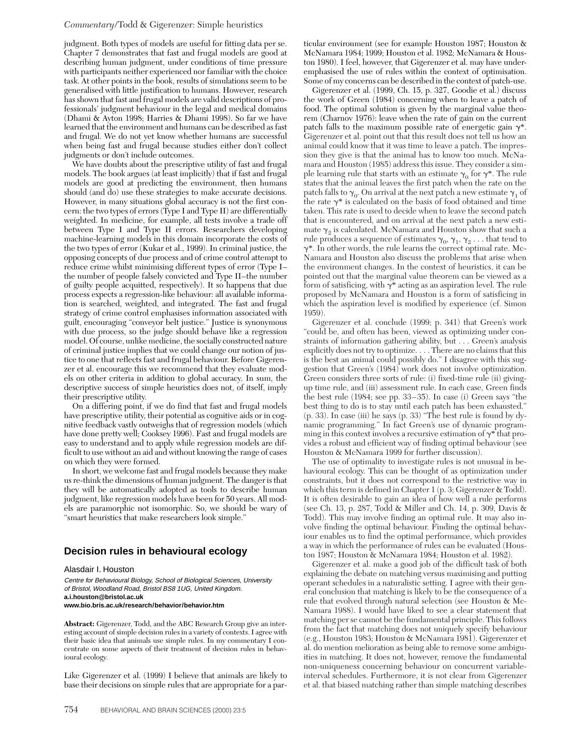judgment. Both types of models are useful for fitting data per se. Chapter 7 demonstrates that fast and frugal models are good at describing human judgment, under conditions of time pressure with participants neither experienced nor familiar with the choice task. At other points in the book, results of simulations seem to be generalised with little justification to humans. However, research has shown that fast and frugal models are valid descriptions of professionals' judgment behaviour in the legal and medical domains (Dhami & Ayton 1998; Harries & Dhami 1998). So far we have learned that the environment and humans can be described as fast and frugal. We do not yet know whether humans are successful when being fast and frugal because studies either don't collect judgments or don't include outcomes.

We have doubts about the prescriptive utility of fast and frugal models. The book argues (at least implicitly) that if fast and frugal models are good at predicting the environment, then humans should (and do) use these strategies to make accurate decisions. However, in many situations global accuracy is not the first concern: the two types of errors (Type I and Type II) are differentially weighted. In medicine, for example, all tests involve a trade off between Type I and Type II errors. Researchers developing machine-learning models in this domain incorporate the costs of the two types of error (Kukar et al., 1999). In criminal justice, the opposing concepts of due process and of crime control attempt to reduce crime whilst minimising different types of error (Type I– the number of people falsely convicted and Type II–the number of guilty people acquitted, respectively). It so happens that due process expects a regression-like behaviour: all available information is searched, weighted, and integrated. The fast and frugal strategy of crime control emphasises information associated with guilt, encouraging "conveyor belt justice." Justice is synonymous with due process, so the judge should behave like a regression model. Of course, unlike medicine, the socially constructed nature of criminal justice implies that we could change our notion of justice to one that reflects fast and frugal behaviour. Before Gigerenzer et al. encourage this we recommend that they evaluate models on other criteria in addition to global accuracy. In sum, the descriptive success of simple heuristics does not, of itself, imply their prescriptive utility.

On a differing point, if we do find that fast and frugal models have prescriptive utility, their potential as cognitive aids or in cognitive feedback vastly outweighs that of regression models (which have done pretty well; Cooksey 1996). Fast and frugal models are easy to understand and to apply while regression models are difficult to use without an aid and without knowing the range of cases on which they were formed.

In short, we welcome fast and frugal models because they make us re-think the dimensions of human judgment. The danger is that they will be automatically adopted as tools to describe human judgment, like regression models have been for 50 years. All models are paramorphic not isomorphic. So, we should be wary of "smart heuristics that make researchers look simple."

## **Decision rules in behavioural ecology**

#### Alasdair I. Houston

Centre for Behavioural Biology, School of Biological Sciences, University of Bristol, Woodland Road, Bristol BS8 1UG, United Kingdom. **a.i.houston@bristol.ac.uk www.bio.bris.ac.uk/research/behavior/behavior.htm**

**Abstract:** Gigerenzer, Todd, and the ABC Research Group give an interesting account of simple decision rules in a variety of contexts. I agree with their basic idea that animals use simple rules. In my commentary I concentrate on some aspects of their treatment of decision rules in behavioural ecology.

Like Gigerenzer et al. (1999) I believe that animals are likely to base their decisions on simple rules that are appropriate for a particular environment (see for example Houston 1987; Houston & McNamara 1984; 1999; Houston et al. 1982; McNamara & Houston 1980). I feel, however, that Gigerenzer et al. may have underemphasised the use of rules within the context of optimisation. Some of my concerns can be described in the context of patch-use.

Gigerenzer et al. (1999, Ch. 15, p. 327, Goodie et al.) discuss the work of Green (1984) concerning when to leave a patch of food. The optimal solution is given by the marginal value theorem (Charnov 1976): leave when the rate of gain on the current patch falls to the maximum possible rate of energetic gain  $\gamma^*$ . Gigerenzer et al. point out that this result does not tell us how an animal could know that it was time to leave a patch. The impression they give is that the animal has to know too much. McNamara and Houston (1985) address this issue. They consider a simple learning rule that starts with an estimate  $\gamma_0$  for  $\gamma^*$ . The rule states that the animal leaves the first patch when the rate on the patch falls to  $\gamma_0$ . On arrival at the next patch a new estimate  $\gamma_1$  of the rate  $\gamma^*$  is calculated on the basis of food obtained and time taken. This rate is used to decide when to leave the second patch that is encountered, and on arrival at the next patch a new estimate  $\gamma_2$  is calculated. McNamara and Houston show that such a rule produces a sequence of estimates  $\gamma_0$ ,  $\gamma_1$ ,  $\gamma_2$ ... that tend to  $\gamma^*$ . In other words, the rule learns the correct optimal rate. Mc-Namara and Houston also discuss the problems that arise when the environment changes. In the context of heuristics, it can be pointed out that the marginal value theorem can be viewed as a form of satisficing, with  $\gamma^*$  acting as an aspiration level. The rule proposed by McNamara and Houston is a form of satisficing in which the aspiration level is modified by experience (cf. Simon 1959).

Gigerenzer et al. conclude (1999; p. 341) that Green's work "could be, and often has been, viewed as optimizing under constraints of information gathering ability, but . . . Green's analysis explicitly does not try to optimize. . . . There are no claims that this is the best an animal could possibly do." I disagree with this suggestion that Green's (1984) work does not involve optimization. Green considers three sorts of rule: (i) fixed-time rule (ii) givingup time rule, and (iii) assessment rule. In each case, Green finds the best rule (1984; see pp. 33–35). In case (i) Green says "the best thing to do is to stay until each patch has been exhausted." (p. 33). In case (iii) he says (p. 33) "The best rule is found by dynamic programming." In fact Green's use of dynamic programming in this context involves a recursive estimation of  $\gamma^*$  that provides a robust and efficient way of finding optimal behaviour (see Houston & McNamara 1999 for further discussion).

The use of optimality to investigate rules is not unusual in behavioural ecology. This can be thought of as optimization under constraints, but it does not correspond to the restrictive way in which this term is defined in Chapter 1 (p. 3; Gigerenzer & Todd). It is often desirable to gain an idea of how well a rule performs (see Ch. 13, p. 287, Todd & Miller and Ch. 14, p. 309, Davis & Todd). This may involve finding an optimal rule. It may also involve finding the optimal behaviour. Finding the optimal behaviour enables us to find the optimal performance, which provides a way in which the performance of rules can be evaluated (Houston 1987; Houston & McNamara 1984; Houston et al. 1982).

Gigerenzer et al. make a good job of the difficult task of both explaining the debate on matching versus maximising and putting operant schedules in a naturalistic setting. I agree with their general conclusion that matching is likely to be the consequence of a rule that evolved through natural selection (see Houston & Mc-Namara 1988). I would have liked to see a clear statement that matching per se cannot be the fundamental principle. This follows from the fact that matching does not uniquely specify behaviour (e.g., Houston 1983; Houston & McNamara 1981). Gigerenzer et al. do mention melioration as being able to remove some ambiguities in matching. It does not, however, remove the fundamental non-uniqueness concerning behaviour on concurrent variableinterval schedules. Furthermore, it is not clear from Gigerenzer et al. that biased matching rather than simple matching describes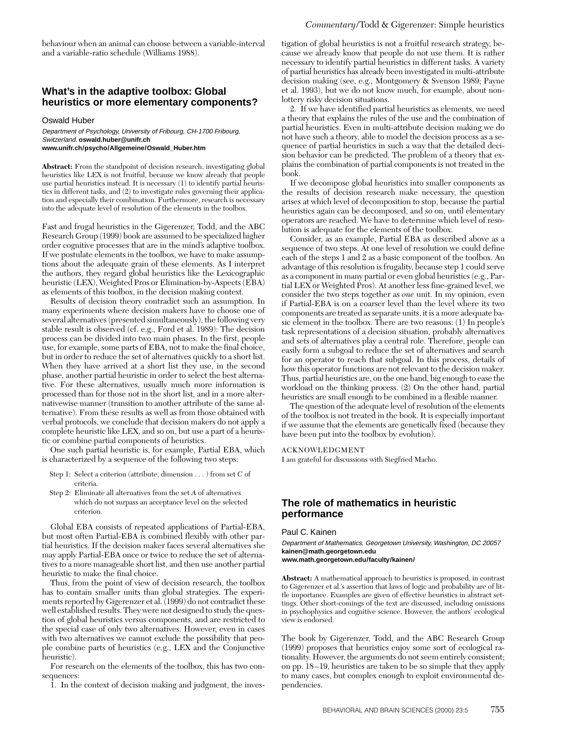behaviour when an animal can choose between a variable-interval and a variable-ratio schedule (Williams 1988).

## **What's in the adaptive toolbox: Global heuristics or more elementary components?**

Oswald Huber

Department of Psychology, University of Fribourg, CH-1700 Fribourg, Switzerland. **oswald.huber@unifr.ch www.unifr.ch/psycho/Allgemeine/Oswald\_Huber.htm**

**Abstract:** From the standpoint of decision research, investigating global heuristics like LEX is not fruitful, because we know already that people use partial heuristics instead. It is necessary (1) to identify partial heuristics in different tasks, and (2) to investigate rules governing their application and especially their combination. Furthermore, research is necessary into the adequate level of resolution of the elements in the toolbox.

Fast and frugal heuristics in the Gigerenzer, Todd, and the ABC Research Group (1999) book are assumed to be specialized higher order cognitive processes that are in the mind's adaptive toolbox. If we postulate elements in the toolbox, we have to make assumptions about the adequate grain of these elements. As I interpret the authors, they regard global heuristics like the Lexicographic heuristic (LEX), Weighted Pros or Elimination-by-Aspects (EBA) as elements of this toolbox, in the decision making context.

Results of decision theory contradict such an assumption. In many experiments where decision makers have to choose one of several alternatives (presented simultaneously), the following very stable result is observed (cf. e.g., Ford et al. 1989): The decision process can be divided into two main phases. In the first, people use, for example, some parts of EBA, not to make the final choice, but in order to reduce the set of alternatives quickly to a short list. When they have arrived at a short list they use, in the second phase, another partial heuristic in order to select the best alternative. For these alternatives, usually much more information is processed than for those not in the short list, and in a more alternativewise manner (transition to another attribute of the same alternative). From these results as well as from those obtained with verbal protocols, we conclude that decision makers do not apply a complete heuristic like LEX, and so on, but use a part of a heuristic or combine partial components of heuristics.

One such partial heuristic is, for example, Partial EBA, which is characterized by a sequence of the following two steps:

- Step 1: Select a criterion (attribute, dimension . . . ) from set *C* of criteria.
- Step 2: Eliminate all alternatives from the set *A* of alternatives which do not surpass an acceptance level on the selected criterion.

Global EBA consists of repeated applications of Partial-EBA, but most often Partial-EBA is combined flexibly with other partial heuristics. If the decision maker faces several alternatives she may apply Partial-EBA once or twice to reduce the set of alternatives to a more manageable short list, and then use another partial heuristic to make the final choice.

Thus, from the point of view of decision research, the toolbox has to contain smaller units than global strategies. The experiments reported by Gigerenzer et al. (1999) do not contradict these well established results. They were not designed to study the question of global heuristics versus components, and are restricted to the special case of only two alternatives. However, even in cases with two alternatives we cannot exclude the possibility that people combine parts of heuristics (e.g., LEX and the Conjunctive heuristic).

For research on the elements of the toolbox, this has two consequences:

1. In the context of decision making and judgment, the inves-

tigation of global heuristics is not a fruitful research strategy, because we already know that people do not use them. It is rather necessary to identify partial heuristics in different tasks. A variety of partial heuristics has already been investigated in multi-attribute decision making (see, e.g., Montgomery & Svenson 1989; Payne et al. 1993), but we do not know much, for example, about nonlottery risky decision situations.

2. If we have identified partial heuristics as elements, we need a theory that explains the rules of the use and the combination of partial heuristics. Even in multi-attribute decision making we do not have such a theory, able to model the decision process as a sequence of partial heuristics in such a way that the detailed decision behavior can be predicted. The problem of a theory that explains the combination of partial components is not treated in the book.

If we decompose global heuristics into smaller components as the results of decision research make necessary, the question arises at which level of decomposition to stop, because the partial heuristics again can be decomposed, and so on, until elementary operators are reached. We have to determine which level of resolution is adequate for the elements of the toolbox.

Consider, as an example, Partial EBA as described above as a sequence of two steps. At one level of resolution we could define each of the steps 1 and 2 as a basic component of the toolbox. An advantage of this resolution is frugality, because step 1 could serve as a component in many partial or even global heuristics (e.g., Partial LEX or Weighted Pros). At another less fine-grained level, we consider the two steps together as *one* unit. In my opinion, even if Partial-EBA is on a coarser level than the level where its two components are treated as separate units, it is a more adequate basic element in the toolbox. There are two reasons: (1) In people's task representations of a decision situation, probably alternatives and sets of alternatives play a central role. Therefore, people can easily form a subgoal to reduce the set of alternatives and search for an operator to reach that subgoal. In this process, details of how this operator functions are not relevant to the decision maker. Thus, partial heuristics are, on the one hand, big enough to ease the workload on the thinking process. (2) On the other hand, partial heuristics are small enough to be combined in a flexible manner.

The question of the adequate level of resolution of the elements of the toolbox is not treated in the book. It is especially important if we assume that the elements are genetically fixed (because they have been put into the toolbox by evolution).

#### ACKNOWLEDGMENT

I am grateful for discussions with Siegfried Macho.

## **The role of mathematics in heuristic performance**

Paul C. Kainen

Department of Mathematics, Georgetown University, Washington, DC 20057 **kainen@math.georgetown.edu**

**www.math.georgetown.edu/faculty/kainen/**

**Abstract:** A mathematical approach to heuristics is proposed, in contrast to Gigerenzer et al.'s assertion that laws of logic and probability are of little importance. Examples are given of effective heuristics in abstract settings. Other short-comings of the text are discussed, including omissions in psychophysics and cognitive science. However, the authors' ecological view is endorsed.

The book by Gigerenzer, Todd, and the ABC Research Group (1999) proposes that heuristics enjoy some sort of ecological rationality. However, the arguments do not seem entirely consistent; on pp. 18–19, heuristics are taken to be so simple that they apply to many cases, but complex enough to exploit environmental dependencies.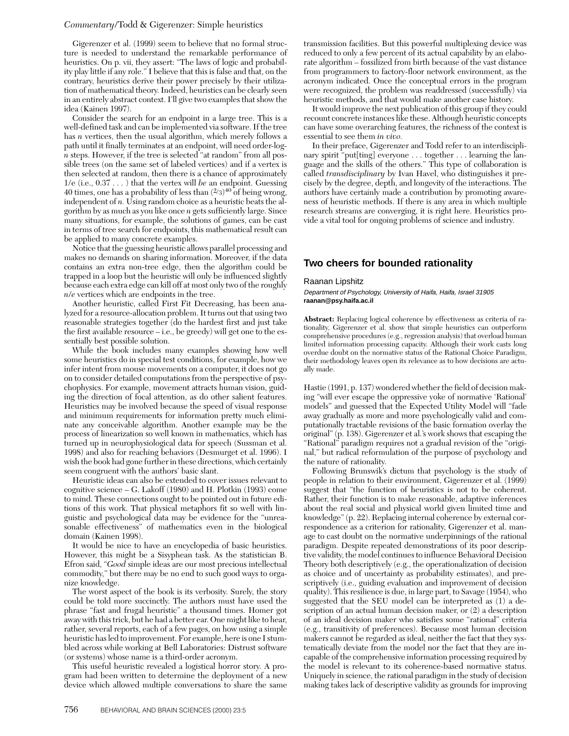Gigerenzer et al. (1999) seem to believe that no formal structure is needed to understand the remarkable performance of heuristics. On p. vii, they assert: "The laws of logic and probability play little if any role." I believe that this is false and that, on the contrary, heuristics derive their power precisely by their utilization of mathematical theory. Indeed, heuristics can be clearly seen in an entirely abstract context. I'll give two examples that show the idea (Kainen 1997).

Consider the search for an endpoint in a large tree. This is a well-defined task and can be implemented via software. If the tree has *n* vertices, then the usual algorithm, which merely follows a path until it finally terminates at an endpoint, will need order-log*n* steps. However, if the tree is selected "at random" from all possible trees (on the same set of labeled vertices) and if a vertex is then selected at random, then there is a chance of approximately 1/e (i.e., 0.37 . . . ) that the vertex will *be* an endpoint. Guessing 40 times, one has a probability of less than  $(2/3)^{40}$  of being wrong, independent of *n*. Using random choice as a heuristic beats the algorithm by as much as you like once *n* gets sufficiently large. Since many situations, for example, the solutions of games, can be cast in terms of tree search for endpoints, this mathematical result can be applied to many concrete examples.

Notice that the guessing heuristic allows parallel processing and makes no demands on sharing information. Moreover, if the data contains an extra non-tree edge, then the algorithm could be trapped in a loop but the heuristic will only be influenced slightly because each extra edge can kill off at most only two of the roughly *n/e* vertices which are endpoints in the tree.

Another heuristic, called First Fit Decreasing, has been analyzed for a resource-allocation problem. It turns out that using two reasonable strategies together (do the hardest first and just take the first available resource – i.e., be greedy) will get one to the essentially best possible solution.

While the book includes many examples showing how well some heuristics do in special test conditions, for example, how we infer intent from mouse movements on a computer, it does not go on to consider detailed computations from the perspective of psychophysics. For example, movement attracts human vision, guiding the direction of focal attention, as do other salient features. Heuristics may be involved because the speed of visual response and minimum requirements for information pretty much eliminate any conceivable algorithm. Another example may be the process of linearization so well known in mathematics, which has turned up in neurophysiological data for speech (Sussman et al. 1998) and also for reaching behaviors (Desmurget et al. 1996). I wish the book had gone further in these directions, which certainly seem congruent with the authors' basic slant.

Heuristic ideas can also be extended to cover issues relevant to cognitive science – G. Lakoff (1980) and H. Plotkin (1993) come to mind. These connections ought to be pointed out in future editions of this work. That physical metaphors fit so well with linguistic and psychological data may be evidence for the "unreasonable effectiveness" of mathematics even in the biological domain (Kainen 1998).

It would be nice to have an encyclopedia of basic heuristics. However, this might be a Sisyphean task. As the statistician B. Efron said, "*Good* simple ideas are our most precious intellectual commodity," but there may be no end to such good ways to organize knowledge.

The worst aspect of the book is its verbosity. Surely, the story could be told more succinctly. The authors must have used the phrase "fast and frugal heuristic" a thousand times. Homer got away with this trick, but he had a better ear. One might like to hear, rather, several reports, each of a few pages, on how using a simple heuristic has led to improvement. For example, here is one I stumbled across while working at Bell Laboratories: Distrust software (or systems) whose name is a third-order acronym.

This useful heuristic revealed a logistical horror story. A program had been written to determine the deployment of a new device which allowed multiple conversations to share the same transmission facilities. But this powerful multiplexing device was reduced to only a few percent of its actual capability by an elaborate algorithm – fossilized from birth because of the vast distance from programmers to factory-floor network environment, as the acronym indicated. Once the conceptual errors in the program were recognized, the problem was readdressed (successfully) via heuristic methods, and that would make another case history.

It would improve the next publication of this group if they could recount concrete instances like these. Although heuristic concepts can have some overarching features, the richness of the context is essential to see them *in vivo.*

In their preface, Gigerenzer and Todd refer to an interdisciplinary spirit "put[ting] everyone . . . together . . . learning the language and the skills of the others." This type of collaboration is called *transdisciplinary* by Ivan Havel, who distinguishes it precisely by the degree, depth, and longevity of the interactions. The authors have certainly made a contribution by promoting awareness of heuristic methods. If there is any area in which multiple research streams are converging, it is right here. Heuristics provide a vital tool for ongoing problems of science and industry.

## **Two cheers for bounded rationality**

#### Raanan Lipshitz

Department of Psychology, University of Haifa, Haifa, Israel 31905 **raanan@psy.haifa.ac.il**

**Abstract:** Replacing logical coherence by effectiveness as criteria of rationality, Gigerenzer et al. show that simple heuristics can outperform comprehensive procedures (e.g., regression analysis) that overload human limited information processing capacity. Although their work casts long overdue doubt on the normative status of the Rational Choice Paradigm, their methodology leaves open its relevance as to how decisions are actually made.

Hastie (1991, p. 137) wondered whether the field of decision making "will ever escape the oppressive yoke of normative 'Rational' models" and guessed that the Expected Utility Model will "fade away gradually as more and more psychologically valid and computationally tractable revisions of the basic formation overlay the original" (p. 138). Gigerenzer et al.'s work shows that escaping the "Rational" paradigm requires not a gradual revision of the "original," but radical reformulation of the purpose of psychology and the nature of rationality.

Following Brunswik's dictum that psychology is the study of people in relation to their environment, Gigerenzer et al. (1999) suggest that "the function of heuristics is not to be coherent. Rather, their function is to make reasonable, adaptive inferences about the real social and physical world given limited time and knowledge" (p. 22). Replacing internal coherence by external correspondence as a criterion for rationality, Gigerenzer et al. manage to cast doubt on the normative underpinnings of the rational paradigm. Despite repeated demonstrations of its poor descriptive validity, the model continues to influence Behavioral Decision Theory both descriptively (e.g., the operationalization of decision as choice and of uncertainty as probability estimates), and prescriptively (i.e., guiding evaluation and improvement of decision quality). This resilience is due, in large part, to Savage (1954), who suggested that the SEU model can be interpreted as (1) a description of an actual human decision maker, or (2) a description of an ideal decision maker who satisfies some "rational" criteria (e.g., transitivity of preferences). Because most human decision makers cannot be regarded as ideal, neither the fact that they systematically deviate from the model nor the fact that they are incapable of the comprehensive information processing required by the model is relevant to its coherence-based normative status. Uniquely in science, the rational paradigm in the study of decision making takes lack of descriptive validity as grounds for improving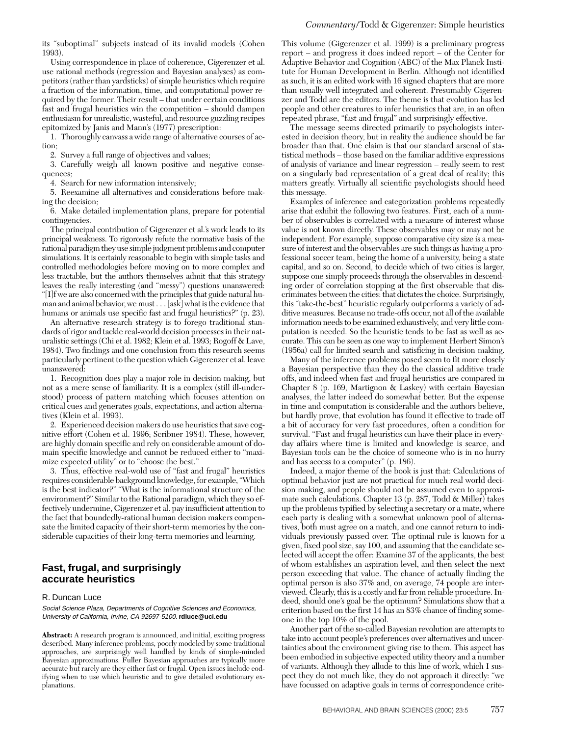its "suboptimal" subjects instead of its invalid models (Cohen 1993).

Using correspondence in place of coherence, Gigerenzer et al. use rational methods (regression and Bayesian analyses) as competitors (rather than yardsticks) of simple heuristics which require a fraction of the information, time, and computational power required by the former. Their result – that under certain conditions fast and frugal heuristics win the competition – should dampen enthusiasm for unrealistic, wasteful, and resource guzzling recipes epitomized by Janis and Mann's (1977) prescription:

1. Thoroughly canvass a wide range of alternative courses of action;

2. Survey a full range of objectives and values;

3. Carefully weigh all known positive and negative consequences;

4. Search for new information intensively;

5. Reexamine all alternatives and considerations before making the decision;

6. Make detailed implementation plans, prepare for potential contingencies.

The principal contribution of Gigerenzer et al.'s work leads to its principal weakness. To rigorously refute the normative basis of the rational paradigm they use simple judgment problems and computer simulations. It is certainly reasonable to begin with simple tasks and controlled methodologies before moving on to more complex and less tractable, but the authors themselves admit that this strategy leaves the really interesting (and "messy") questions unanswered: "[I]f we are also concerned with the principles that guide natural human and animal behavior, we must . . . [ask] what is the evidence that humans or animals use specific fast and frugal heuristics?" (p. 23).

An alternative research strategy is to forego traditional standards of rigor and tackle real-world decision processes in their naturalistic settings (Chi et al. 1982; Klein et al. 1993; Rogoff & Lave, 1984). Two findings and one conclusion from this research seems particularly pertinent to the question which Gigerenzer et al. leave unanswered:

1. Recognition does play a major role in decision making, but not as a mere sense of familiarity. It is a complex (still ill-understood) process of pattern matching which focuses attention on critical cues and generates goals, expectations, and action alternatives (Klein et al. 1993).

2. Experienced decision makers do use heuristics that save cognitive effort (Cohen et al. 1996; Scribner 1984). These, however, are highly domain specific and rely on considerable amount of domain specific knowledge and cannot be reduced either to "maximize expected utility" or to "choose the best."

3. Thus, effective real-wold use of "fast and frugal" heuristics requires considerable background knowledge, for example, "Which is the best indicator?" "What is the informational structure of the environment?" Similar to the Rational paradigm, which they so effectively undermine, Gigerenzer et al. pay insufficient attention to the fact that boundedly-rational human decision makers compensate the limited capacity of their short-term memories by the considerable capacities of their long-term memories and learning.

#### **Fast, frugal, and surprisingly accurate heuristics**

#### R. Duncan Luce

Social Science Plaza, Departments of Cognitive Sciences and Economics, University of California, Irvine, CA 92697-5100. **rdluce@uci.edu**

**Abstract:** A research program is announced, and initial, exciting progress described. Many inference problems, poorly modeled by some traditional approaches, are surprisingly well handled by kinds of simple-minded Bayesian approximations. Fuller Bayesian approaches are typically more accurate but rarely are they either fast or frugal. Open issues include codifying when to use which heuristic and to give detailed evolutionary explanations.

This volume (Gigerenzer et al. 1999) is a preliminary progress report – and progress it does indeed report – of the Center for Adaptive Behavior and Cognition (ABC) of the Max Planck Institute for Human Development in Berlin. Although not identified as such, it is an edited work with 16 signed chapters that are more than usually well integrated and coherent. Presumably Gigerenzer and Todd are the editors. The theme is that evolution has led people and other creatures to infer heuristics that are, in an often repeated phrase, "fast and frugal" and surprisingly effective.

The message seems directed primarily to psychologists interested in decision theory, but in reality the audience should be far broader than that. One claim is that our standard arsenal of statistical methods – those based on the familiar additive expressions of analysis of variance and linear regression – really seem to rest on a singularly bad representation of a great deal of reality; this matters greatly. Virtually all scientific psychologists should heed this message.

Examples of inference and categorization problems repeatedly arise that exhibit the following two features. First, each of a number of observables is correlated with a measure of interest whose value is not known directly. These observables may or may not be independent. For example, suppose comparative city size is a measure of interest and the observables are such things as having a professional soccer team, being the home of a university, being a state capital, and so on. Second, to decide which of two cities is larger, suppose one simply proceeds through the observables in descending order of correlation stopping at the first observable that discriminates between the cities: that dictates the choice. Surprisingly, this "take-the-best" heuristic regularly outperforms a variety of additive measures. Because no trade-offs occur, not all of the available information needs to be examined exhaustively, and very little computation is needed. So the heuristic tends to be fast as well as accurate. This can be seen as one way to implement Herbert Simon's (1956a) call for limited search and satisficing in decision making.

Many of the inference problems posed seem to fit more closely a Bayesian perspective than they do the classical additive trade offs, and indeed when fast and frugal heuristics are compared in Chapter 8 (p. 169, Martignon & Laskey) with certain Bayesian analyses, the latter indeed do somewhat better. But the expense in time and computation is considerable and the authors believe, but hardly prove, that evolution has found it effective to trade off a bit of accuracy for very fast procedures, often a condition for survival. "Fast and frugal heuristics can have their place in everyday affairs where time is limited and knowledge is scarce, and Bayesian tools can be the choice of someone who is in no hurry and has access to a computer" (p. 186).

Indeed, a major theme of the book is just that: Calculations of optimal behavior just are not practical for much real world decision making, and people should not be assumed even to approximate such calculations. Chapter 13 (p. 287, Todd & Miller) takes up the problems typified by selecting a secretary or a mate, where each party is dealing with a somewhat unknown pool of alternatives, both must agree on a match, and one cannot return to individuals previously passed over. The optimal rule is known for a given, fixed pool size, say 100, and assuming that the candidate selected will accept the offer: Examine 37 of the applicants, the best of whom establishes an aspiration level, and then select the next person exceeding that value. The chance of actually finding the optimal person is also 37% and, on average, 74 people are interviewed. Clearly, this is a costly and far from reliable procedure. Indeed, should one's goal be the optimum? Simulations show that a criterion based on the first 14 has an 83% chance of finding someone in the top 10% of the pool.

Another part of the so-called Bayesian revolution are attempts to take into account people's preferences over alternatives and uncertainties about the environment giving rise to them. This aspect has been embodied in subjective expected utility theory and a number of variants. Although they allude to this line of work, which I suspect they do not much like, they do not approach it directly: "we have focussed on adaptive goals in terms of correspondence crite-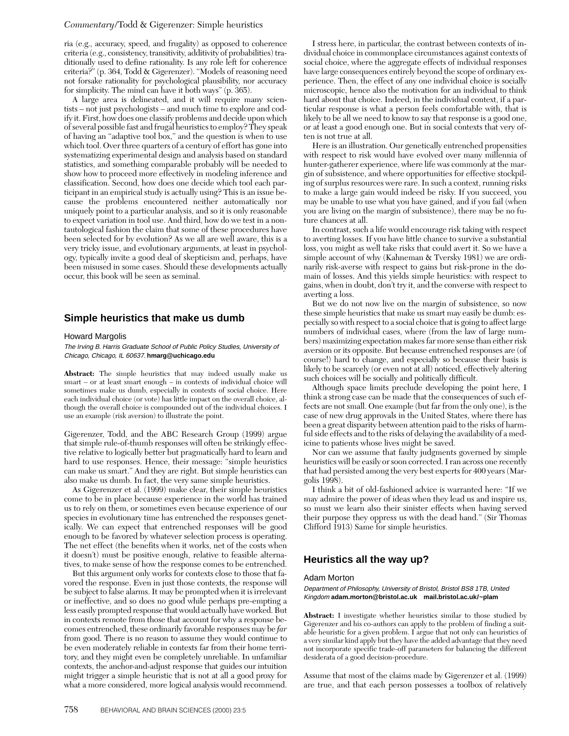ria (e.g., accuracy, speed, and frugality) as opposed to coherence criteria (e.g., consistency, transitivity, additivity of probabilities) traditionally used to define rationality. Is any role left for coherence criteria?" (p. 364, Todd & Gigerenzer). "Models of reasoning need not forsake rationality for psychological plausibility, nor accuracy for simplicity. The mind can have it both ways" (p. 365).

A large area is delineated, and it will require many scientists – not just psychologists – and much time to explore and codify it. First, how does one classify problems and decide upon which of several possible fast and frugal heuristics to employ? They speak of having an "adaptive tool box," and the question is when to use which tool. Over three quarters of a century of effort has gone into systematizing experimental design and analysis based on standard statistics, and something comparable probably will be needed to show how to proceed more effectively in modeling inference and classification. Second, how does one decide which tool each participant in an empirical study is actually using? This is an issue because the problems encountered neither automatically nor uniquely point to a particular analysis, and so it is only reasonable to expect variation in tool use. And third, how do we test in a nontautological fashion the claim that some of these procedures have been selected for by evolution? As we all are well aware, this is a very tricky issue, and evolutionary arguments, at least in psychology, typically invite a good deal of skepticism and, perhaps, have been misused in some cases. Should these developments actually occur, this book will be seen as seminal.

## **Simple heuristics that make us dumb**

#### Howard Margolis

The Irving B. Harris Graduate School of Public Policy Studies, University of Chicago, Chicago, IL 60637. **hmarg@uchicago.edu**

**Abstract:** The simple heuristics that may indeed usually make us smart – or at least smart enough – in contexts of individual choice will sometimes make us dumb, especially in contexts of social choice. Here each individual choice (or vote) has little impact on the overall choice, although the overall choice is compounded out of the individual choices. I use an example (risk aversion) to illustrate the point.

Gigerenzer, Todd, and the ABC Research Group (1999) argue that simple rule-of-thumb responses will often be strikingly effective relative to logically better but pragmatically hard to learn and hard to use responses. Hence, their message: "simple heuristics can make us smart." And they are right. But simple heuristics can also make us dumb. In fact, the very same simple heuristics.

As Gigerenzer et al. (1999) make clear, their simple heuristics come to be in place because experience in the world has trained us to rely on them, or sometimes even because experience of our species in evolutionary time has entrenched the responses genetically. We can expect that entrenched responses will be good enough to be favored by whatever selection process is operating. The net effect (the benefits when it works, net of the costs when it doesn't) must be positive enough, relative to feasible alternatives, to make sense of how the response comes to be entrenched.

But this argument only works for contexts close to those that favored the response. Even in just those contexts, the response will be subject to false alarms. It may be prompted when it is irrelevant or ineffective, and so does no good while perhaps pre-empting a less easily prompted response that would actually have worked. But in contexts remote from those that account for why a response becomes entrenched, these ordinarily favorable responses may be *far* from good. There is no reason to assume they would continue to be even moderately reliable in contexts far from their home territory, and they might even be completely unreliable. In unfamiliar contexts, the anchor-and-adjust response that guides our intuition might trigger a simple heuristic that is not at all a good proxy for what a more considered, more logical analysis would recommend.

I stress here, in particular, the contrast between contexts of individual choice in commonplace circumstances against contexts of social choice, where the aggregate effects of individual responses have large consequences entirely beyond the scope of ordinary experience. Then, the effect of any one individual choice is socially microscopic, hence also the motivation for an individual to think hard about that choice. Indeed, in the individual context, if a particular response is what a person feels comfortable with, that is likely to be all we need to know to say that response is a good one, or at least a good enough one. But in social contexts that very often is not true at all.

Here is an illustration. Our genetically entrenched propensities with respect to risk would have evolved over many millennia of hunter-gatherer experience, where life was commonly at the margin of subsistence, and where opportunities for effective stockpiling of surplus resources were rare. In such a context, running risks to make a large gain would indeed be risky. If you succeed, you may be unable to use what you have gained, and if you fail (when you are living on the margin of subsistence), there may be no future chances at all.

In contrast, such a life would encourage risk taking with respect to averting losses. If you have little chance to survive a substantial loss, you might as well take risks that could avert it. So we have a simple account of why (Kahneman & Tversky 1981) we are ordinarily risk-averse with respect to gains but risk-prone in the domain of losses. And this yields simple heuristics: with respect to gains, when in doubt, don't try it, and the converse with respect to averting a loss.

But we do not now live on the margin of subsistence, so now these simple heuristics that make us smart may easily be dumb: especially so with respect to a social choice that is going to affect large numbers of individual cases, where (from the law of large numbers) maximizing expectation makes far more sense than either risk aversion or its opposite. But because entrenched responses are (of course!) hard to change, and especially so because their basis is likely to be scarcely (or even not at all) noticed, effectively altering such choices will be socially and politically difficult.

Although space limits preclude developing the point here, I think a strong case can be made that the consequences of such effects are not small. One example (but far from the only one), is the case of new drug approvals in the United States, where there has been a great disparity between attention paid to the risks of harmful side effects and to the risks of delaying the availability of a medicine to patients whose lives might be saved.

Nor can we assume that faulty judgments governed by simple heuristics will be easily or soon corrected. I ran across one recently that had persisted among the very best experts for 400 years (Margolis 1998).

I think a bit of old-fashioned advice is warranted here: "If we may admire the power of ideas when they lead us and inspire us, so must we learn also their sinister effects when having served their purpose they oppress us with the dead hand." (Sir Thomas Clifford 1913) Same for simple heuristics.

## **Heuristics all the way up?**

#### Adam Morton

Department of Philosophy, University of Bristol, Bristol BS8 1TB, United Kingdom **adam.morton@bristol.ac.uk mail.bristol.ac.uk/~plam**

**Abstract:** I investigate whether heuristics similar to those studied by Gigerenzer and his co-authors can apply to the problem of finding a suitable heuristic for a given problem. I argue that not only can heuristics of a very similar kind apply but they have the added advantage that they need not incorporate specific trade-off parameters for balancing the different desiderata of a good decision-procedure.

Assume that most of the claims made by Gigerenzer et al. (1999) are true, and that each person possesses a toolbox of relatively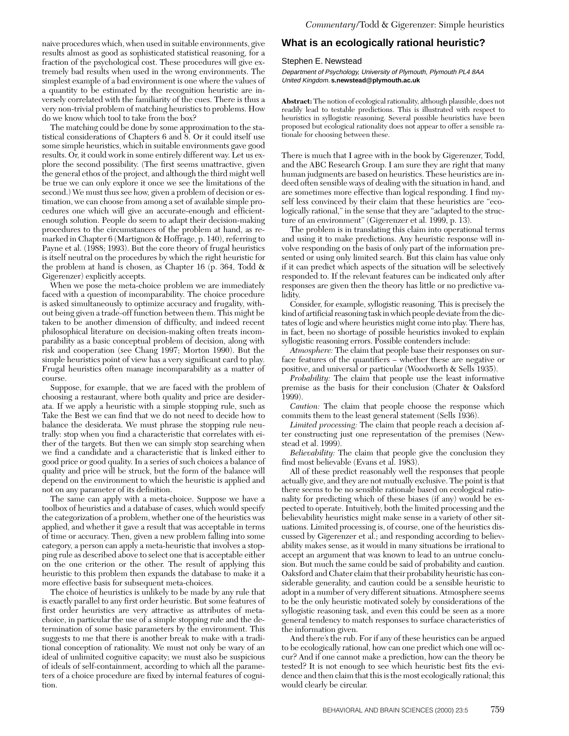naive procedures which, when used in suitable environments, give results almost as good as sophisticated statistical reasoning, for a fraction of the psychological cost. These procedures will give extremely bad results when used in the wrong environments. The simplest example of a bad environment is one where the values of a quantity to be estimated by the recognition heuristic are inversely correlated with the familiarity of the cues. There is thus a very non-trivial problem of matching heuristics to problems. How do we know which tool to take from the box?

The matching could be done by some approximation to the statistical considerations of Chapters 6 and 8. Or it could itself use some simple heuristics, which in suitable environments gave good results. Or, it could work in some entirely different way. Let us explore the second possibility. (The first seems unattractive, given the general ethos of the project, and although the third might well be true we can only explore it once we see the limitations of the second.) We must thus see how, given a problem of decision or estimation, we can choose from among a set of available simple procedures one which will give an accurate-enough and efficientenough solution. People do seem to adapt their decision-making procedures to the circumstances of the problem at hand, as remarked in Chapter 6 (Martignon & Hoffrage, p. 140), referring to Payne et al. (1988; 1993). But the core theory of frugal heuristics is itself neutral on the procedures by which the right heuristic for the problem at hand is chosen, as Chapter 16 (p. 364, Todd & Gigerenzer) explicitly accepts.

When we pose the meta-choice problem we are immediately faced with a question of incomparability. The choice procedure is asked simultaneously to optimize accuracy and frugality, without being given a trade-off function between them. This might be taken to be another dimension of difficulty, and indeed recent philosophical literature on decision-making often treats incomparability as a basic conceptual problem of decision, along with risk and cooperation (see Chang 1997; Morton 1990). But the simple heuristics point of view has a very significant card to play. Frugal heuristics often manage incomparability as a matter of course.

Suppose, for example, that we are faced with the problem of choosing a restaurant, where both quality and price are desiderata. If we apply a heuristic with a simple stopping rule, such as Take the Best we can find that we do not need to decide how to balance the desiderata. We must phrase the stopping rule neutrally: stop when you find a characteristic that correlates with either of the targets. But then we can simply stop searching when we find a candidate and a characteristic that is linked either to good price or good quality. In a series of such choices a balance of quality and price will be struck, but the form of the balance will depend on the environment to which the heuristic is applied and not on any parameter of its definition.

The same can apply with a meta-choice. Suppose we have a toolbox of heuristics and a database of cases, which would specify the categorization of a problem, whether one of the heuristics was applied, and whether it gave a result that was acceptable in terms of time or accuracy. Then, given a new problem falling into some category, a person can apply a meta-heuristic that involves a stopping rule as described above to select one that is acceptable either on the one criterion or the other. The result of applying this heuristic to this problem then expands the database to make it a more effective basis for subsequent meta-choices.

The choice of heuristics is unlikely to be made by any rule that is exactly parallel to any first order heuristic. But some features of first order heuristics are very attractive as attributes of metachoice, in particular the use of a simple stopping rule and the determination of some basic parameters by the environment. This suggests to me that there is another break to make with a traditional conception of rationality. We must not only be wary of an ideal of unlimited cognitive capacity; we must also be suspicious of ideals of self-containment, according to which all the parameters of a choice procedure are fixed by internal features of cognition.

## **What is an ecologically rational heuristic?**

#### Stephen E. Newstead

Department of Psychology, University of Plymouth, Plymouth PL4 8AA United Kingdom. **s.newstead@plymouth.ac.uk**

**Abstract:** The notion of ecological rationality, although plausible, does not readily lead to testable predictions. This is illustrated with respect to heuristics in syllogistic reasoning. Several possible heuristics have been proposed but ecological rationality does not appear to offer a sensible rationale for choosing between these.

There is much that I agree with in the book by Gigerenzer, Todd, and the ABC Research Group. I am sure they are right that many human judgments are based on heuristics. These heuristics are indeed often sensible ways of dealing with the situation in hand, and are sometimes more effective than logical responding. I find myself less convinced by their claim that these heuristics are "ecologically rational," in the sense that they are "adapted to the structure of an environment" (Gigerenzer et al. 1999, p. 13).

The problem is in translating this claim into operational terms and using it to make predictions. Any heuristic response will involve responding on the basis of only part of the information presented or using only limited search. But this claim has value only if it can predict which aspects of the situation will be selectively responded to. If the relevant features can be indicated only after responses are given then the theory has little or no predictive validity.

Consider, for example, syllogistic reasoning. This is precisely the kind of artificial reasoning task in which people deviate from the dictates of logic and where heuristics might come into play. There has, in fact, been no shortage of possible heuristics invoked to explain syllogistic reasoning errors. Possible contenders include:

*Atmosphere:* The claim that people base their responses on surface features of the quantifiers – whether these are negative or positive, and universal or particular (Woodworth & Sells 1935).

*Probability:* The claim that people use the least informative premise as the basis for their conclusion (Chater & Oaksford 1999).

*Caution:* The claim that people choose the response which commits them to the least general statement (Sells 1936).

*Limited processing:* The claim that people reach a decision after constructing just one representation of the premises (Newstead et al. 1999).

*Believability:* The claim that people give the conclusion they find most believable (Evans et al. 1983).

All of these predict reasonably well the responses that people actually give, and they are not mutually exclusive. The point is that there seems to be no sensible rationale based on ecological rationality for predicting which of these biases (if any) would be expected to operate. Intuitively, both the limited processing and the believability heuristics might make sense in a variety of other situations. Limited processing is, of course, one of the heuristics discussed by Gigerenzer et al.; and responding according to believability makes sense, as it would in many situations be irrational to accept an argument that was known to lead to an untrue conclusion. But much the same could be said of probability and caution. Oaksford and Chater claim that their probability heuristic has considerable generality, and caution could be a sensible heuristic to adopt in a number of very different situations. Atmosphere seems to be the only heuristic motivated solely by considerations of the syllogistic reasoning task, and even this could be seen as a more general tendency to match responses to surface characteristics of the information given.

And there's the rub. For if any of these heuristics can be argued to be ecologically rational, how can one predict which one will occur? And if one cannot make a prediction, how can the theory be tested? It is not enough to see which heuristic best fits the evidence and then claim that this is the most ecologically rational; this would clearly be circular.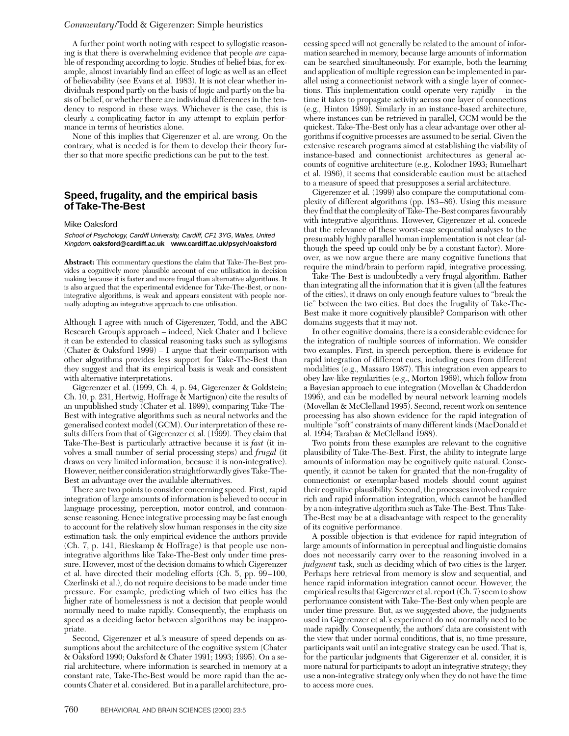A further point worth noting with respect to syllogistic reasoning is that there is overwhelming evidence that people *are* capable of responding according to logic. Studies of belief bias, for example, almost invariably find an effect of logic as well as an effect of believability (see Evans et al. 1983). It is not clear whether individuals respond partly on the basis of logic and partly on the basis of belief, or whether there are individual differences in the tendency to respond in these ways. Whichever is the case, this is clearly a complicating factor in any attempt to explain performance in terms of heuristics alone.

None of this implies that Gigerenzer et al. are wrong. On the contrary, what is needed is for them to develop their theory further so that more specific predictions can be put to the test.

## **Speed, frugality, and the empirical basis of Take-The-Best**

#### Mike Oaksford

School of Psychology, Cardiff University, Cardiff, CF1 3YG, Wales, United Kingdom. **oaksford@cardiff.ac.uk www.cardiff.ac.uk/psych/oaksford**

**Abstract:** This commentary questions the claim that Take-The-Best provides a cognitively more plausible account of cue utilisation in decision making because it is faster and more frugal than alternative algorithms. It is also argued that the experimental evidence for Take-The-Best, or nonintegrative algorithms, is weak and appears consistent with people normally adopting an integrative approach to cue utilisation.

Although I agree with much of Gigerenzer, Todd, and the ABC Research Group's approach – indeed, Nick Chater and I believe it can be extended to classical reasoning tasks such as syllogisms (Chater & Oaksford 1999) – I argue that their comparison with other algorithms provides less support for Take-The-Best than they suggest and that its empirical basis is weak and consistent with alternative interpretations.

Gigerenzer et al. (1999, Ch. 4, p. 94, Gigerenzer & Goldstein; Ch. 10, p. 231, Hertwig, Hoffrage & Martignon) cite the results of an unpublished study (Chater et al. 1999), comparing Take-The-Best with integrative algorithms such as neural networks and the generalised context model (GCM). Our interpretation of these results differs from that of Gigerenzer et al. (1999). They claim that Take-The-Best is particularly attractive because it is *fast* (it involves a small number of serial processing steps) and *frugal* (it draws on very limited information, because it is non-integrative). However, neither consideration straightforwardly gives Take-The-Best an advantage over the available alternatives.

There are two points to consider concerning speed. First, rapid integration of large amounts of information is believed to occur in language processing, perception, motor control, and commonsense reasoning. Hence integrative processing may be fast enough to account for the relatively slow human responses in the city size estimation task. the only empirical evidence the authors provide (Ch. 7, p. 141, Rieskamp & Hoffrage) is that people use nonintegrative algorithms like Take-The-Best only under time pressure. However, most of the decision domains to which Gigerenzer et al. have directed their modeling efforts (Ch. 5, pp. 99–100, Czerlinski et al.), do not require decisions to be made under time pressure. For example, predicting which of two cities has the higher rate of homelessness is not a decision that people would normally need to make rapidly. Consequently, the emphasis on speed as a deciding factor between algorithms may be inappropriate.

Second, Gigerenzer et al.'s measure of speed depends on assumptions about the architecture of the cognitive system (Chater & Oaksford 1990; Oaksford & Chater 1991; 1993; 1995). On a serial architecture, where information is searched in memory at a constant rate, Take-The-Best would be more rapid than the accounts Chater et al. considered. But in a parallel architecture, processing speed will not generally be related to the amount of information searched in memory, because large amounts of information can be searched simultaneously. For example, both the learning and application of multiple regression can be implemented in parallel using a connectionist network with a single layer of connections. This implementation could operate very rapidly – in the time it takes to propagate activity across one layer of connections (e.g., Hinton 1989). Similarly in an instance-based architecture, where instances can be retrieved in parallel, GCM would be the quickest. Take-The-Best only has a clear advantage over other algorithms if cognitive processes are assumed to be serial. Given the extensive research programs aimed at establishing the viability of instance-based and connectionist architectures as general accounts of cognitive architecture (e.g., Kolodner 1993; Rumelhart et al. 1986), it seems that considerable caution must be attached to a measure of speed that presupposes a serial architecture.

Gigerenzer et al. (1999) also compare the computational complexity of different algorithms (pp. 183–86). Using this measure they find that the complexity of Take-The-Best compares favourably with integrative algorithms. However, Gigerenzer et al. concede that the relevance of these worst-case sequential analyses to the presumably highly parallel human implementation is not clear (although the speed up could only be by a constant factor). Moreover, as we now argue there are many cognitive functions that require the mind/brain to perform rapid, integrative processing.

Take-The-Best is undoubtedly a very frugal algorithm. Rather than integrating all the information that it is given (all the features of the cities), it draws on only enough feature values to "break the tie" between the two cities. But does the frugality of Take-The-Best make it more cognitively plausible? Comparison with other domains suggests that it may not.

In other cognitive domains, there is a considerable evidence for the integration of multiple sources of information. We consider two examples. First, in speech perception, there is evidence for rapid integration of different cues, including cues from different modalities (e.g., Massaro 1987). This integration even appears to obey law-like regularities (e.g., Morton 1969), which follow from a Bayesian approach to cue integration (Movellan & Chadderdon 1996), and can be modelled by neural network learning models (Movellan & McClelland 1995). Second, recent work on sentence processing has also shown evidence for the rapid integration of multiple "soft" constraints of many different kinds (MacDonald et al. 1994; Taraban & McClelland 1988).

Two points from these examples are relevant to the cognitive plausibility of Take-The-Best. First, the ability to integrate large amounts of information may be cognitively quite natural. Consequently, it cannot be taken for granted that the non-frugality of connectionist or exemplar-based models should count against their cognitive plausibility. Second, the processes involved require rich and rapid information integration, which cannot be handled by a non-integrative algorithm such as Take-The-Best. Thus Take-The-Best may be at a disadvantage with respect to the generality of its cognitive performance.

A possible objection is that evidence for rapid integration of large amounts of information in perceptual and linguistic domains does not necessarily carry over to the reasoning involved in a *judgment* task, such as deciding which of two cities is the larger. Perhaps here retrieval from memory is slow and sequential, and hence rapid information integration cannot occur. However, the empirical results that Gigerenzer et al. report (Ch. 7) seem to show performance consistent with Take-The-Best only when people are under time pressure. But, as we suggested above, the judgments used in Gigerenzer et al.'s experiment do not normally need to be made rapidly. Consequently, the authors' data are consistent with the view that under normal conditions, that is, no time pressure, participants wait until an integrative strategy can be used. That is, for the particular judgments that Gigerenzer et al. consider, it is more natural for participants to adopt an integrative strategy; they use a non-integrative strategy only when they do not have the time to access more cues.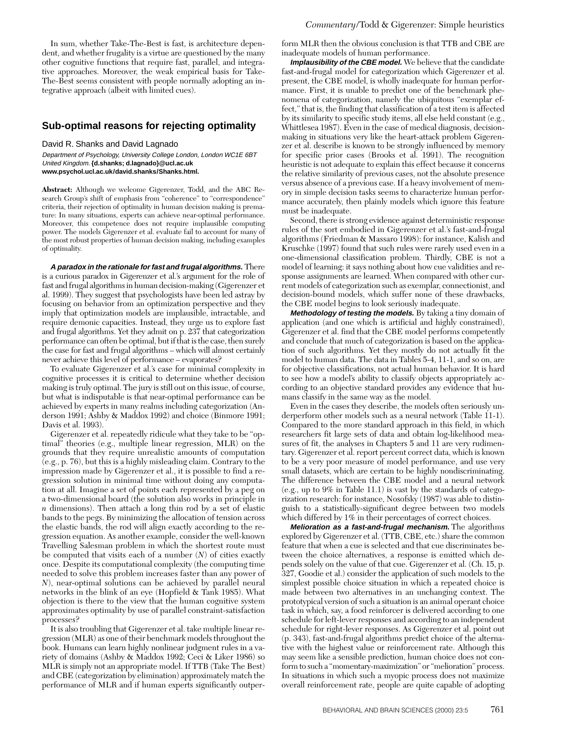In sum, whether Take-The-Best is fast, is architecture dependent, and whether frugality is a virtue are questioned by the many other cognitive functions that require fast, parallel, and integrative approaches. Moreover, the weak empirical basis for Take-The-Best seems consistent with people normally adopting an integrative approach (albeit with limited cues).

## **Sub-optimal reasons for rejecting optimality**

David R. Shanks and David Lagnado

Department of Psychology, University College London, London WC1E 6BT United Kingdom. **{d.shanks; d.lagnado}@ucl.ac.uk www.psychol.ucl.ac.uk/david.shanks/Shanks.html.**

**Abstract:** Although we welcome Gigerenzer, Todd, and the ABC Research Group's shift of emphasis from "coherence" to "correspondence" criteria, their rejection of optimality in human decision making is premature: In many situations, experts can achieve near-optimal performance. Moreover, this competence does not require implausible computing power. The models Gigerenzer et al. evaluate fail to account for many of the most robust properties of human decision making, including examples of optimality.

**A paradox in the rationale for fast and frugal algorithms.** There is a curious paradox in Gigerenzer et al.'s argument for the role of fast and frugal algorithms in human decision-making (Gigerenzer et al. 1999). They suggest that psychologists have been led astray by focusing on behavior from an optimization perspective and they imply that optimization models are implausible, intractable, and require demonic capacities. Instead, they urge us to explore fast and frugal algorithms. Yet they admit on p. 237 that categorization performance can often be optimal, but if that is the case, then surely the case for fast and frugal algorithms – which will almost certainly never achieve this level of performance – evaporates?

To evaluate Gigerenzer et al.'s case for minimal complexity in cognitive processes it is critical to determine whether decision making is truly optimal. The jury is still out on this issue, of course, but what is indisputable is that near-optimal performance can be achieved by experts in many realms including categorization (Anderson 1991; Ashby & Maddox 1992) and choice (Binmore 1991; Davis et al. 1993).

Gigerenzer et al. repeatedly ridicule what they take to be "optimal" theories (e.g., multiple linear regression, MLR) on the grounds that they require unrealistic amounts of computation (e.g., p. 76), but this is a highly misleading claim. Contrary to the impression made by Gigerenzer et al., it is possible to find a regression solution in minimal time without doing any computation at all. Imagine a set of points each represented by a peg on a two-dimensional board (the solution also works in principle in *n* dimensions). Then attach a long thin rod by a set of elastic bands to the pegs. By minimizing the allocation of tension across the elastic bands, the rod will align exactly according to the regression equation. As another example, consider the well-known Travelling Salesman problem in which the shortest route must be computed that visits each of a number (*N*) of cities exactly once. Despite its computational complexity (the computing time needed to solve this problem increases faster than any power of *N*), near-optimal solutions can be achieved by parallel neural networks in the blink of an eye (Hopfield & Tank 1985). What objection is there to the view that the human cognitive system approximates optimality by use of parallel constraint-satisfaction processes?

It is also troubling that Gigerenzer et al. take multiple linear regression (MLR) as one of their benchmark models throughout the book. Humans can learn highly nonlinear judgment rules in a variety of domains (Ashby & Maddox 1992; Ceci & Liker 1986) so MLR is simply not an appropriate model. If TTB (Take The Best) and CBE (categorization by elimination) approximately match the performance of MLR and if human experts significantly outper-

form MLR then the obvious conclusion is that TTB and CBE are inadequate models of human performance.

**Implausibility of the CBE model.** We believe that the candidate fast-and-frugal model for categorization which Gigerenzer et al. present, the CBE model, is wholly inadequate for human performance. First, it is unable to predict one of the benchmark phenomena of categorization, namely the ubiquitous "exemplar effect," that is, the finding that classification of a test item is affected by its similarity to specific study items, all else held constant (e.g., Whittlesea 1987). Even in the case of medical diagnosis, decisionmaking in situations very like the heart-attack problem Gigerenzer et al. describe is known to be strongly influenced by memory for specific prior cases (Brooks et al. 1991). The recognition heuristic is not adequate to explain this effect because it concerns the relative similarity of previous cases, not the absolute presence versus absence of a previous case. If a heavy involvement of memory in simple decision tasks seems to characterize human performance accurately, then plainly models which ignore this feature must be inadequate.

Second, there is strong evidence against deterministic response rules of the sort embodied in Gigerenzer et al.'s fast-and-frugal algorithms (Friedman & Massaro 1998): for instance, Kalish and Kruschke (1997) found that such rules were rarely used even in a one-dimensional classification problem. Thirdly, CBE is not a model of learning: it says nothing about how cue validities and response assignments are learned. When compared with other current models of categorization such as exemplar, connectionist, and decision-bound models, which suffer none of these drawbacks, the CBE model begins to look seriously inadequate.

**Methodology of testing the models.** By taking a tiny domain of application (and one which is artificial and highly constrained), Gigerenzer et al. find that the CBE model performs competently and conclude that much of categorization is based on the application of such algorithms. Yet they mostly do not actually fit the model to human data. The data in Tables 5-4, 11-1, and so on, are for objective classifications, not actual human behavior. It is hard to see how a model's ability to classify objects appropriately according to an objective standard provides any evidence that humans classify in the same way as the model.

Even in the cases they describe, the models often seriously underperform other models such as a neural network (Table 11-1). Compared to the more standard approach in this field, in which researchers fit large sets of data and obtain log-likelihood measures of fit, the analyses in Chapters 5 and 11 are very rudimentary. Gigerenzer et al. report percent correct data, which is known to be a very poor measure of model performance, and use very small datasets, which are certain to be highly nondiscriminating. The difference between the CBE model and a neural network (e.g., up to 9% in Table 11.1) is vast by the standards of categorization research: for instance, Nosofsky (1987) was able to distinguish to a statistically-significant degree between two models which differed by  $1\%$  in their percentages of correct choices.

**Melioration as a fast-and-frugal mechanism.** The algorithms explored by Gigerenzer et al. (TTB, CBE, etc.) share the common feature that when a cue is selected and that cue discriminates between the choice alternatives, a response is emitted which depends solely on the value of that cue. Gigerenzer et al. (Ch. 15, p. 327, Goodie et al.) consider the application of such models to the simplest possible choice situation in which a repeated choice is made between two alternatives in an unchanging context. The prototypical version of such a situation is an animal operant choice task in which, say, a food reinforcer is delivered according to one schedule for left-lever responses and according to an independent schedule for right-lever responses. As Gigerenzer et al. point out (p. 343), fast-and-frugal algorithms predict choice of the alternative with the highest value or reinforcement rate. Although this may seem like a sensible prediction, human choice does not conform to such a "momentary-maximization" or "melioration" process. In situations in which such a myopic process does not maximize overall reinforcement rate, people are quite capable of adopting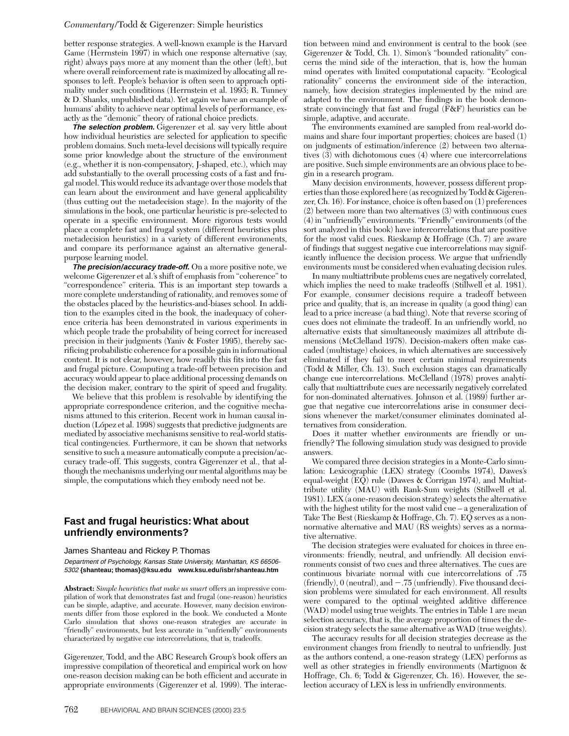better response strategies. A well-known example is the Harvard Game (Herrnstein 1997) in which one response alternative (say, right) always pays more at any moment than the other (left), but where overall reinforcement rate is maximized by allocating all responses to left. People's behavior is often seen to approach optimality under such conditions (Herrnstein et al. 1993; R. Tunney & D. Shanks, unpublished data). Yet again we have an example of humans' ability to achieve near optimal levels of performance, exactly as the "demonic" theory of rational choice predicts.

**The selection problem.** Gigerenzer et al. say very little about how individual heuristics are selected for application to specific problem domains. Such meta-level decisions will typically require some prior knowledge about the structure of the environment (e.g., whether it is non-compensatory, J-shaped, etc.), which may add substantially to the overall processing costs of a fast and frugal model. This would reduce its advantage over those models that can learn about the environment and have general applicability (thus cutting out the metadecision stage). In the majority of the simulations in the book, one particular heuristic is pre-selected to operate in a specific environment. More rigorous tests would place a complete fast and frugal system (different heuristics plus metadecision heuristics) in a variety of different environments, and compare its performance against an alternative generalpurpose learning model.

**The precision/accuracy trade-off.** On a more positive note, we welcome Gigerenzer et al.'s shift of emphasis from "coherence" to "correspondence" criteria. This is an important step towards a more complete understanding of rationality, and removes some of the obstacles placed by the heuristics-and-biases school. In addition to the examples cited in the book, the inadequacy of coherence criteria has been demonstrated in various experiments in which people trade the probability of being correct for increased precision in their judgments (Yaniv & Foster 1995), thereby sacrificing probabilistic coherence for a possible gain in informational content. It is not clear, however, how readily this fits into the fast and frugal picture. Computing a trade-off between precision and accuracy would appear to place additional processing demands on the decision maker, contrary to the spirit of speed and frugality.

We believe that this problem is resolvable by identifying the appropriate correspondence criterion, and the cognitive mechanisms attuned to this criterion. Recent work in human causal induction (López et al. 1998) suggests that predictive judgments are mediated by associative mechanisms sensitive to real-world statistical contingencies. Furthermore, it can be shown that networks sensitive to such a measure automatically compute a precision/accuracy trade-off. This suggests, contra Gigerenzer et al., that although the mechanisms underlying our mental algorithms may be simple, the computations which they embody need not be.

## **Fast and frugal heuristics: What about unfriendly environments?**

James Shanteau and Rickey P. Thomas

Department of Psychology, Kansas State University, Manhattan, KS 66506- 5302 **{shanteau; thomas}@ksu.edu www.ksu.edu/isbr/shanteau.htm**

**Abstract:** *Simple heuristics that make us smart* offers an impressive compilation of work that demonstrates fast and frugal (one-reason) heuristics can be simple, adaptive, and accurate. However, many decision environments differ from those explored in the book. We conducted a Monte Carlo simulation that shows one-reason strategies are accurate in "friendly" environments, but less accurate in "unfriendly" environments characterized by negative cue intercorrelations, that is, tradeoffs.

Gigerenzer, Todd, and the ABC Research Group's book offers an impressive compilation of theoretical and empirical work on how one-reason decision making can be both efficient and accurate in appropriate environments (Gigerenzer et al. 1999). The interaction between mind and environment is central to the book (see Gigerenzer & Todd, Ch. 1). Simon's "bounded rationality" concerns the mind side of the interaction, that is, how the human mind operates with limited computational capacity. "Ecological rationality" concerns the environment side of the interaction, namely, how decision strategies implemented by the mind are adapted to the environment. The findings in the book demonstrate convincingly that fast and frugal (F&F) heuristics can be simple, adaptive, and accurate.

The environments examined are sampled from real-world domains and share four important properties; choices are based (1) on judgments of estimation/inference (2) between two alternatives (3) with dichotomous cues (4) where cue intercorrelations are positive. Such simple environments are an obvious place to begin in a research program.

Many decision environments, however, possess different properties than those explored here (as recognized by Todd & Gigerenzer, Ch. 16). For instance, choice is often based on (1) preferences (2) between more than two alternatives (3) with continuous cues (4) in "unfriendly" environments. "Friendly" environments (of the sort analyzed in this book) have intercorrelations that are positive for the most valid cues. Rieskamp & Hoffrage (Ch. 7) are aware of findings that suggest negative cue intercorrelations may significantly influence the decision process. We argue that unfriendly environments must be considered when evaluating decision rules.

In many multiattribute problems cues are negatively correlated, which implies the need to make tradeoffs (Stillwell et al. 1981). For example, consumer decisions require a tradeoff between price and quality, that is, an increase in quality (a good thing) can lead to a price increase (a bad thing). Note that reverse scoring of cues does not eliminate the tradeoff. In an unfriendly world, no alternative exists that simultaneously maximizes all attribute dimensions (McClelland 1978). Decision-makers often make cascaded (multistage) choices, in which alternatives are successively eliminated if they fail to meet certain minimal requirements (Todd & Miller, Ch. 13). Such exclusion stages can dramatically change cue intercorrelations. McClelland (1978) proves analytically that multiattribute cues are necessarily negatively correlated for non-dominated alternatives. Johnson et al. (1989) further argue that negative cue intercorrelations arise in consumer decisions whenever the market/consumer eliminates dominated alternatives from consideration.

Does it matter whether environments are friendly or unfriendly? The following simulation study was designed to provide answers.

We compared three decision strategies in a Monte-Carlo simulation: Lexicographic (LEX) strategy (Coombs 1974), Dawes's equal-weight (EQ) rule (Dawes & Corrigan 1974), and Multiattribute utility (MAU) with Rank-Sum weights (Stillwell et al. 1981). LEX (a one-reason decision strategy) selects the alternative with the highest utility for the most valid cue – a generalization of Take The Best (Rieskamp & Hoffrage, Ch. 7). EQ serves as a nonnormative alternative and MAU (RS weights) serves as a normative alternative.

The decision strategies were evaluated for choices in three environments: friendly, neutral, and unfriendly. All decision environments consist of two cues and three alternatives. The cues are continuous bivariate normal with cue intercorrelations of .75 (friendly),  $0$  (neutral), and  $-.75$  (unfriendly). Five thousand decision problems were simulated for each environment. All results were compared to the optimal weighted additive difference (WAD) model using true weights. The entries in Table 1 are mean selection accuracy, that is, the average proportion of times the decision strategy selects the same alternative as WAD (true weights).

The accuracy results for all decision strategies decrease as the environment changes from friendly to neutral to unfriendly. Just as the authors contend, a one-reason strategy (LEX) performs as well as other strategies in friendly environments (Martignon & Hoffrage, Ch. 6; Todd & Gigerenzer, Ch. 16). However, the selection accuracy of LEX is less in unfriendly environments.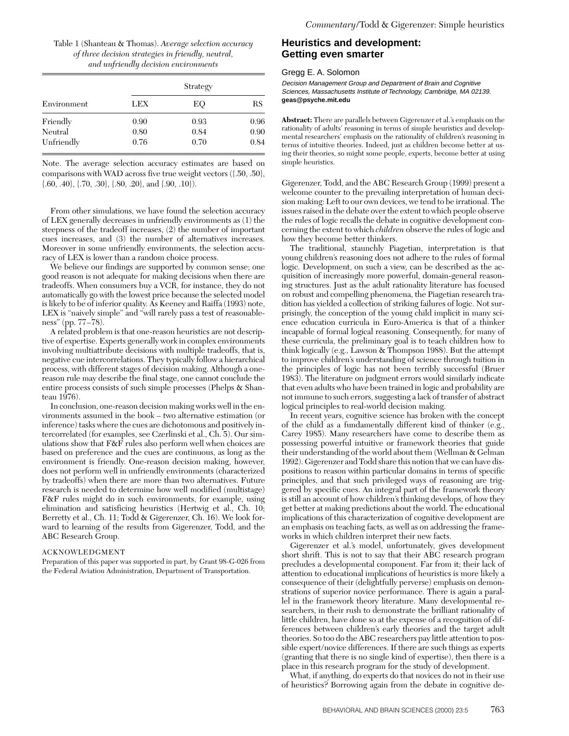| Table 1 (Shanteau & Thomas). Average selection accuracy |
|---------------------------------------------------------|
| of three decision strategies in friendly, neutral,      |
| and unfriendly decision environments                    |

| Environment | Strategy |      |      |  |
|-------------|----------|------|------|--|
|             | LEX      | EQ   | RS   |  |
| Friendly    | 0.90     | 0.93 | 0.96 |  |
| Neutral     | 0.80     | 0.84 | 0.90 |  |
| Unfriendly  | 0.76     | 0.70 | 0.84 |  |

Note. The average selection accuracy estimates are based on comparisons with WAD across five true weight vectors  $({}.50, .50]$ ,  $\{.60, .40\}, \{.70, .30\}, \{.80, .20\}, \text{and } \{.90, .10\}.$ 

From other simulations, we have found the selection accuracy of LEX generally decreases in unfriendly environments as (1) the steepness of the tradeoff increases, (2) the number of important cues increases, and (3) the number of alternatives increases. Moreover in some unfriendly environments, the selection accuracy of LEX is lower than a random choice process.

We believe our findings are supported by common sense; one good reason is not adequate for making decisions when there are tradeoffs. When consumers buy a VCR, for instance, they do not automatically go with the lowest price because the selected model is likely to be of inferior quality. As Keeney and Raiffa (1993) note, LEX is "naively simple" and "will rarely pass a test of reasonableness" (pp. 77–78).

A related problem is that one-reason heuristics are not descriptive of expertise. Experts generally work in complex environments involving multiattribute decisions with multiple tradeoffs, that is, negative cue intercorrelations. They typically follow a hierarchical process, with different stages of decision making. Although a onereason rule may describe the final stage, one cannot conclude the entire process consists of such simple processes (Phelps & Shanteau 1976).

In conclusion, one-reason decision making works well in the environments assumed in the book – two alternative estimation (or inference) tasks where the cues are dichotomous and positively intercorrelated (for examples, see Czerlinski et al., Ch. 5). Our simulations show that F&F rules also perform well when choices are based on preference and the cues are continuous, as long as the environment is friendly. One-reason decision making, however, does not perform well in unfriendly environments (characterized by tradeoffs) when there are more than two alternatives. Future research is needed to determine how well modified (multistage) F&F rules might do in such environments, for example, using elimination and satisficing heuristics (Hertwig et al., Ch. 10; Berretty et al., Ch. 11; Todd & Gigerenzer, Ch. 16). We look forward to learning of the results from Gigerenzer, Todd, and the ABC Research Group.

#### ACKNOWLEDGMENT

Preparation of this paper was supported in part, by Grant 98-G-026 from the Federal Aviation Administration, Department of Transportation.

## **Heuristics and development: Getting even smarter**

#### Gregg E. A. Solomon

Decision Management Group and Department of Brain and Cognitive Sciences, Massachusetts Institute of Technology, Cambridge, MA 02139. **geas@psyche.mit.edu**

**Abstract:** There are parallels between Gigerenzer et al.'s emphasis on the rationality of adults' reasoning in terms of simple heuristics and developmental researchers' emphasis on the rationality of children's reasoning in terms of intuitive theories. Indeed, just as children become better at using their theories, so might some people, experts, become better at using simple heuristics.

Gigerenzer, Todd, and the ABC Research Group (1999) present a welcome counter to the prevailing interpretation of human decision making: Left to our own devices, we tend to be irrational. The issues raised in the debate over the extent to which people observe the rules of logic recalls the debate in cognitive development concerning the extent to which *children* observe the rules of logic and how they become better thinkers.

The traditional, staunchly Piagetian, interpretation is that young children's reasoning does not adhere to the rules of formal logic. Development, on such a view, can be described as the acquisition of increasingly more powerful, domain-general reasoning structures. Just as the adult rationality literature has focused on robust and compelling phenomena, the Piagetian research tradition has yielded a collection of striking failures of logic. Not surprisingly, the conception of the young child implicit in many science education curricula in Euro-America is that of a thinker incapable of formal logical reasoning. Consequently, for many of these curricula, the preliminary goal is to teach children how to think logically (e.g., Lawson & Thompson 1988). But the attempt to improve children's understanding of science through tuition in the principles of logic has not been terribly successful (Bruer 1983). The literature on judgment errors would similarly indicate that even adults who have been trained in logic and probability are not immune to such errors, suggesting a lack of transfer of abstract logical principles to real-world decision making.

In recent years, cognitive science has broken with the concept of the child as a fundamentally different kind of thinker (e.g., Carey 1985). Many researchers have come to describe them as possessing powerful intuitive or framework theories that guide their understanding of the world about them (Wellman & Gelman 1992). Gigerenzer and Todd share this notion that we can have dispositions to reason within particular domains in terms of specific principles, and that such privileged ways of reasoning are triggered by specific cues. An integral part of the framework theory is still an account of how children's thinking develops, of how they get better at making predictions about the world. The educational implications of this characterization of cognitive development are an emphasis on teaching facts, as well as on addressing the frameworks in which children interpret their new facts.

Gigerenzer et al.'s model, unfortunately, gives development short shrift. This is not to say that their ABC research program precludes a developmental component. Far from it; their lack of attention to educational implications of heuristics is more likely a consequence of their (delightfully perverse) emphasis on demonstrations of superior novice performance. There is again a parallel in the framework theory literature. Many developmental researchers, in their rush to demonstrate the brilliant rationality of little children, have done so at the expense of a recognition of differences between children's early theories and the target adult theories. So too do the ABC researchers pay little attention to possible expert/novice differences. If there are such things as experts (granting that there is no single kind of expertise), then there is a place in this research program for the study of development.

What, if anything, do experts do that novices do not in their use of heuristics? Borrowing again from the debate in cognitive de-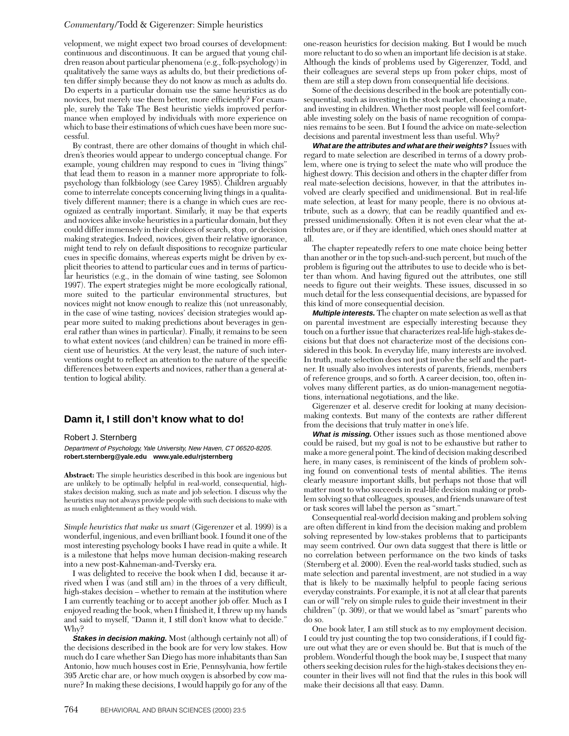velopment, we might expect two broad courses of development: continuous and discontinuous. It can be argued that young children reason about particular phenomena (e.g., folk-psychology) in qualitatively the same ways as adults do, but their predictions often differ simply because they do not know as much as adults do. Do experts in a particular domain use the same heuristics as do novices, but merely use them better, more efficiently? For example, surely the Take The Best heuristic yields improved performance when employed by individuals with more experience on which to base their estimations of which cues have been more successful.

By contrast, there are other domains of thought in which children's theories would appear to undergo conceptual change. For example, young children may respond to cues in "living things" that lead them to reason in a manner more appropriate to folkpsychology than folkbiology (see Carey 1985). Children arguably come to interrelate concepts concerning living things in a qualitatively different manner; there is a change in which cues are recognized as centrally important. Similarly, it may be that experts and novices alike invoke heuristics in a particular domain, but they could differ immensely in their choices of search, stop, or decision making strategies. Indeed, novices, given their relative ignorance, might tend to rely on default dispositions to recognize particular cues in specific domains, whereas experts might be driven by explicit theories to attend to particular cues and in terms of particular heuristics (e.g., in the domain of wine tasting, see Solomon 1997). The expert strategies might be more ecologically rational, more suited to the particular environmental structures, but novices might not know enough to realize this (not unreasonably, in the case of wine tasting, novices' decision strategies would appear more suited to making predictions about beverages in general rather than wines in particular). Finally, it remains to be seen to what extent novices (and children) can be trained in more efficient use of heuristics. At the very least, the nature of such interventions ought to reflect an attention to the nature of the specific differences between experts and novices, rather than a general attention to logical ability.

## **Damn it, I still don't know what to do!**

#### Robert J. Sternberg

Department of Psychology, Yale University, New Haven, CT 06520-8205. **robert.sternberg@yale.edu www.yale.edu/rjsternberg**

**Abstract:** The simple heuristics described in this book are ingenious but are unlikely to be optimally helpful in real-world, consequential, highstakes decision making, such as mate and job selection. I discuss why the heuristics may not always provide people with such decisions to make with as much enlightenment as they would wish.

*Simple heuristics that make us smart* (Gigerenzer et al. 1999) is a wonderful, ingenious, and even brilliant book. I found it one of the most interesting psychology books I have read in quite a while. It is a milestone that helps move human decision-making research into a new post-Kahneman-and-Tversky era.

I was delighted to receive the book when I did, because it arrived when I was (and still am) in the throes of a very difficult, high-stakes decision – whether to remain at the institution where I am currently teaching or to accept another job offer. Much as I enjoyed reading the book, when I finished it, I threw up my hands and said to myself, "Damn it, I still don't know what to decide." Why?

**Stakes in decision making.** Most (although certainly not all) of the decisions described in the book are for very low stakes. How much do I care whether San Diego has more inhabitants than San Antonio, how much houses cost in Erie, Pennsylvania, how fertile 395 Arctic char are, or how much oxygen is absorbed by cow manure? In making these decisions, I would happily go for any of the one-reason heuristics for decision making. But I would be much more reluctant to do so when an important life decision is at stake. Although the kinds of problems used by Gigerenzer, Todd, and their colleagues are several steps up from poker chips, most of them are still a step down from consequential life decisions.

Some of the decisions described in the book are potentially consequential, such as investing in the stock market, choosing a mate, and investing in children. Whether most people will feel comfortable investing solely on the basis of name recognition of companies remains to be seen. But I found the advice on mate-selection decisions and parental investment less than useful. Why?

**What are the attributes and what are their weights?** Issues with regard to mate selection are described in terms of a dowry problem, where one is trying to select the mate who will produce the highest dowry. This decision and others in the chapter differ from real mate-selection decisions, however, in that the attributes involved are clearly specified and unidimensional. But in real-life mate selection, at least for many people, there is no obvious attribute, such as a dowry, that can be readily quantified and expressed unidimensionally. Often it is not even clear what the attributes are, or if they are identified, which ones should matter at all.

The chapter repeatedly refers to one mate choice being better than another or in the top such-and-such percent, but much of the problem is figuring out the attributes to use to decide who is better than whom. And having figured out the attributes, one still needs to figure out their weights. These issues, discussed in so much detail for the less consequential decisions, are bypassed for this kind of more consequential decision.

**Multiple interests.** The chapter on mate selection as well as that on parental investment are especially interesting because they touch on a further issue that characterizes real-life high-stakes decisions but that does not characterize most of the decisions considered in this book. In everyday life, many interests are involved. In truth, mate selection does not just involve the self and the partner. It usually also involves interests of parents, friends, members of reference groups, and so forth. A career decision, too, often involves many different parties, as do union-management negotiations, international negotiations, and the like.

Gigerenzer et al. deserve credit for looking at many decisionmaking contexts. But many of the contexts are rather different from the decisions that truly matter in one's life.

**What is missing.** Other issues such as those mentioned above could be raised, but my goal is not to be exhaustive but rather to make a more general point. The kind of decision making described here, in many cases, is reminiscent of the kinds of problem solving found on conventional tests of mental abilities. The items clearly measure important skills, but perhaps not those that will matter most to who succeeds in real-life decision making or problem solving so that colleagues, spouses, and friends unaware of test or task scores will label the person as "smart."

Consequential real-world decision making and problem solving are often different in kind from the decision making and problem solving represented by low-stakes problems that to participants may seem contrived. Our own data suggest that there is little or no correlation between performance on the two kinds of tasks (Sternberg et al. 2000). Even the real-world tasks studied, such as mate selection and parental investment, are not studied in a way that is likely to be maximally helpful to people facing serious everyday constraints. For example, it is not at all clear that parents can or will "rely on simple rules to guide their investment in their children" (p. 309), or that we would label as "smart" parents who do so.

One book later, I am still stuck as to my employment decision. I could try just counting the top two considerations, if I could figure out what they are or even should be. But that is much of the problem. Wonderful though the book may be, I suspect that many others seeking decision rules for the high-stakes decisions they encounter in their lives will not find that the rules in this book will make their decisions all that easy. Damn.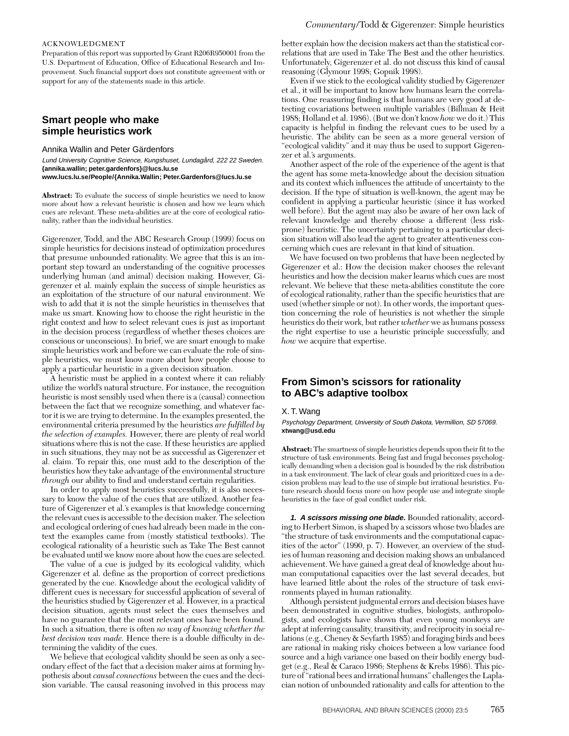#### ACKNOWLEDGMENT

Preparation of this report was supported by Grant R206R950001 from the U.S. Department of Education, Office of Educational Research and Improvement. Such financial support does not constitute agreement with or support for any of the statements made in this article.

## **Smart people who make simple heuristics work**

#### Annika Wallin and Peter Gärdenfors

Lund University Cognitive Science, Kungshuset, Lundagård, 222 22 Sweden. **{annika.wallin; peter.gardenfors}@lucs.lu.se www.lucs.lu.se/People/{Annika.Wallin; Peter.Gardenfors@lucs.lu.se**

**Abstract:** To evaluate the success of simple heuristics we need to know more about how a relevant heuristic is chosen and how we learn which cues are relevant. These meta-abilities are at the core of ecological rationality, rather than the individual heuristics.

Gigerenzer, Todd, and the ABC Research Group (1999) focus on simple heuristics for decisions instead of optimization procedures that presume unbounded rationality. We agree that this is an important step toward an understanding of the cognitive processes underlying human (and animal) decision making. However, Gigerenzer et al. mainly explain the success of simple heuristics as an exploitation of the structure of our natural environment. We wish to add that it is not the simple heuristics in themselves that make us smart. Knowing how to choose the right heuristic in the right context and how to select relevant cues is just as important in the decision process (regardless of whether theses choices are conscious or unconscious). In brief, we are smart enough to make simple heuristics work and before we can evaluate the role of simple heuristics, we must know more about how people choose to apply a particular heuristic in a given decision situation.

A heuristic must be applied in a context where it can reliably utilize the world's natural structure. For instance, the recognition heuristic is most sensibly used when there is a (causal) connection between the fact that we recognize something, and whatever factor it is we are trying to determine. In the examples presented, the environmental criteria presumed by the heuristics *are fulfilled by the selection of examples.* However, there are plenty of real world situations where this is not the case. If these heuristics are applied in such situations, they may not be as successful as Gigerenzer et al. claim. To repair this, one must add to the description of the heuristics how they take advantage of the environmental structure *through* our ability to find and understand certain regularities.

In order to apply most heuristics successfully, it is also necessary to know the value of the cues that are utilized. Another feature of Gigerenzer et al.'s examples is that knowledge concerning the relevant cues is accessible to the decision maker. The selection and ecological ordering of cues had already been made in the context the examples came from (mostly statistical textbooks). The ecological rationality of a heuristic such as Take The Best cannot be evaluated until we know more about how the cues are selected.

The value of a cue is judged by its ecological validity, which Gigerenzer et al. define as the proportion of correct predictions generated by the cue. Knowledge about the ecological validity of different cues is necessary for successful application of several of the heuristics studied by Gigerenzer et al. However, in a practical decision situation, agents must select the cues themselves and have no guarantee that the most relevant ones have been found. In such a situation, there is often *no way of knowing whether the best decision was made.* Hence there is a double difficulty in determining the validity of the cues.

We believe that ecological validity should be seen as only a secondary effect of the fact that a decision maker aims at forming hypothesis about *causal connections* between the cues and the decision variable. The causal reasoning involved in this process may better explain how the decision makers act than the statistical correlations that are used in Take The Best and the other heuristics. Unfortunately, Gigerenzer et al. do not discuss this kind of causal reasoning (Glymour 1998; Gopnik 1998).

Even if we stick to the ecological validity studied by Gigerenzer et al., it will be important to know how humans learn the correlations. One reassuring finding is that humans are very good at detecting covariations between multiple variables (Billman & Heit 1988; Holland et al. 1986). (But we don't know *how* we do it.) This capacity is helpful in finding the relevant cues to be used by a heuristic. The ability can be seen as a more general version of "ecological validity" and it may thus be used to support Gigerenzer et al.'s arguments.

Another aspect of the role of the experience of the agent is that the agent has some meta-knowledge about the decision situation and its context which influences the attitude of uncertainty to the decision. If the type of situation is well-known, the agent may be confident in applying a particular heuristic (since it has worked well before). But the agent may also be aware of her own lack of relevant knowledge and thereby choose a different (less riskprone) heuristic. The uncertainty pertaining to a particular decision situation will also lead the agent to greater attentiveness concerning which cues are relevant in that kind of situation.

We have focused on two problems that have been neglected by Gigerenzer et al.: How the decision maker chooses the relevant heuristics and how the decision maker learns which cues are most relevant. We believe that these meta-abilities constitute the core of ecological rationality, rather than the specific heuristics that are used (whether simple or not). In other words, the important question concerning the role of heuristics is not whether the simple heuristics do their work, but rather *whether* we as humans possess the right expertise to use a heuristic principle successfully, and *how* we acquire that expertise.

## **From Simon's scissors for rationality to ABC's adaptive toolbox**

#### X. T. Wang

Psychology Department, University of South Dakota, Vermillion, SD 57069. **xtwang@usd.edu**

**Abstract:** The smartness of simple heuristics depends upon their fit to the structure of task environments. Being fast and frugal becomes psychologically demanding when a decision goal is bounded by the risk distribution in a task environment. The lack of clear goals and prioritized cues in a decision problem may lead to the use of simple but irrational heuristics. Future research should focus more on how people use and integrate simple heuristics in the face of goal conflict under risk.

**1. A scissors missing one blade.** Bounded rationality, according to Herbert Simon, is shaped by a scissors whose two blades are "the structure of task environments and the computational capacities of the actor" (1990, p. 7). However, an overview of the studies of human reasoning and decision making shows an unbalanced achievement. We have gained a great deal of knowledge about human computational capacities over the last several decades, but have learned little about the roles of the structure of task environments played in human rationality.

Although persistent judgmental errors and decision biases have been demonstrated in cognitive studies, biologists, anthropologists, and ecologists have shown that even young monkeys are adept at inferring causality, transitivity, and reciprocity in social relations (e.g., Cheney & Seyfarth 1985) and foraging birds and bees are rational in making risky choices between a low variance food source and a high variance one based on their bodily energy budget (e.g., Real & Caraco 1986; Stephens & Krebs 1986). This picture of "rational bees and irrational humans" challenges the Laplacian notion of unbounded rationality and calls for attention to the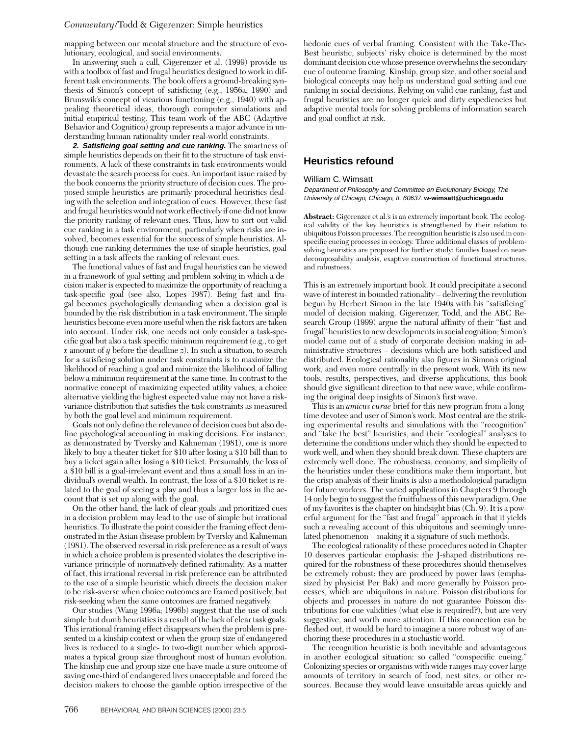mapping between our mental structure and the structure of evolutionary, ecological, and social environments.

In answering such a call, Gigerenzer et al. (1999) provide us with a toolbox of fast and frugal heuristics designed to work in different task environments. The book offers a ground-breaking synthesis of Simon's concept of satisficing (e.g., 1956a; 1990) and Brunswik's concept of vicarious functioning (e.g., 1940) with appealing theoretical ideas, thorough computer simulations and initial empirical testing. This team work of the ABC (Adaptive Behavior and Cognition) group represents a major advance in understanding human rationality under real-world constraints.

**2. Satisficing goal setting and cue ranking.** The smartness of simple heuristics depends on their fit to the structure of task environments. A lack of these constraints in task environments would devastate the search process for cues. An important issue raised by the book concerns the priority structure of decision cues. The proposed simple heuristics are primarily procedural heuristics dealing with the selection and integration of cues. However, these fast and frugal heuristics would not work effectively if one did not know the priority ranking of relevant cues. Thus, how to sort out valid cue ranking in a task environment, particularly when risks are involved, becomes essential for the success of simple heuristics. Although cue ranking determines the use of simple heuristics, goal setting in a task affects the ranking of relevant cues.

The functional values of fast and frugal heuristics can be viewed in a framework of goal setting and problem solving in which a decision maker is expected to maximize the opportunity of reaching a task-specific goal (see also, Lopes 1987). Being fast and frugal becomes psychologically demanding when a decision goal is bounded by the risk distribution in a task environment. The simple heuristics become even more useful when the risk factors are taken into account. Under risk, one needs not only consider a task-specific goal but also a task specific minimum requirement (e.g., to get *x* amount of *y* before the deadline *z*). In such a situation, to search for a satisficing solution under task constraints is to maximize the likelihood of reaching a goal and minimize the likelihood of falling below a minimum requirement at the same time. In contrast to the normative concept of maximizing expected utility values, a choice alternative yielding the highest expected value may not have a riskvariance distribution that satisfies the task constraints as measured by both the goal level and minimum requirement.

Goals not only define the relevance of decision cues but also define psychological accounting in making decisions. For instance, as demonstrated by Tversky and Kahneman (1981), one is more likely to buy a theater ticket for \$10 after losing a \$10 bill than to buy a ticket again after losing a \$10 ticket. Presumably, the loss of a \$10 bill is a goal-irrelevant event and thus a small loss in an individual's overall wealth. In contrast, the loss of a \$10 ticket is related to the goal of seeing a play and thus a larger loss in the account that is set up along with the goal.

On the other hand, the lack of clear goals and prioritized cues in a decision problem may lead to the use of simple but irrational heuristics. To illustrate the point consider the framing effect demonstrated in the Asian disease problem by Tversky and Kahneman (1981). The observed reversal in risk preference as a result of ways in which a choice problem is presented violates the descriptive invariance principle of normatively defined rationality. As a matter of fact, this irrational reversal in risk preference can be attributed to the use of a simple heuristic which directs the decision maker to be risk-averse when choice outcomes are framed positively, but risk-seeking when the same outcomes are framed negatively.

Our studies (Wang 1996a; 1996b) suggest that the use of such simple but dumb heuristics is a result of the lack of clear task goals. This irrational framing effect disappears when the problem is presented in a kinship context or when the group size of endangered lives is reduced to a single- to two-digit number which approximates a typical group size throughout most of human evolution. The kinship cue and group size cue have made a sure outcome of saving one-third of endangered lives unacceptable and forced the decision makers to choose the gamble option irrespective of the hedonic cues of verbal framing. Consistent with the Take-The-Best heuristic, subjects' risky choice is determined by the most dominant decision cue whose presence overwhelms the secondary cue of outcome framing. Kinship, group size, and other social and biological concepts may help us understand goal setting and cue ranking in social decisions. Relying on valid cue ranking, fast and frugal heuristics are no longer quick and dirty expediencies but adaptive mental tools for solving problems of information search and goal conflict at risk.

## **Heuristics refound**

#### William C. Wimsatt

Department of Philosophy and Committee on Evolutionary Biology, The University of Chicago, Chicago, IL 60637. **w-wimsatt@uchicago.edu**

Abstract: Gigerenzer et al.'s is an extremely important book. The ecological validity of the key heuristics is strengthened by their relation to ubiquitous Poisson processes. The recognition heuristic is also used in conspecific cueing processes in ecology. Three additional classes of problemsolving heuristics are proposed for further study: families based on neardecomposability analysis, exaptive construction of functional structures, and robustness.

This is an extremely important book. It could precipitate a second wave of interest in bounded rationality – delivering the revolution begun by Herbert Simon in the late 1940s with his "satisficing" model of decision making. Gigerenzer, Todd, and the ABC Research Group (1999) argue the natural affinity of their "fast and frugal" heuristics to new developments in social cognition; Simon's model came out of a study of corporate decision making in administrative structures – decisions which are both satisficed and distributed. Ecological rationality also figures in Simon's original work, and even more centrally in the present work. With its new tools, results, perspectives, and diverse applications, this book should give significant direction to that new wave, while confirming the original deep insights of Simon's first wave.

This is an *amicus curae* brief for this new program from a longtime devotee and user of Simon's work. Most central are the striking experimental results and simulations with the "recognition" and "take the best" heuristics, and their "ecological" analyses to determine the conditions under which they should be expected to work well, and when they should break down. These chapters are extremely well done. The robustness, economy, and simplicity of the heuristics under these conditions make them important, but the crisp analysis of their limits is also a methodological paradigm for future workers. The varied applications in Chapters 9 through 14 only begin to suggest the fruitfulness of this new paradigm. One of my favorites is the chapter on hindsight bias (Ch. 9). It is a powerful argument for the "fast and frugal" approach in that it yields such a revealing account of this ubiquitous and seemingly unrelated phenomenon – making it a signature of such methods.

The ecological rationality of these procedures noted in Chapter 10 deserves particular emphasis: the J-shaped distributions required for the robustness of these procedures should themselves be extremely robust: they are produced by power laws (emphasized by physicist Per Bak) and more generally by Poisson processes, which are ubiquitous in nature. Poisson distributions for objects and processes in nature do not guarantee Poisson distributions for cue validities (what else is required?), but are very suggestive, and worth more attention. If this connection can be fleshed out, it would be hard to imagine a more robust way of anchoring these procedures in a stochastic world.

The recognition heuristic is both inevitable and advantageous in another ecological situation: so called "conspecific cueing." Colonizing species or organisms with wide ranges may cover large amounts of territory in search of food, nest sites, or other resources. Because they would leave unsuitable areas quickly and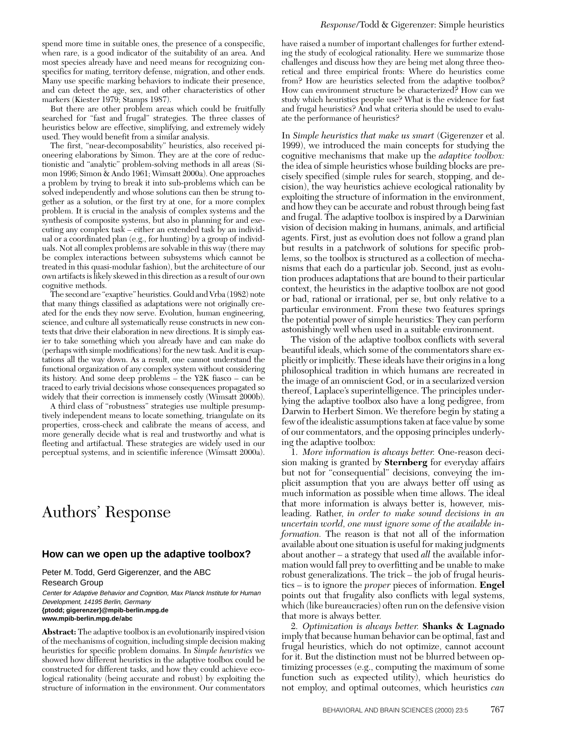spend more time in suitable ones, the presence of a conspecific, when rare, is a good indicator of the suitability of an area. And most species already have and need means for recognizing conspecifics for mating, territory defense, migration, and other ends. Many use specific marking behaviors to indicate their presence, and can detect the age, sex, and other characteristics of other markers (Kiester 1979; Stamps 1987).

But there are other problem areas which could be fruitfully searched for "fast and frugal" strategies. The three classes of heuristics below are effective, simplifying, and extremely widely used. They would benefit from a similar analysis.

The first, "near-decomposability" heuristics, also received pioneering elaborations by Simon. They are at the core of reductionistic and "analytic" problem-solving methods in all areas (Simon 1996; Simon & Ando 1961; Wimsatt 2000a). One approaches a problem by trying to break it into sub-problems which can be solved independently and whose solutions can then be strung together as a solution, or the first try at one, for a more complex problem. It is crucial in the analysis of complex systems and the synthesis of composite systems, but also in planning for and executing any complex task – either an extended task by an individual or a coordinated plan (e.g., for hunting) by a group of individuals. Not all complex problems are solvable in this way (there may be complex interactions between subsystems which cannot be treated in this quasi-modular fashion), but the architecture of our own artifacts is likely skewed in this direction as a result of our own cognitive methods.

The second are "exaptive" heuristics. Gould and Vrba (1982) note that many things classified as adaptations were not originally created for the ends they now serve. Evolution, human engineering, science, and culture all systematically reuse constructs in new contexts that drive their elaboration in new directions. It is simply easier to take something which you already have and can make do (perhaps with simple modifications) for the new task. And it is exaptations all the way down. As a result, one cannot understand the functional organization of any complex system without considering its history. And some deep problems – the Y2K fiasco – can be traced to early trivial decisions whose consequences propagated so widely that their correction is immensely costly (Wimsatt 2000b).

A third class of "robustness" strategies use multiple presumptively independent means to locate something, triangulate on its properties, cross-check and calibrate the means of access, and more generally decide what is real and trustworthy and what is fleeting and artifactual. These strategies are widely used in our perceptual systems, and in scientific inference (Wimsatt 2000a).

## Authors' Response

## **How can we open up the adaptive toolbox?**

Peter M. Todd, Gerd Gigerenzer, and the ABC Research Group Center for Adaptive Behavior and Cognition, Max Planck Institute for Human Development, 14195 Berlin, Germany **{ptodd; gigerenzer}@mpib-berlin.mpg.de**

**www.mpib-berlin.mpg.de/abc**

**Abstract:** The adaptive toolbox is an evolutionarily inspired vision of the mechanisms of cognition, including simple decision making heuristics for specific problem domains. In *Simple heuristics* we showed how different heuristics in the adaptive toolbox could be constructed for different tasks, and how they could achieve ecological rationality (being accurate and robust) by exploiting the structure of information in the environment. Our commentators

have raised a number of important challenges for further extending the study of ecological rationality. Here we summarize those challenges and discuss how they are being met along three theoretical and three empirical fronts: Where do heuristics come from? How are heuristics selected from the adaptive toolbox? How can environment structure be characterized? How can we study which heuristics people use? What is the evidence for fast and frugal heuristics? And what criteria should be used to evaluate the performance of heuristics?

In *Simple heuristics that make us smart* (Gigerenzer et al. 1999), we introduced the main concepts for studying the cognitive mechanisms that make up the *adaptive toolbox:* the idea of simple heuristics whose building blocks are precisely specified (simple rules for search, stopping, and decision), the way heuristics achieve ecological rationality by exploiting the structure of information in the environment, and how they can be accurate and robust through being fast and frugal. The adaptive toolbox is inspired by a Darwinian vision of decision making in humans, animals, and artificial agents. First, just as evolution does not follow a grand plan but results in a patchwork of solutions for specific problems, so the toolbox is structured as a collection of mechanisms that each do a particular job. Second, just as evolution produces adaptations that are bound to their particular context, the heuristics in the adaptive toolbox are not good or bad, rational or irrational, per se, but only relative to a particular environment. From these two features springs the potential power of simple heuristics: They can perform astonishingly well when used in a suitable environment.

The vision of the adaptive toolbox conflicts with several beautiful ideals, which some of the commentators share explicitly or implicitly. These ideals have their origins in a long philosophical tradition in which humans are recreated in the image of an omniscient God, or in a secularized version thereof, Laplace's superintelligence. The principles underlying the adaptive toolbox also have a long pedigree, from Darwin to Herbert Simon. We therefore begin by stating a few of the idealistic assumptions taken at face value by some of our commentators, and the opposing principles underlying the adaptive toolbox:

1. *More information is always better.* One-reason decision making is granted by **Sternberg** for everyday affairs but not for "consequential" decisions, conveying the implicit assumption that you are always better off using as much information as possible when time allows. The ideal that more information is always better is, however, misleading. Rather, *in order to make sound decisions in an uncertain world, one must ignore some of the available information.* The reason is that not all of the information available about one situation is useful for making judgments about another – a strategy that used *all* the available information would fall prey to overfitting and be unable to make robust generalizations. The trick – the job of frugal heuristics – is to ignore the *proper* pieces of information. **Engel** points out that frugality also conflicts with legal systems, which (like bureaucracies) often run on the defensive vision that more is always better.

2. *Optimization is always better.* **Shanks & Lagnado** imply that because human behavior can be optimal, fast and frugal heuristics, which do not optimize, cannot account for it. But the distinction must not be blurred between optimizing processes (e.g., computing the maximum of some function such as expected utility), which heuristics do not employ, and optimal outcomes, which heuristics *can*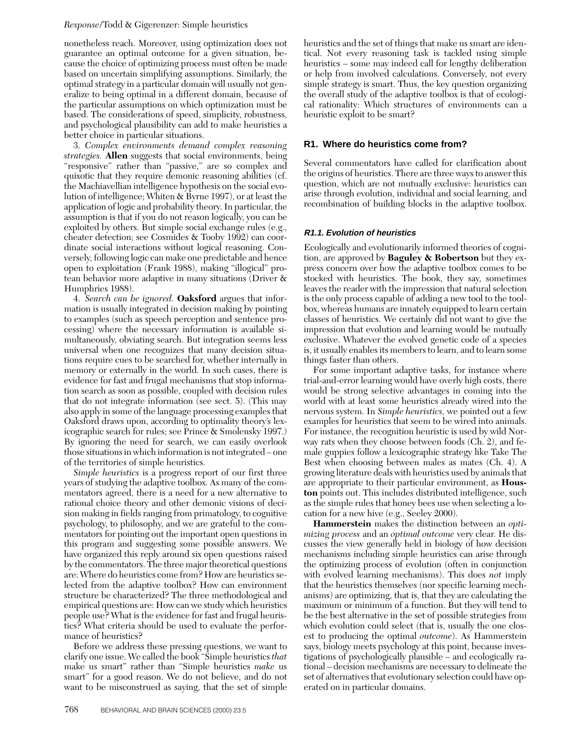#### *Response/*Todd & Gigerenzer: Simple heuristics

nonetheless reach. Moreover, using optimization does not guarantee an optimal outcome for a given situation, because the choice of optimizing process must often be made based on uncertain simplifying assumptions. Similarly, the optimal strategy in a particular domain will usually not generalize to being optimal in a different domain, because of the particular assumptions on which optimization must be based. The considerations of speed, simplicity, robustness, and psychological plausibility can add to make heuristics a better choice in particular situations.

3. *Complex environments demand complex reasoning strategies.* **Allen** suggests that social environments, being "responsive" rather than "passive," are so complex and quixotic that they require demonic reasoning abilities (cf. the Machiavellian intelligence hypothesis on the social evolution of intelligence; Whiten & Byrne 1997), or at least the application of logic and probability theory. In particular, the assumption is that if you do not reason logically, you can be exploited by others. But simple social exchange rules (e.g., cheater detection; see Cosmides & Tooby 1992) can coordinate social interactions without logical reasoning. Conversely, following logic can make one predictable and hence open to exploitation (Frank 1988), making "illogical" protean behavior more adaptive in many situations (Driver & Humphries 1988).

4. *Search can be ignored.* **Oaksford** argues that information is usually integrated in decision making by pointing to examples (such as speech perception and sentence processing) where the necessary information is available simultaneously, obviating search. But integration seems less universal when one recognizes that many decision situations require cues to be searched for, whether internally in memory or externally in the world. In such cases, there is evidence for fast and frugal mechanisms that stop information search as soon as possible, coupled with decision rules that do not integrate information (see sect. 5). (This may also apply in some of the language processing examples that Oaksford draws upon, according to optimality theory's lexicographic search for rules; see Prince & Smolensky 1997.) By ignoring the need for search, we can easily overlook those situations in which information is not integrated – one of the territories of simple heuristics.

*Simple heuristics* is a progress report of our first three years of studying the adaptive toolbox. As many of the commentators agreed, there is a need for a new alternative to rational choice theory and other demonic visions of decision making in fields ranging from primatology, to cognitive psychology, to philosophy, and we are grateful to the commentators for pointing out the important open questions in this program and suggesting some possible answers. We have organized this reply around six open questions raised by the commentators. The three major theoretical questions are: Where do heuristics come from? How are heuristics selected from the adaptive toolbox? How can environment structure be characterized? The three methodological and empirical questions are: How can we study which heuristics people use? What is the evidence for fast and frugal heuristics? What criteria should be used to evaluate the performance of heuristics?

Before we address these pressing questions, we want to clarify one issue. We called the book "Simple heuristics *that* make us smart" rather than "Simple heuristics *make* us smart" for a good reason. We do not believe, and do not want to be misconstrued as saying, that the set of simple heuristics and the set of things that make us smart are identical. Not every reasoning task is tackled using simple heuristics – some may indeed call for lengthy deliberation or help from involved calculations. Conversely, not every simple strategy is smart. Thus, the key question organizing the overall study of the adaptive toolbox is that of ecological rationality: Which structures of environments can a heuristic exploit to be smart?

## **R1. Where do heuristics come from?**

Several commentators have called for clarification about the origins of heuristics. There are three ways to answer this question, which are not mutually exclusive: heuristics can arise through evolution, individual and social learning, and recombination of building blocks in the adaptive toolbox.

## **R1.1. Evolution of heuristics**

Ecologically and evolutionarily informed theories of cognition, are approved by **Baguley & Robertson** but they express concern over how the adaptive toolbox comes to be stocked with heuristics. The book, they say, sometimes leaves the reader with the impression that natural selection is the only process capable of adding a new tool to the toolbox, whereas humans are innately equipped to learn certain classes of heuristics. We certainly did not want to give the impression that evolution and learning would be mutually exclusive. Whatever the evolved genetic code of a species is, it usually enables its members to learn, and to learn some things faster than others.

For some important adaptive tasks, for instance where trial-and-error learning would have overly high costs, there would be strong selective advantages in coming into the world with at least some heuristics already wired into the nervous system. In *Simple heuristics,* we pointed out a few examples for heuristics that seem to be wired into animals. For instance, the recognition heuristic is used by wild Norway rats when they choose between foods (Ch. 2), and female guppies follow a lexicographic strategy like Take The Best when choosing between males as mates (Ch. 4). A growing literature deals with heuristics used by animals that are appropriate to their particular environment, as **Houston** points out. This includes distributed intelligence, such as the simple rules that honey bees use when selecting a location for a new hive (e.g., Seeley 2000).

**Hammerstein** makes the distinction between an *optimizing process* and an *optimal outcome* very clear. He discusses the view generally held in biology of how decision mechanisms including simple heuristics can arise through the optimizing process of evolution (often in conjunction with evolved learning mechanisms). This does *not* imply that the heuristics themselves (nor specific learning mechanisms) are optimizing, that is, that they are calculating the maximum or minimum of a function. But they will tend to be the best alternative in the set of possible strategies from which evolution could select (that is, usually the one closest to producing the optimal *outcome*). As Hammerstein says, biology meets psychology at this point, because investigations of psychologically plausible – and ecologically rational – decision mechanisms are necessary to delineate the set of alternatives that evolutionary selection could have operated on in particular domains.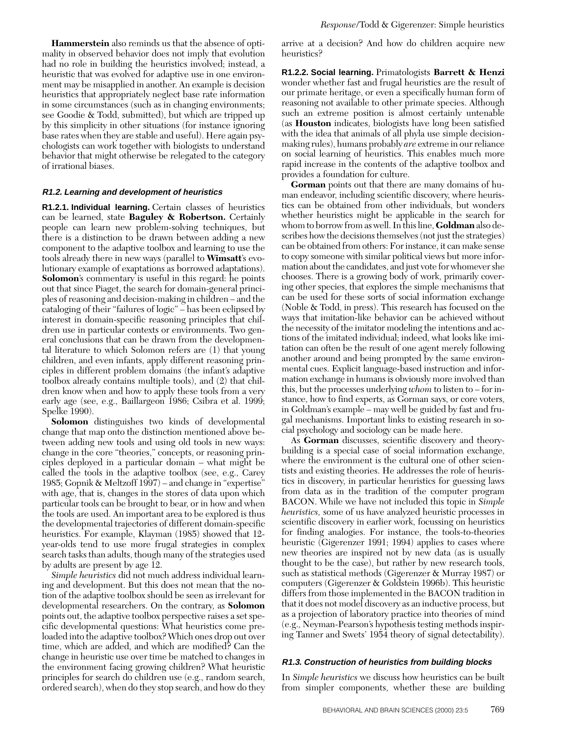**Hammerstein** also reminds us that the absence of optimality in observed behavior does not imply that evolution had no role in building the heuristics involved; instead, a heuristic that was evolved for adaptive use in one environment may be misapplied in another. An example is decision heuristics that appropriately neglect base rate information in some circumstances (such as in changing environments; see Goodie & Todd, submitted), but which are tripped up by this simplicity in other situations (for instance ignoring base rates when they are stable and useful). Here again psychologists can work together with biologists to understand behavior that might otherwise be relegated to the category of irrational biases.

#### **R1.2. Learning and development of heuristics**

**R1.2.1. Individual learning.** Certain classes of heuristics can be learned, state **Baguley & Robertson.** Certainly people can learn new problem-solving techniques, but there is a distinction to be drawn between adding a new component to the adaptive toolbox and learning to use the tools already there in new ways (parallel to **Wimsatt**'s evolutionary example of exaptations as borrowed adaptations). **Solomon**'s commentary is useful in this regard: he points out that since Piaget, the search for domain-general principles of reasoning and decision-making in children – and the cataloging of their "failures of logic" – has been eclipsed by interest in domain-specific reasoning principles that children use in particular contexts or environments. Two general conclusions that can be drawn from the developmental literature to which Solomon refers are (1) that young children, and even infants, apply different reasoning principles in different problem domains (the infant's adaptive toolbox already contains multiple tools), and (2) that children know when and how to apply these tools from a very early age (see, e.g., Baillargeon 1986; Csibra et al. 1999; Spelke 1990).

**Solomon** distinguishes two kinds of developmental change that map onto the distinction mentioned above between adding new tools and using old tools in new ways: change in the core "theories," concepts, or reasoning principles deployed in a particular domain – what might be called the tools in the adaptive toolbox (see, e.g., Carey 1985; Gopnik & Meltzoff 1997) – and change in "expertise" with age, that is, changes in the stores of data upon which particular tools can be brought to bear, or in how and when the tools are used. An important area to be explored is thus the developmental trajectories of different domain-specific heuristics. For example, Klayman (1985) showed that 12 year-olds tend to use more frugal strategies in complex search tasks than adults, though many of the strategies used by adults are present by age 12.

*Simple heuristics* did not much address individual learning and development. But this does not mean that the notion of the adaptive toolbox should be seen as irrelevant for developmental researchers. On the contrary, as **Solomon** points out, the adaptive toolbox perspective raises a set specific developmental questions: What heuristics come preloaded into the adaptive toolbox? Which ones drop out over time, which are added, and which are modified? Can the change in heuristic use over time be matched to changes in the environment facing growing children? What heuristic principles for search do children use (e.g., random search, ordered search), when do they stop search, and how do they arrive at a decision? And how do children acquire new heuristics?

**R1.2.2. Social learning.** Primatologists **Barrett & Henzi** wonder whether fast and frugal heuristics are the result of our primate heritage, or even a specifically human form of reasoning not available to other primate species. Although such an extreme position is almost certainly untenable (as **Houston** indicates, biologists have long been satisfied with the idea that animals of all phyla use simple decisionmaking rules), humans probably *are* extreme in our reliance on social learning of heuristics. This enables much more rapid increase in the contents of the adaptive toolbox and provides a foundation for culture.

**Gorman** points out that there are many domains of human endeavor, including scientific discovery, where heuristics can be obtained from other individuals, but wonders whether heuristics might be applicable in the search for whom to borrow from as well. In this line, **Goldman** also describes how the decisions themselves (not just the strategies) can be obtained from others: For instance, it can make sense to copy someone with similar political views but more information about the candidates, and just vote for whomever she chooses. There is a growing body of work, primarily covering other species, that explores the simple mechanisms that can be used for these sorts of social information exchange (Noble & Todd, in press). This research has focused on the ways that imitation-like behavior can be achieved without the necessity of the imitator modeling the intentions and actions of the imitated individual; indeed, what looks like imitation can often be the result of one agent merely following another around and being prompted by the same environmental cues. Explicit language-based instruction and information exchange in humans is obviously more involved than this, but the processes underlying *whom* to listen to – for instance, how to find experts, as Gorman says, or core voters, in Goldman's example – may well be guided by fast and frugal mechanisms. Important links to existing research in social psychology and sociology can be made here.

As **Gorman** discusses, scientific discovery and theorybuilding is a special case of social information exchange, where the environment is the cultural one of other scientists and existing theories. He addresses the role of heuristics in discovery, in particular heuristics for guessing laws from data as in the tradition of the computer program BACON. While we have not included this topic in *Simple heuristics,* some of us have analyzed heuristic processes in scientific discovery in earlier work, focussing on heuristics for finding analogies. For instance, the tools-to-theories heuristic (Gigerenzer 1991; 1994) applies to cases where new theories are inspired not by new data (as is usually thought to be the case), but rather by new research tools, such as statistical methods (Gigerenzer & Murray 1987) or computers (Gigerenzer & Goldstein 1996b). This heuristic differs from those implemented in the BACON tradition in that it does not model discovery as an inductive process, but as a projection of laboratory practice into theories of mind (e.g., Neyman-Pearson's hypothesis testing methods inspiring Tanner and Swets' 1954 theory of signal detectability).

#### **R1.3. Construction of heuristics from building blocks**

In *Simple heuristics* we discuss how heuristics can be built from simpler components, whether these are building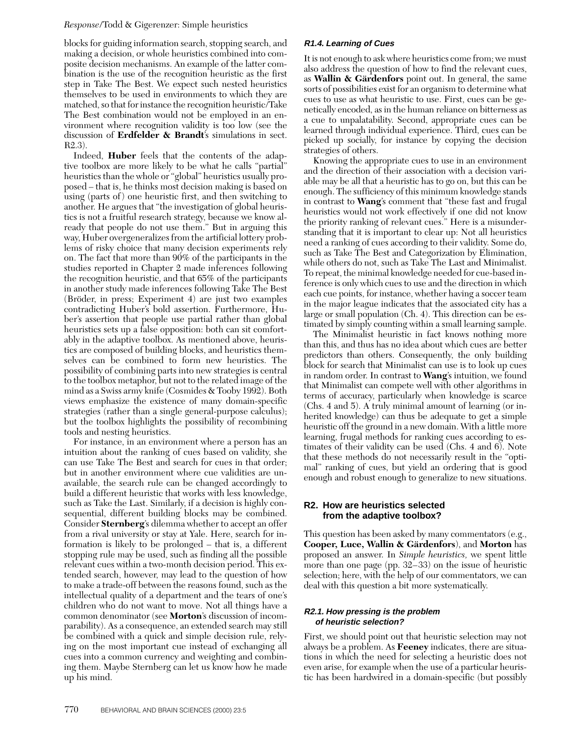#### *Response/*Todd & Gigerenzer: Simple heuristics

blocks for guiding information search, stopping search, and making a decision, or whole heuristics combined into composite decision mechanisms. An example of the latter combination is the use of the recognition heuristic as the first step in Take The Best. We expect such nested heuristics themselves to be used in environments to which they are matched, so that for instance the recognition heuristic/Take The Best combination would not be employed in an environment where recognition validity is too low (see the discussion of **Erdfelder & Brandt**'s simulations in sect. R2.3).

Indeed, **Huber** feels that the contents of the adaptive toolbox are more likely to be what he calls "partial" heuristics than the whole or "global" heuristics usually proposed – that is, he thinks most decision making is based on using (parts of) one heuristic first, and then switching to another. He argues that "the investigation of global heuristics is not a fruitful research strategy, because we know already that people do not use them." But in arguing this way, Huber overgeneralizes from the artificial lottery problems of risky choice that many decision experiments rely on. The fact that more than 90% of the participants in the studies reported in Chapter 2 made inferences following the recognition heuristic, and that 65% of the participants in another study made inferences following Take The Best (Bröder, in press; Experiment 4) are just two examples contradicting Huber's bold assertion. Furthermore, Huber's assertion that people use partial rather than global heuristics sets up a false opposition: both can sit comfortably in the adaptive toolbox. As mentioned above, heuristics are composed of building blocks, and heuristics themselves can be combined to form new heuristics. The possibility of combining parts into new strategies is central to the toolbox metaphor, but not to the related image of the mind as a Swiss army knife (Cosmides & Tooby 1992). Both views emphasize the existence of many domain-specific strategies (rather than a single general-purpose calculus); but the toolbox highlights the possibility of recombining tools and nesting heuristics.

For instance, in an environment where a person has an intuition about the ranking of cues based on validity, she can use Take The Best and search for cues in that order; but in another environment where cue validities are unavailable, the search rule can be changed accordingly to build a different heuristic that works with less knowledge, such as Take the Last. Similarly, if a decision is highly consequential, different building blocks may be combined. Consider **Sternberg**'s dilemma whether to accept an offer from a rival university or stay at Yale. Here, search for information is likely to be prolonged – that is, a different stopping rule may be used, such as finding all the possible relevant cues within a two-month decision period. This extended search, however, may lead to the question of how to make a trade-off between the reasons found, such as the intellectual quality of a department and the tears of one's children who do not want to move. Not all things have a common denominator (see **Morton**'s discussion of incomparability). As a consequence, an extended search may still be combined with a quick and simple decision rule, relying on the most important cue instead of exchanging all cues into a common currency and weighting and combining them. Maybe Sternberg can let us know how he made up his mind.

## **R1.4. Learning of Cues**

It is not enough to ask where heuristics come from; we must also address the question of how to find the relevant cues, as **Wallin & Gärdenfors** point out. In general, the same sorts of possibilities exist for an organism to determine what cues to use as what heuristic to use. First, cues can be genetically encoded, as in the human reliance on bitterness as a cue to unpalatability. Second, appropriate cues can be learned through individual experience. Third, cues can be picked up socially, for instance by copying the decision strategies of others.

Knowing the appropriate cues to use in an environment and the direction of their association with a decision variable may be all that a heuristic has to go on, but this can be enough. The sufficiency of this minimum knowledge stands in contrast to **Wang**'s comment that "these fast and frugal heuristics would not work effectively if one did not know the priority ranking of relevant cues." Here is a misunderstanding that it is important to clear up: Not all heuristics need a ranking of cues according to their validity. Some do, such as Take The Best and Categorization by Elimination, while others do not, such as Take The Last and Minimalist. To repeat, the minimal knowledge needed for cue-based inference is only which cues to use and the direction in which each cue points, for instance, whether having a soccer team in the major league indicates that the associated city has a large or small population (Ch. 4). This direction can be estimated by simply counting within a small learning sample.

The Minimalist heuristic in fact knows nothing more than this, and thus has no idea about which cues are better predictors than others. Consequently, the only building block for search that Minimalist can use is to look up cues in random order. In contrast to **Wang**'s intuition, we found that Minimalist can compete well with other algorithms in terms of accuracy, particularly when knowledge is scarce (Chs. 4 and 5). A truly minimal amount of learning (or inherited knowledge) can thus be adequate to get a simple heuristic off the ground in a new domain. With a little more learning, frugal methods for ranking cues according to estimates of their validity can be used (Chs. 4 and 6). Note that these methods do not necessarily result in the "optimal" ranking of cues, but yield an ordering that is good enough and robust enough to generalize to new situations.

## **R2. How are heuristics selected from the adaptive toolbox?**

This question has been asked by many commentators (e.g., **Cooper, Luce, Wallin & Gärdenfors**), and **Morton** has proposed an answer. In *Simple heuristics,* we spent little more than one page (pp. 32–33) on the issue of heuristic selection; here, with the help of our commentators, we can deal with this question a bit more systematically.

#### **R2.1. How pressing is the problem of heuristic selection?**

First, we should point out that heuristic selection may not always be a problem. As **Feeney** indicates, there are situations in which the need for selecting a heuristic does not even arise, for example when the use of a particular heuristic has been hardwired in a domain-specific (but possibly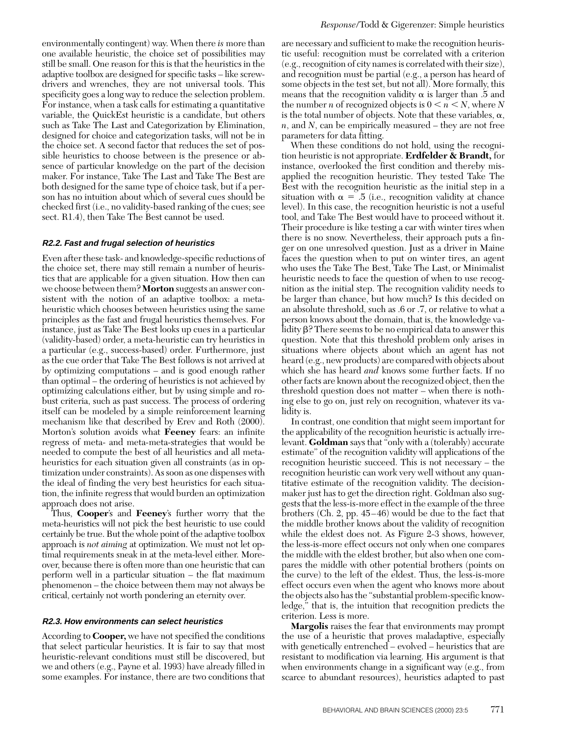environmentally contingent) way. When there *is* more than one available heuristic, the choice set of possibilities may still be small. One reason for this is that the heuristics in the adaptive toolbox are designed for specific tasks – like screwdrivers and wrenches, they are not universal tools. This specificity goes a long way to reduce the selection problem. For instance, when a task calls for estimating a quantitative variable, the QuickEst heuristic is a candidate, but others such as Take The Last and Categorization by Elimination, designed for choice and categorization tasks, will not be in the choice set. A second factor that reduces the set of possible heuristics to choose between is the presence or absence of particular knowledge on the part of the decision maker. For instance, Take The Last and Take The Best are both designed for the same type of choice task, but if a person has no intuition about which of several cues should be checked first (i.e., no validity-based ranking of the cues; see sect. R1.4), then Take The Best cannot be used.

#### **R2.2. Fast and frugal selection of heuristics**

Even after these task- and knowledge-specific reductions of the choice set, there may still remain a number of heuristics that are applicable for a given situation. How then can we choose between them? **Morton** suggests an answer consistent with the notion of an adaptive toolbox: a metaheuristic which chooses between heuristics using the same principles as the fast and frugal heuristics themselves. For instance, just as Take The Best looks up cues in a particular (validity-based) order, a meta-heuristic can try heuristics in a particular (e.g., success-based) order. Furthermore, just as the cue order that Take The Best follows is not arrived at by optimizing computations – and is good enough rather than optimal – the ordering of heuristics is not achieved by optimizing calculations either, but by using simple and robust criteria, such as past success. The process of ordering itself can be modeled by a simple reinforcement learning mechanism like that described by Erev and Roth (2000). Morton's solution avoids what **Feeney** fears: an infinite regress of meta- and meta-meta-strategies that would be needed to compute the best of all heuristics and all metaheuristics for each situation given all constraints (as in optimization under constraints). As soon as one dispenses with the ideal of finding the very best heuristics for each situation, the infinite regress that would burden an optimization approach does not arise.

Thus, **Cooper**'s and **Feeney**'s further worry that the meta-heuristics will not pick the best heuristic to use could certainly be true. But the whole point of the adaptive toolbox approach is *not aiming* at optimization. We must not let optimal requirements sneak in at the meta-level either. Moreover, because there is often more than one heuristic that can perform well in a particular situation – the flat maximum phenomenon – the choice between them may not always be critical, certainly not worth pondering an eternity over.

#### **R2.3. How environments can select heuristics**

According to **Cooper,** we have not specified the conditions that select particular heuristics. It is fair to say that most heuristic-relevant conditions must still be discovered, but we and others (e.g., Payne et al. 1993) have already filled in some examples. For instance, there are two conditions that

are necessary and sufficient to make the recognition heuristic useful: recognition must be correlated with a criterion (e.g., recognition of city names is correlated with their size), and recognition must be partial (e.g., a person has heard of some objects in the test set, but not all). More formally, this means that the recognition validity  $\alpha$  is larger than .5 and the number *n* of recognized objects is  $0 \le n \le N$ , where *N* is the total number of objects. Note that these variables,  $\alpha$ , *n*, and *N*, can be empirically measured – they are not free parameters for data fitting.

When these conditions do not hold, using the recognition heuristic is not appropriate. **Erdfelder & Brandt,** for instance, overlooked the first condition and thereby misapplied the recognition heuristic. They tested Take The Best with the recognition heuristic as the initial step in a situation with  $\alpha = .5$  (i.e., recognition validity at chance level). In this case, the recognition heuristic is not a useful tool, and Take The Best would have to proceed without it. Their procedure is like testing a car with winter tires when there is no snow. Nevertheless, their approach puts a finger on one unresolved question. Just as a driver in Maine faces the question when to put on winter tires, an agent who uses the Take The Best, Take The Last, or Minimalist heuristic needs to face the question of when to use recognition as the initial step. The recognition validity needs to be larger than chance, but how much? Is this decided on an absolute threshold, such as .6 or .7, or relative to what a person knows about the domain, that is, the knowledge va- $\overline{\text{lidity}}$   $\beta$ ? There seems to be no empirical data to answer this question. Note that this threshold problem only arises in situations where objects about which an agent has not heard (e.g., new products) are compared with objects about which she has heard *and* knows some further facts. If no other facts are known about the recognized object, then the threshold question does not matter – when there is nothing else to go on, just rely on recognition, whatever its validity is.

In contrast, one condition that might seem important for the applicability of the recognition heuristic is actually irrelevant. **Goldman** says that "only with a (tolerably) accurate estimate" of the recognition validity will applications of the recognition heuristic succeed. This is not necessary – the recognition heuristic can work very well without any quantitative estimate of the recognition validity. The decisionmaker just has to get the direction right. Goldman also suggests that the less-is-more effect in the example of the three brothers (Ch. 2, pp. 45–46) would be due to the fact that the middle brother knows about the validity of recognition while the eldest does not. As Figure 2-3 shows, however, the less-is-more effect occurs not only when one compares the middle with the eldest brother, but also when one compares the middle with other potential brothers (points on the curve) to the left of the eldest. Thus, the less-is-more effect occurs even when the agent who knows more about the objects also has the "substantial problem-specific knowledge," that is, the intuition that recognition predicts the criterion. Less is more.

**Margolis** raises the fear that environments may prompt the use of a heuristic that proves maladaptive, especially with genetically entrenched – evolved – heuristics that are resistant to modification via learning. His argument is that when environments change in a significant way (e.g., from scarce to abundant resources), heuristics adapted to past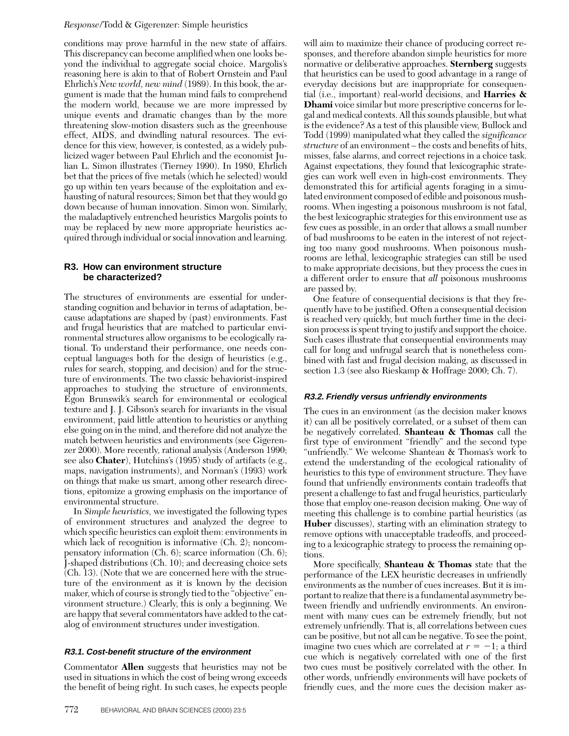#### *Response/*Todd & Gigerenzer: Simple heuristics

conditions may prove harmful in the new state of affairs. This discrepancy can become amplified when one looks beyond the individual to aggregate social choice. Margolis's reasoning here is akin to that of Robert Ornstein and Paul Ehrlich's *New world, new mind* (1989). In this book, the argument is made that the human mind fails to comprehend the modern world, because we are more impressed by unique events and dramatic changes than by the more threatening slow-motion disasters such as the greenhouse effect, AIDS, and dwindling natural resources. The evidence for this view, however, is contested, as a widely publicized wager between Paul Ehrlich and the economist Julian L. Simon illustrates (Tierney 1990). In 1980, Ehrlich bet that the prices of five metals (which he selected) would go up within ten years because of the exploitation and exhausting of natural resources; Simon bet that they would go down because of human innovation. Simon won. Similarly, the maladaptively entrenched heuristics Margolis points to may be replaced by new more appropriate heuristics acquired through individual or social innovation and learning.

#### **R3. How can environment structure be characterized?**

The structures of environments are essential for understanding cognition and behavior in terms of adaptation, because adaptations are shaped by (past) environments. Fast and frugal heuristics that are matched to particular environmental structures allow organisms to be ecologically rational. To understand their performance, one needs conceptual languages both for the design of heuristics (e.g., rules for search, stopping, and decision) and for the structure of environments. The two classic behaviorist-inspired approaches to studying the structure of environments, Egon Brunswik's search for environmental or ecological texture and J. J. Gibson's search for invariants in the visual environment, paid little attention to heuristics or anything else going on in the mind, and therefore did not analyze the match between heuristics and environments (see Gigerenzer 2000). More recently, rational analysis (Anderson 1990; see also **Chater**), Hutchins's (1995) study of artifacts (e.g., maps, navigation instruments), and Norman's (1993) work on things that make us smart, among other research directions, epitomize a growing emphasis on the importance of environmental structure.

In *Simple heuristics,* we investigated the following types of environment structures and analyzed the degree to which specific heuristics can exploit them: environments in which lack of recognition is informative (Ch. 2); noncompensatory information (Ch. 6); scarce information (Ch. 6); J-shaped distributions (Ch. 10); and decreasing choice sets (Ch. 13). (Note that we are concerned here with the structure of the environment as it is known by the decision maker, which of course is strongly tied to the "objective" environment structure.) Clearly, this is only a beginning. We are happy that several commentators have added to the catalog of environment structures under investigation.

#### **R3.1. Cost-benefit structure of the environment**

Commentator **Allen** suggests that heuristics may not be used in situations in which the cost of being wrong exceeds the benefit of being right. In such cases, he expects people will aim to maximize their chance of producing correct responses, and therefore abandon simple heuristics for more normative or deliberative approaches. **Sternberg** suggests that heuristics can be used to good advantage in a range of everyday decisions but are inappropriate for consequential (i.e., important) real-world decisions, and **Harries & Dhami** voice similar but more prescriptive concerns for legal and medical contexts. All this sounds plausible, but what is the evidence? As a test of this plausible view, Bullock and Todd (1999) manipulated what they called the *significance structure* of an environment – the costs and benefits of hits, misses, false alarms, and correct rejections in a choice task. Against expectations, they found that lexicographic strategies can work well even in high-cost environments. They demonstrated this for artificial agents foraging in a simulated environment composed of edible and poisonous mushrooms. When ingesting a poisonous mushroom is not fatal, the best lexicographic strategies for this environment use as few cues as possible, in an order that allows a small number of bad mushrooms to be eaten in the interest of not rejecting too many good mushrooms. When poisonous mushrooms are lethal, lexicographic strategies can still be used to make appropriate decisions, but they process the cues in a different order to ensure that *all* poisonous mushrooms are passed by.

One feature of consequential decisions is that they frequently have to be justified. Often a consequential decision is reached very quickly, but much further time in the decision process is spent trying to justify and support the choice. Such cases illustrate that consequential environments may call for long and unfrugal search that is nonetheless combined with fast and frugal decision making, as discussed in section 1.3 (see also Rieskamp & Hoffrage 2000; Ch. 7).

#### **R3.2. Friendly versus unfriendly environments**

The cues in an environment (as the decision maker knows it) can all be positively correlated, or a subset of them can be negatively correlated. **Shanteau & Thomas** call the first type of environment "friendly" and the second type "unfriendly." We welcome Shanteau & Thomas's work to extend the understanding of the ecological rationality of heuristics to this type of environment structure. They have found that unfriendly environments contain tradeoffs that present a challenge to fast and frugal heuristics, particularly those that employ one-reason decision making. One way of meeting this challenge is to combine partial heuristics (as **Huber** discusses), starting with an elimination strategy to remove options with unacceptable tradeoffs, and proceeding to a lexicographic strategy to process the remaining options.

More specifically, **Shanteau & Thomas** state that the performance of the LEX heuristic decreases in unfriendly environments as the number of cues increases. But it is important to realize that there is a fundamental asymmetry between friendly and unfriendly environments. An environment with many cues can be extremely friendly, but not extremely unfriendly. That is, all correlations between cues can be positive, but not all can be negative. To see the point, imagine two cues which are correlated at  $r = -1$ ; a third cue which is negatively correlated with one of the first two cues must be positively correlated with the other. In other words, unfriendly environments will have pockets of friendly cues, and the more cues the decision maker as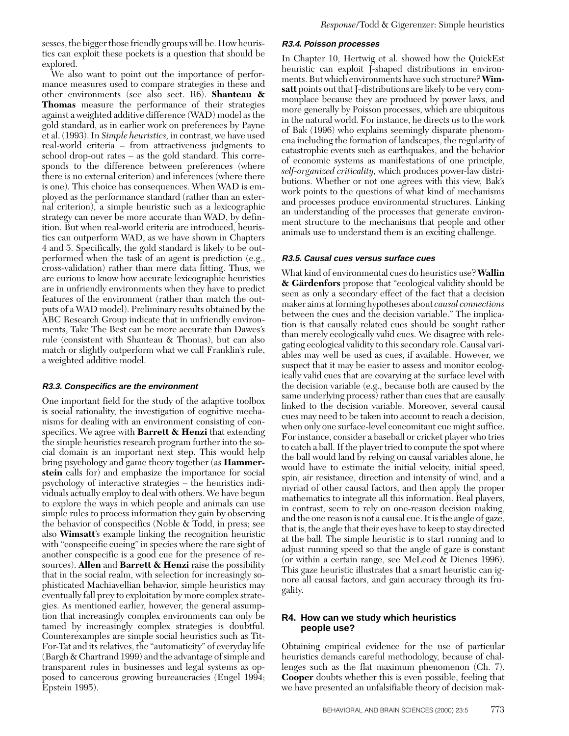sesses, the bigger those friendly groups will be. How heuristics can exploit these pockets is a question that should be explored.

We also want to point out the importance of performance measures used to compare strategies in these and other environments (see also sect. R6). **Shanteau & Thomas** measure the performance of their strategies against a weighted additive difference (WAD) model as the gold standard, as in earlier work on preferences by Payne et al. (1993). In *Simple heuristics,* in contrast, we have used real-world criteria – from attractiveness judgments to school drop-out rates – as the gold standard. This corresponds to the difference between preferences (where there is no external criterion) and inferences (where there is one). This choice has consequences. When WAD is employed as the performance standard (rather than an external criterion), a simple heuristic such as a lexicographic strategy can never be more accurate than WAD, by definition. But when real-world criteria are introduced, heuristics can outperform WAD, as we have shown in Chapters 4 and 5. Specifically, the gold standard is likely to be outperformed when the task of an agent is prediction (e.g., cross-validation) rather than mere data fitting. Thus, we are curious to know how accurate lexicographic heuristics are in unfriendly environments when they have to predict features of the environment (rather than match the outputs of a WAD model). Preliminary results obtained by the ABC Research Group indicate that in unfriendly environments, Take The Best can be more accurate than Dawes's rule (consistent with Shanteau & Thomas), but can also match or slightly outperform what we call Franklin's rule, a weighted additive model.

#### **R3.3. Conspecifics are the environment**

One important field for the study of the adaptive toolbox is social rationality, the investigation of cognitive mechanisms for dealing with an environment consisting of conspecifics. We agree with **Barrett & Henzi** that extending the simple heuristics research program further into the social domain is an important next step. This would help bring psychology and game theory together (as **Hammerstein** calls for) and emphasize the importance for social psychology of interactive strategies – the heuristics individuals actually employ to deal with others. We have begun to explore the ways in which people and animals can use simple rules to process information they gain by observing the behavior of conspecifics (Noble & Todd, in press; see also **Wimsatt**'s example linking the recognition heuristic with "conspecific cueing" in species where the rare sight of another conspecific is a good cue for the presence of resources). **Allen** and **Barrett & Henzi** raise the possibility that in the social realm, with selection for increasingly sophisticated Machiavellian behavior, simple heuristics may eventually fall prey to exploitation by more complex strategies. As mentioned earlier, however, the general assumption that increasingly complex environments can only be tamed by increasingly complex strategies is doubtful. Counterexamples are simple social heuristics such as Tit-For-Tat and its relatives, the "automaticity" of everyday life (Bargh & Chartrand 1999) and the advantage of simple and transparent rules in businesses and legal systems as opposed to cancerous growing bureaucracies (Engel 1994; Epstein 1995).

#### **R3.4. Poisson processes**

In Chapter 10, Hertwig et al. showed how the QuickEst heuristic can exploit J-shaped distributions in environments. But which environments have such structure? **Wimsatt** points out that J-distributions are likely to be very commonplace because they are produced by power laws, and more generally by Poisson processes, which are ubiquitous in the natural world. For instance, he directs us to the work of Bak (1996) who explains seemingly disparate phenomena including the formation of landscapes, the regularity of catastrophic events such as earthquakes, and the behavior of economic systems as manifestations of one principle, *self-organized criticality,* which produces power-law distributions. Whether or not one agrees with this view, Bak's work points to the questions of what kind of mechanisms and processes produce environmental structures. Linking an understanding of the processes that generate environment structure to the mechanisms that people and other animals use to understand them is an exciting challenge.

#### **R3.5. Causal cues versus surface cues**

What kind of environmental cues do heuristics use? **Wallin & Gärdenfors** propose that "ecological validity should be seen as only a secondary effect of the fact that a decision maker aims at forming hypotheses about *causal connections* between the cues and the decision variable." The implication is that causally related cues should be sought rather than merely ecologically valid cues. We disagree with relegating ecological validity to this secondary role. Causal variables may well be used as cues, if available. However, we suspect that it may be easier to assess and monitor ecologically valid cues that are covarying at the surface level with the decision variable (e.g., because both are caused by the same underlying process) rather than cues that are causally linked to the decision variable. Moreover, several causal cues may need to be taken into account to reach a decision, when only one surface-level concomitant cue might suffice. For instance, consider a baseball or cricket player who tries to catch a ball. If the player tried to compute the spot where the ball would land by relying on causal variables alone, he would have to estimate the initial velocity, initial speed, spin, air resistance, direction and intensity of wind, and a myriad of other causal factors, and then apply the proper mathematics to integrate all this information. Real players, in contrast, seem to rely on one-reason decision making, and the one reason is not a causal cue. It is the angle of gaze, that is, the angle that their eyes have to keep to stay directed at the ball. The simple heuristic is to start running and to adjust running speed so that the angle of gaze is constant (or within a certain range, see McLeod & Dienes 1996). This gaze heuristic illustrates that a smart heuristic can ignore all causal factors, and gain accuracy through its frugality.

#### **R4. How can we study which heuristics people use?**

Obtaining empirical evidence for the use of particular heuristics demands careful methodology, because of challenges such as the flat maximum phenomenon (Ch. 7). **Cooper** doubts whether this is even possible, feeling that we have presented an unfalsifiable theory of decision mak-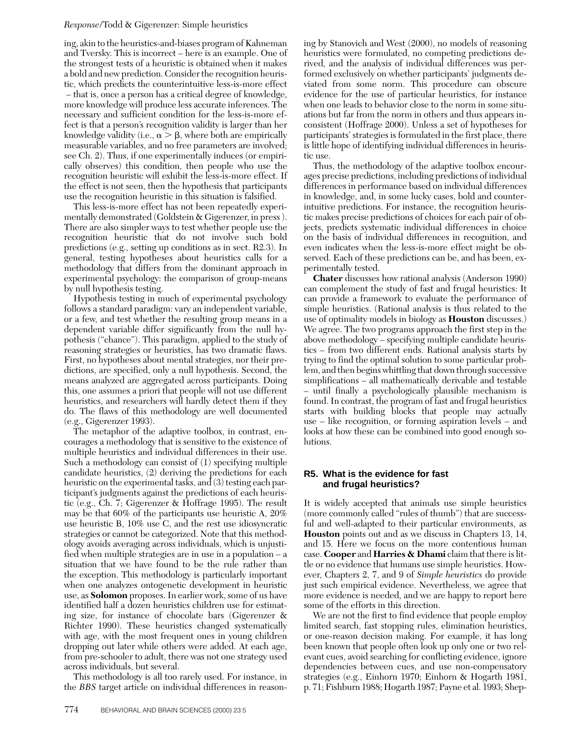#### *Response/*Todd & Gigerenzer: Simple heuristics

ing, akin to the heuristics-and-biases program of Kahneman and Tversky. This is incorrect – here is an example. One of the strongest tests of a heuristic is obtained when it makes a bold and new prediction. Consider the recognition heuristic, which predicts the counterintuitive less-is-more effect – that is, once a person has a critical degree of knowledge, more knowledge will produce less accurate inferences. The necessary and sufficient condition for the less-is-more effect is that a person's recognition validity is larger than her knowledge validity (i.e.,  $\alpha > \beta$ , where both are empirically measurable variables, and no free parameters are involved; see Ch. 2). Thus, if one experimentally induces (or empirically observes) this condition, then people who use the recognition heuristic will exhibit the less-is-more effect. If the effect is not seen, then the hypothesis that participants use the recognition heuristic in this situation is falsified.

This less-is-more effect has not been repeatedly experimentally demonstrated (Goldstein & Gigerenzer, in press ). There are also simpler ways to test whether people use the recognition heuristic that do not involve such bold predictions (e.g., setting up conditions as in sect. R2.3). In general, testing hypotheses about heuristics calls for a methodology that differs from the dominant approach in experimental psychology: the comparison of group-means by null hypothesis testing.

Hypothesis testing in much of experimental psychology follows a standard paradigm: vary an independent variable, or a few, and test whether the resulting group means in a dependent variable differ significantly from the null hypothesis ("chance"). This paradigm, applied to the study of reasoning strategies or heuristics, has two dramatic flaws. First, no hypotheses about mental strategies, nor their predictions, are specified, only a null hypothesis. Second, the means analyzed are aggregated across participants. Doing this, one assumes a priori that people will not use different heuristics, and researchers will hardly detect them if they do. The flaws of this methodology are well documented (e.g., Gigerenzer 1993).

The metaphor of the adaptive toolbox, in contrast, encourages a methodology that is sensitive to the existence of multiple heuristics and individual differences in their use. Such a methodology can consist of (1) specifying multiple candidate heuristics, (2) deriving the predictions for each heuristic on the experimental tasks, and (3) testing each participant's judgments against the predictions of each heuristic (e.g., Ch. 7; Gigerenzer & Hoffrage 1995). The result may be that 60% of the participants use heuristic A, 20% use heuristic B, 10% use C, and the rest use idiosyncratic strategies or cannot be categorized. Note that this methodology avoids averaging across individuals, which is unjustified when multiple strategies are in use in a population – a situation that we have found to be the rule rather than the exception. This methodology is particularly important when one analyzes ontogenetic development in heuristic use, as **Solomon** proposes. In earlier work, some of us have identified half a dozen heuristics children use for estimating size, for instance of chocolate bars (Gigerenzer & Richter 1990). These heuristics changed systematically with age, with the most frequent ones in young children dropping out later while others were added. At each age, from pre-schooler to adult, there was not one strategy used across individuals, but several.

This methodology is all too rarely used. For instance, in the *BBS* target article on individual differences in reasoning by Stanovich and West (2000), no models of reasoning heuristics were formulated, no competing predictions derived, and the analysis of individual differences was performed exclusively on whether participants' judgments deviated from some norm. This procedure can obscure evidence for the use of particular heuristics, for instance when one leads to behavior close to the norm in some situations but far from the norm in others and thus appears inconsistent (Hoffrage 2000). Unless a set of hypotheses for participants' strategies is formulated in the first place, there is little hope of identifying individual differences in heuristic use.

Thus, the methodology of the adaptive toolbox encourages precise predictions, including predictions of individual differences in performance based on individual differences in knowledge, and, in some lucky cases, bold and counterintuitive predictions. For instance, the recognition heuristic makes precise predictions of choices for each pair of objects, predicts systematic individual differences in choice on the basis of individual differences in recognition, and even indicates when the less-is-more effect might be observed. Each of these predictions can be, and has been, experimentally tested.

**Chater** discusses how rational analysis (Anderson 1990) can complement the study of fast and frugal heuristics: It can provide a framework to evaluate the performance of simple heuristics. (Rational analysis is thus related to the use of optimality models in biology as **Houston** discusses.) We agree. The two programs approach the first step in the above methodology – specifying multiple candidate heuristics – from two different ends. Rational analysis starts by trying to find the optimal solution to some particular problem, and then begins whittling that down through successive simplifications – all mathematically derivable and testable – until finally a psychologically plausible mechanism is found. In contrast, the program of fast and frugal heuristics starts with building blocks that people may actually use – like recognition, or forming aspiration levels – and looks at how these can be combined into good enough solutions.

## **R5. What is the evidence for fast and frugal heuristics?**

It is widely accepted that animals use simple heuristics (more commonly called "rules of thumb") that are successful and well-adapted to their particular environments, as **Houston** points out and as we discuss in Chapters 13, 14, and 15. Here we focus on the more contentious human case. **Cooper** and **Harries & Dhami** claim that there is little or no evidence that humans use simple heuristics. However, Chapters 2, 7, and 9 of *Simple heuristics* do provide just such empirical evidence. Nevertheless, we agree that more evidence is needed, and we are happy to report here some of the efforts in this direction.

We are not the first to find evidence that people employ limited search, fast stopping rules, elimination heuristics, or one-reason decision making. For example, it has long been known that people often look up only one or two relevant cues, avoid searching for conflicting evidence, ignore dependencies between cues, and use non-compensatory strategies (e.g., Einhorn 1970; Einhorn & Hogarth 1981, p. 71; Fishburn 1988; Hogarth 1987; Payne et al. 1993; Shep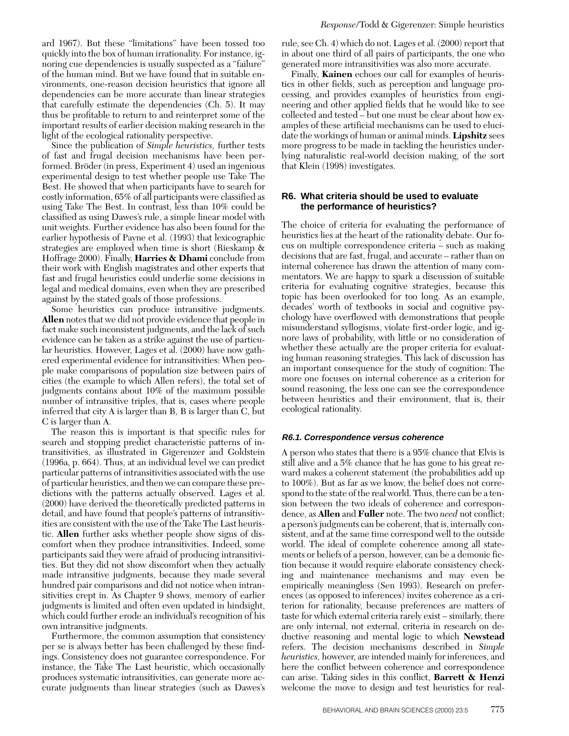ard 1967). But these "limitations" have been tossed too quickly into the box of human irrationality. For instance, ignoring cue dependencies is usually suspected as a "failure" of the human mind. But we have found that in suitable environments, one-reason decision heuristics that ignore all dependencies can be more accurate than linear strategies that carefully estimate the dependencies (Ch. 5). It may thus be profitable to return to and reinterpret some of the important results of earlier decision making research in the light of the ecological rationality perspective.

Since the publication of *Simple heuristics,* further tests of fast and frugal decision mechanisms have been performed. Bröder (in press, Experiment 4) used an ingenious experimental design to test whether people use Take The Best. He showed that when participants have to search for costly information, 65% of all participants were classified as using Take The Best. In contrast, less than 10% could be classified as using Dawes's rule, a simple linear model with unit weights. Further evidence has also been found for the earlier hypothesis of Payne et al. (1993) that lexicographic strategies are employed when time is short (Rieskamp & Hoffrage 2000). Finally, **Harries & Dhami** conclude from their work with English magistrates and other experts that fast and frugal heuristics could underlie some decisions in legal and medical domains, even when they are prescribed against by the stated goals of those professions.

Some heuristics can produce intransitive judgments. **Allen** notes that we did not provide evidence that people in fact make such inconsistent judgments, and the lack of such evidence can be taken as a strike against the use of particular heuristics. However, Lages et al. (2000) have now gathered experimental evidence for intransitivities: When people make comparisons of population size between pairs of cities (the example to which Allen refers), the total set of judgments contains about 10% of the maximum possible number of intransitive triples, that is, cases where people inferred that city A is larger than B, B is larger than C, but C is larger than A.

The reason this is important is that specific rules for search and stopping predict characteristic patterns of intransitivities, as illustrated in Gigerenzer and Goldstein (1996a, p. 664). Thus, at an individual level we can predict particular patterns of intransitivities associated with the use of particular heuristics, and then we can compare these predictions with the patterns actually observed. Lages et al. (2000) have derived the theoretically predicted patterns in detail, and have found that people's patterns of intransitivities are consistent with the use of the Take The Last heuristic. **Allen** further asks whether people show signs of discomfort when they produce intransitivities. Indeed, some participants said they were afraid of producing intransitivities. But they did not show discomfort when they actually made intransitive judgments, because they made several hundred pair comparisons and did not notice when intransitivities crept in. As Chapter 9 shows, memory of earlier judgments is limited and often even updated in hindsight, which could further erode an individual's recognition of his own intransitive judgments.

Furthermore, the common assumption that consistency per se is always better has been challenged by these findings. Consistency does not guarantee correspondence. For instance, the Take The Last heuristic, which occasionally produces systematic intransitivities, can generate more accurate judgments than linear strategies (such as Dawes's

rule, see Ch. 4) which do not. Lages et al. (2000) report that in about one third of all pairs of participants, the one who generated more intransitivities was also more accurate.

Finally, **Kainen** echoes our call for examples of heuristics in other fields, such as perception and language processing, and provides examples of heuristics from engineering and other applied fields that he would like to see collected and tested – but one must be clear about how examples of these artificial mechanisms can be used to elucidate the workings of human or animal minds. **Lipshitz** sees more progress to be made in tackling the heuristics underlying naturalistic real-world decision making, of the sort that Klein (1998) investigates.

## **R6. What criteria should be used to evaluate the performance of heuristics?**

The choice of criteria for evaluating the performance of heuristics lies at the heart of the rationality debate. Our focus on multiple correspondence criteria – such as making decisions that are fast, frugal, and accurate – rather than on internal coherence has drawn the attention of many commentators. We are happy to spark a discussion of suitable criteria for evaluating cognitive strategies, because this topic has been overlooked for too long. As an example, decades' worth of textbooks in social and cognitive psychology have overflowed with demonstrations that people misunderstand syllogisms, violate first-order logic, and ignore laws of probability, with little or no consideration of whether these actually are the proper criteria for evaluating human reasoning strategies. This lack of discussion has an important consequence for the study of cognition: The more one focuses on internal coherence as a criterion for sound reasoning, the less one can see the correspondence between heuristics and their environment, that is, their ecological rationality.

## **R6.1. Correspondence versus coherence**

A person who states that there is a 95% chance that Elvis is still alive and a 5% chance that he has gone to his great reward makes a coherent statement (the probabilities add up to 100%). But as far as we know, the belief does not correspond to the state of the real world. Thus, there can be a tension between the two ideals of coherence and correspondence, as **Allen** and **Fuller** note. The two *need* not conflict; a person's judgments can be coherent, that is, internally consistent, and at the same time correspond well to the outside world. The ideal of complete coherence among all statements or beliefs of a person, however, can be a demonic fiction because it would require elaborate consistency checking and maintenance mechanisms and may even be empirically meaningless (Sen 1993). Research on preferences (as opposed to inferences) invites coherence as a criterion for rationality, because preferences are matters of taste for which external criteria rarely exist – similarly, there are only internal, not external, criteria in research on deductive reasoning and mental logic to which **Newstead** refers. The decision mechanisms described in *Simple heuristics,* however, are intended mainly for inferences, and here the conflict between coherence and correspondence can arise. Taking sides in this conflict, **Barrett & Henzi** welcome the move to design and test heuristics for real-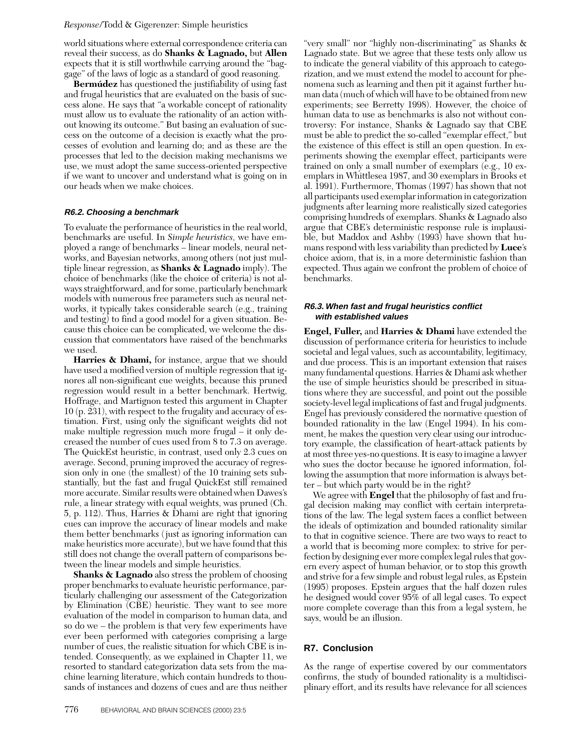#### *Response/*Todd & Gigerenzer: Simple heuristics

world situations where external correspondence criteria can reveal their success, as do **Shanks & Lagnado,** but **Allen** expects that it is still worthwhile carrying around the "baggage" of the laws of logic as a standard of good reasoning.

**Bermúdez** has questioned the justifiability of using fast and frugal heuristics that are evaluated on the basis of success alone. He says that "a workable concept of rationality must allow us to evaluate the rationality of an action without knowing its outcome." But basing an evaluation of success on the outcome of a decision is exactly what the processes of evolution and learning do; and as these are the processes that led to the decision making mechanisms we use, we must adopt the same success-oriented perspective if we want to uncover and understand what is going on in our heads when we make choices.

#### **R6.2. Choosing a benchmark**

To evaluate the performance of heuristics in the real world, benchmarks are useful. In *Simple heuristics,* we have employed a range of benchmarks – linear models, neural networks, and Bayesian networks, among others (not just multiple linear regression, as **Shanks & Lagnado** imply). The choice of benchmarks (like the choice of criteria) is not always straightforward, and for some, particularly benchmark models with numerous free parameters such as neural networks, it typically takes considerable search (e.g., training and testing) to find a good model for a given situation. Because this choice can be complicated, we welcome the discussion that commentators have raised of the benchmarks we used.

**Harries & Dhami,** for instance, argue that we should have used a modified version of multiple regression that ignores all non-significant cue weights, because this pruned regression would result in a better benchmark. Hertwig, Hoffrage, and Martignon tested this argument in Chapter 10 (p. 231), with respect to the frugality and accuracy of estimation. First, using only the significant weights did not make multiple regression much more frugal – it only decreased the number of cues used from 8 to 7.3 on average. The QuickEst heuristic, in contrast, used only 2.3 cues on average. Second, pruning improved the accuracy of regression only in one (the smallest) of the 10 training sets substantially, but the fast and frugal QuickEst still remained more accurate. Similar results were obtained when Dawes's rule, a linear strategy with equal weights, was pruned (Ch. 5, p. 112). Thus, Harries & Dhami are right that ignoring cues can improve the accuracy of linear models and make them better benchmarks (just as ignoring information can make heuristics more accurate), but we have found that this still does not change the overall pattern of comparisons between the linear models and simple heuristics.

**Shanks & Lagnado** also stress the problem of choosing proper benchmarks to evaluate heuristic performance, particularly challenging our assessment of the Categorization by Elimination (CBE) heuristic. They want to see more evaluation of the model in comparison to human data, and so do we – the problem is that very few experiments have ever been performed with categories comprising a large number of cues, the realistic situation for which CBE is intended. Consequently, as we explained in Chapter 11, we resorted to standard categorization data sets from the machine learning literature, which contain hundreds to thousands of instances and dozens of cues and are thus neither

"very small" nor "highly non-discriminating" as Shanks & Lagnado state. But we agree that these tests only allow us to indicate the general viability of this approach to categorization, and we must extend the model to account for phenomena such as learning and then pit it against further human data (much of which will have to be obtained from new experiments; see Berretty 1998). However, the choice of human data to use as benchmarks is also not without controversy: For instance, Shanks & Lagnado say that CBE must be able to predict the so-called "exemplar effect," but the existence of this effect is still an open question. In experiments showing the exemplar effect, participants were trained on only a small number of exemplars (e.g., 10 exemplars in Whittlesea 1987, and 30 exemplars in Brooks et al. 1991). Furthermore, Thomas (1997) has shown that not all participants used exemplar information in categorization judgments after learning more realistically sized categories comprising hundreds of exemplars. Shanks & Lagnado also argue that CBE's deterministic response rule is implausible, but Maddox and Ashby (1993) have shown that humans respond with less variability than predicted by **Luce**'s choice axiom, that is, in a more deterministic fashion than expected. Thus again we confront the problem of choice of benchmarks.

## **R6.3. When fast and frugal heuristics conflict with established values**

**Engel, Fuller,** and **Harries & Dhami** have extended the discussion of performance criteria for heuristics to include societal and legal values, such as accountability, legitimacy, and due process. This is an important extension that raises many fundamental questions. Harries & Dhami ask whether the use of simple heuristics should be prescribed in situations where they are successful, and point out the possible society-level legal implications of fast and frugal judgments. Engel has previously considered the normative question of bounded rationality in the law (Engel 1994). In his comment, he makes the question very clear using our introductory example, the classification of heart-attack patients by at most three yes-no questions. It is easy to imagine a lawyer who sues the doctor because he ignored information, following the assumption that more information is always better – but which party would be in the right?

We agree with **Engel** that the philosophy of fast and frugal decision making may conflict with certain interpretations of the law. The legal system faces a conflict between the ideals of optimization and bounded rationality similar to that in cognitive science. There are two ways to react to a world that is becoming more complex: to strive for perfection by designing ever more complex legal rules that govern every aspect of human behavior, or to stop this growth and strive for a few simple and robust legal rules, as Epstein (1995) proposes. Epstein argues that the half dozen rules he designed would cover 95% of all legal cases. To expect more complete coverage than this from a legal system, he says, would be an illusion.

## **R7. Conclusion**

As the range of expertise covered by our commentators confirms, the study of bounded rationality is a multidisciplinary effort, and its results have relevance for all sciences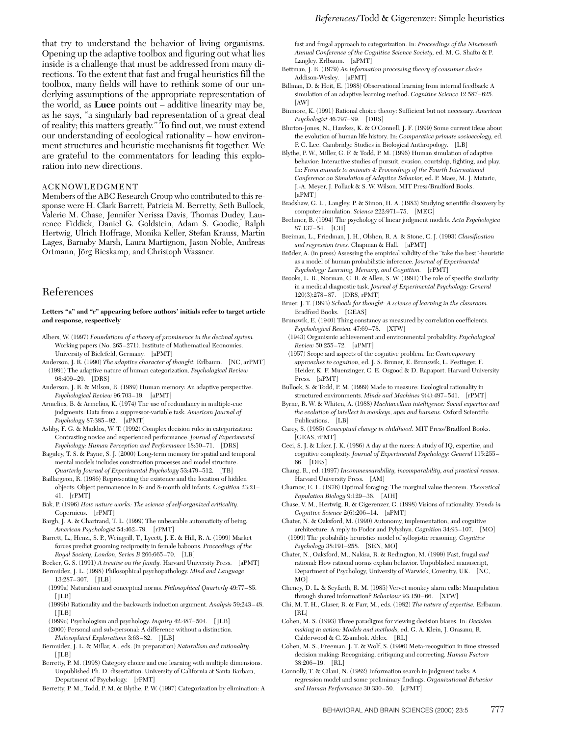that try to understand the behavior of living organisms. Opening up the adaptive toolbox and figuring out what lies inside is a challenge that must be addressed from many directions. To the extent that fast and frugal heuristics fill the toolbox, many fields will have to rethink some of our underlying assumptions of the appropriate representation of the world, as **Luce** points out – additive linearity may be, as he says, "a singularly bad representation of a great deal of reality; this matters greatly." To find out, we must extend our understanding of ecological rationality – how environment structures and heuristic mechanisms fit together. We are grateful to the commentators for leading this exploration into new directions.

#### ACKNOWLEDGMENT

Members of the ABC Research Group who contributed to this response were H. Clark Barrett, Patricia M. Berretty, Seth Bullock, Valerie M. Chase, Jennifer Nerissa Davis, Thomas Dudey, Laurence Fiddick, Daniel G. Goldstein, Adam S. Goodie, Ralph Hertwig, Ulrich Hoffrage, Monika Keller, Stefan Krauss, Martin Lages, Barnaby Marsh, Laura Martignon, Jason Noble, Andreas Ortmann, Jörg Rieskamp, and Christoph Wassner.

## References

#### **Letters "a" and "r" appearing before authors' initials refer to target article and response, respectively**

- Albers, W. (1997) *Foundations of a theory of prominence in the decimal system.* Working papers (No. 265–271). Institute of Mathematical Economics. University of Bielefeld, Germany. [aPMT]
- Anderson, J. R. (1990) *The adaptive character of thought.* Erlbaum. [NC, arPMT] (1991) The adaptive nature of human categorization. *Psychological Review* 98:409–29. [DRS]
- Anderson, J. R. & Milson, R. (1989) Human memory: An adaptive perspective. *Psychological Review* 96:703–19. [aPMT]
- Armelius, B. & Armelius, K. (1974) The use of redundancy in multiple-cue judgments: Data from a suppressor-variable task. *American Journal of Psychology* 87:385–92. [aPMT]
- Ashby, F. G. & Maddox, W. T. (1992) Complex decision rules in categorization: Contrasting novice and experienced performance. *Journal of Experimental Psychology: Human Perception and Performance* 18:50–71. [DRS]
- Baguley, T. S. & Payne, S. J. (2000) Long-term memory for spatial and temporal mental models includes construction processes and model structure. *Quarterly Journal of Experimental Psychology* 53:479–512. [TB]
- Baillargeon, R. (1986) Representing the existence and the location of hidden objects: Object permanence in 6- and 8-month old infants. *Cognition* 23:21– 41. [rPMT]
- Bak, P. (1996) *How nature works: The science of self-organized criticality.* Copernicus. [rPMT]
- Bargh, J. A. & Chartrand, T. L. (1999) The unbearable automaticity of being. *American Psychologist* 54:462–79. [rPMT]
- Barrett, L., Henzi, S. P., Weingrill, T., Lycett, J. E. & Hill, R. A. (1999) Market forces predict grooming reciprocity in female baboons. *Proceedings of the Royal Society, London, Series B* 266:665–70. [LB]
- Becker, G. S. (1991) *A treatise on the family.* Harvard University Press. [aPMT]
- Bermúdez, J. L. (1998) Philosophical psychopathology. *Mind and Language* 13:287–307. [JLB]
- (1999a) Naturalism and conceptual norms. *Philosophical Quarterly* 49:77–85.  $[|LB]$
- (1999b) Rationality and the backwards induction argument. *Analysis* 59:243–48. [JLB]
- (1999c) Psychologism and psychology. *Inquiry* 42:487–504. [JLB] (2000) Personal and sub-personal: A difference without a distinction.
- *Philosophical Explorations* 3:63–82. [JLB]
- Bermúdez, J. L. & Millar, A., eds. (in preparation) *Naturalism and rationality.* [JLB]
- Berretty, P. M. (1998) Category choice and cue learning with multiple dimensions. Unpublished Ph. D. dissertation. University of California at Santa Barbara, Department of Psychology. [rPMT]
- Berretty, P. M., Todd, P. M. & Blythe, P. W. (1997) Categorization by elimination: A

fast and frugal approach to categorization. In: *Proceedings of the Nineteenth Annual Conference of the Cognitive Science Society,* ed. M. G. Shafto & P. Langley. Erlbaum. [aPMT]

- Bettman, J. R. (1979) *An information processing theory of consumer choice.* Addison-Wesley. [aPMT]
- Billman, D. & Heit, E. (1988) Observational learning from internal feedback: A simulation of an adaptive learning method. *Cognitive Science* 12:587–625. [AW]
- Binmore, K. (1991) Rational choice theory: Sufficient but not necessary. *American Psychologist* 46:797–99. [DRS]
- Blurton-Jones, N., Hawkes, K. & O'Connell, J. F. (1999) Some current ideas about the evolution of human life history. In: *Comparative primate socioecology,* ed. P. C. Lee. Cambridge Studies in Biological Anthropology. [LB]
- Blythe, P. W., Miller, G. F. & Todd, P. M. (1996) Human simulation of adaptive behavior: Interactive studies of pursuit, evasion, courtship, fighting, and play. In: *From animals to animats 4: Proceedings of the Fourth International Conference on Simulation of Adaptive Behavior,* ed. P. Maes, M. J. Mataric, J.-A. Meyer, J. Pollack & S. W. Wilson. MIT Press/Bradford Books. [aPMT]
- Bradshaw, G. L., Langley, P. & Simon, H. A. (1983) Studying scientific discovery by computer simulation. *Science* 222:971–75. [MEG]
- Brehmer, B. (1994) The psychology of linear judgment models. *Acta Psychologica* 87:137–54. [CH]
- Breiman, L., Friedman, J. H., Olshen, R. A. & Stone, C. J. (1993) *Classification and regression trees.* Chapman & Hall. [aPMT]
- Bröder, A. (in press) Assessing the empirical validity of the "take the best"-heuristic as a model of human probabilistic inference. *Journal of Experimental Psychology: Learning, Memory, and Cognition.* [rPMT]
- Brooks, L. R., Norman, G. R. & Allen, S. W. (1991) The role of specific similarity in a medical diagnostic task. *Journal of Experimental Psychology: General* 120(3):278–87. [DRS, rPMT]
- Bruer, J. T. (1993) *Schools for thought: A science of learning in the classroom.* Bradford Books. [GEAS]
- Brunswik, E. (1940) Thing constancy as measured by correlation coefficients. *Psychological Review* 47:69–78. [XTW]
- (1943) Organismic achievement and environmental probability. *Psychological Review* 50:255–72. [aPMT]
- (1957) Scope and aspects of the cognitive problem. In: *Contemporary approaches to cognition,* ed. J. S. Bruner, E. Brunswik, L. Festinger, F. Heider, K. F. Muenzinger, C. E. Osgood & D. Rapaport. Harvard University Press. [aPMT]
- Bullock, S. & Todd, P. M. (1999) Made to measure: Ecological rationality in structured environments. *Minds and Machines* 9(4):497–541. [rPMT]
- Byrne, R. W. & Whiten, A. (1988) *Machiavellian intelligence: Social expertise and the evolution of intellect in monkeys, apes and humans.* Oxford Scientific Publications. [LB]
- Carey, S. (1985) *Conceptual change in childhood.* MIT Press/Bradford Books. [GEAS, rPMT]
- Ceci, S. J. & Liker, J. K. (1986) A day at the races: A study of IQ, expertise, and cognitive complexity. *Journal of Experimental Psychology: General* 115:255– 66. [DRS]
- Chang, R., ed. (1997) *Incommensurability, incomparability, and practical reason.* Harvard University Press. [AM]
- Charnov, E. L. (1976) Optimal foraging: The marginal value theorem. *Theoretical Population Biology* 9:129–36. [AIH]
- Chase, V. M., Hertwig, R. & Gigerenzer, G. (1998) Visions of rationality. *Trends in Cognitive Science* 2(6):206–14. [aPMT]
- Chater, N. & Oaksford, M. (1990) Autonomy, implementation, and cognitive architecture: A reply to Fodor and Pylyshyn. *Cognition* 34:93–107. [MO] (1999) The probability heuristics model of syllogistic reasoning. *Cognitive Psychology* 38:191–258. [SEN, MO]
- Chater, N., Oaksford, M., Nakisa, R. & Redington, M. (1999) Fast, frugal *and* rational: How rational norms explain behavior. Unpublished manuscript, Department of Psychology, University of Warwick, Coventry, UK. [NC, MO]
- Cheney, D. L. & Seyfarth, R. M. (1985) Vervet monkey alarm calls: Manipulation through shared information? *Behaviour* 93:150–66. [XTW]
- Chi, M. T. H., Glaser, R. & Farr, M., eds. (1982) *The nature of expertise.* Erlbaum. [RL]
- Cohen, M. S. (1993) Three paradigms for viewing decision biases. In: *Decision making in action: Models and methods,* ed. G. A. Klein, J. Orasanu, R. Calderwood & C. Zsambok. Ablex. [RL]
- Cohen, M. S., Freeman, J. T. & Wolf, S. (1996) Meta-recognition in time stressed decision making: Recognizing, critiquing and correcting. *Human Factors* 38:206–19. [RL]
- Connolly, T. & Gilani, N. (1982) Information search in judgment tasks: A regression model and some preliminary findings. *Organizational Behavior and Human Performance* 30:330–50. [aPMT]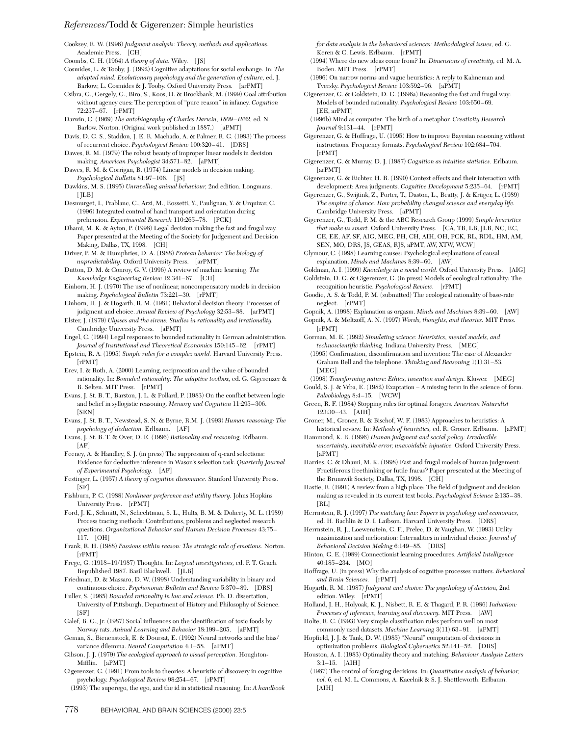#### *References/*Todd & Gigerenzer: Simple heuristics

Cooksey, R. W. (1996) *Judgment analysis: Theory, methods and applications.* Academic Press. [CH]

Coombs, C. H. (1964) *A theory of data.* Wiley. [JS]

Cosmides, L. & Tooby, J. (1992) Cognitive adaptations for social exchange. In: *The adapted mind: Evolutionary psychology and the generation of culture,* ed. J. Barkow, L. Cosmides & J. Tooby. Oxford University Press. [arPMT]

Csibra, G., Gergely, G., Biro, S., Koos, O. & Brockbank, M. (1999) Goal attribution without agency cues: The perception of "pure reason" in infancy. *Cognition* 72:237–67. [rPMT]

Darwin, C. (1969) *The autobiography of Charles Darwin, 1809–1882,* ed. N. Barlow. Norton. (Original work published in 1887.) [aPMT]

Davis, D. G. S., Staddon, J. E. R. Machado, A. & Palmer, R. G. (1993) The process of recurrent choice. *Psychological Review* 100:320–41. [DRS]

Dawes, R. M. (1979) The robust beauty of improper linear models in decision making. *American Psychologist* 34:571–82. [aPMT]

Dawes, R. M. & Corrigan, B. (1974) Linear models in decision making. *Psychological Bulletin* 81:97–106. [JS]

- Dawkins, M. S. (1995) *Unravelling animal behaviour,* 2nd edition. Longmans. [JLB]
- Desmurget, I., Prablanc, C., Arzi, M., Rossetti, Y., Paulignan, Y. & Urquizar, C. (1996) Integrated control of hand transport and orientation during prehension. *Experimental Research* 110:265–78. [PCK]
- Dhami, M. K. & Ayton, P. (1998) Legal decision making the fast and frugal way. Paper presented at the Meeting of the Society for Judgement and Decision Making, Dallas, TX, 1998. [CH]

Driver, P. M. & Humphries, D. A. (1988) *Protean behavior: The biology of unpredictability.* Oxford University Press. [arPMT]

Dutton, D. M. & Conroy, G. V. (1996) A review of machine learning. *The Knowledge Engineering Review* 12:341–67. [CH]

Einhorn, H. J. (1970) The use of nonlinear, noncompensatory models in decision making. *Psychological Bulletin* 73:221–30. [rPMT]

Einhorn, H. J. & Hogarth, R. M. (1981) Behavioral decision theory: Processes of judgment and choice. *Annual Review of Psychology* 32:53–88. [arPMT]

Elster, J. (1979) *Ulysses and the sirens: Studies in rationality and irrationality.* Cambridge University Press. [aPMT]

Engel, C. (1994) Legal responses to bounded rationality in German administration. *Journal of Institutional and Theoretical Economics* 150:145–62. [rPMT]

Epstein, R. A. (1995) *Simple rules for a complex world.* Harvard University Press. [rPMT]

Erev, I. & Roth, A. (2000) Learning, reciprocation and the value of bounded rationality. In: *Bounded rationality: The adaptive toolbox,* ed. G. Gigerenzer & R. Selten. MIT Press. [rPMT]

- Evans, J. St. B. T., Barston, J. L. & Pollard, P. (1983) On the conflict between logic and belief in syllogistic reasoning. *Memory and Cognition* 11:295–306. [SEN]
- Evans, J. St. B. T., Newstead, S. N. & Byrne, R.M. J. (1993) *Human reasoning: The psychology of deduction.* Erlbaum. [AF]
- Evans, J. St. B. T. & Over, D. E. (1996) *Rationality and reasonin*g. Erlbaum.  $[AF]$

Feeney, A. & Handley, S. J. (in press) The suppression of q-card selections: Evidence for deductive inference in Wason's selection task. *Quarterly Journal of Experimental Psychology.* [AF]

Festinger, L. (1957) *A theory of cognitive dissonance.* Stanford University Press. [SF]

Fishburn, P. C. (1988) *Nonlinear preference and utility theory.* Johns Hopkins University Press. [rPMT]

Ford, J. K., Schmitt, N., Schechtman, S. L., Hults, B. M. & Doherty, M. L. (1989) Process tracing methods: Contributions, problems and neglected research questions. *Organizational Behavior and Human Decision Processes* 43:75– 117. [OH]

Frank, R. H. (1988) *Passions within reason: The strategic role of emotions.* Norton. [rPMT]

Frege, G. (1918–19/1987) Thoughts. In: *Logical investigations,* ed. P. T. Geach. Republished 1987. Basil Blackwell. [JLB]

Friedman, D. & Massaro, D. W. (1998) Understanding variability in binary and continuous choice. *Psychonomic Bulletin and Review* 5:370–89. [DRS]

Fuller, S. (1985) *Bounded rationality in law and science.* Ph. D. dissertation, University of Pittsburgh, Department of History and Philosophy of Science.  $[SF]$ 

Galef, B. G., Jr. (1987) Social influences on the identification of toxic foods by Norway rats. *Animal Learning and Behavior* 18:199–205. [aPMT]

Geman, S., Bienenstock, E. & Doursat, E. (1992) Neural networks and the bias/ variance dilemma. *Neural Computation* 4:1–58. [aPMT]

Gibson, J. J. (1979) *The ecological approach to visual perception.* Houghton-Mifflin. [aPMT]

Gigerenzer, G. (1991) From tools to theories: A heuristic of discovery in cognitive psychology. *Psychological Review* 98:254–67. [rPMT]

(1993) The superego, the ego, and the id in statistical reasoning. In: *A handbook*

*for data analysis in the behavioral sciences: Methodological issues,* ed. G. Keren & C. Lewis. Erlbaum. [rPMT]

- (1994) Where do new ideas come from? In: *Dimensions of creativity,* ed. M. A. Boden. MIT Press. [rPMT]
- (1996) On narrow norms and vague heuristics: A reply to Kahneman and Tversky. *Psychological Review* 103:592–96. [aPMT]
- Gigerenzer, G. & Goldstein, D. G. (1996a) Reasoning the fast and frugal way: Models of bounded rationality. *Psychological Review* 103:650–69. [EE, arPMT]
- (1996b) Mind as computer: The birth of a metaphor. *Creativity Research Journal* 9:131–44. [rPMT]

Gigerenzer, G. & Hoffrage, U. (1995) How to improve Bayesian reasoning without instructions. Frequency formats. *Psychological Review* 102:684–704. [rPMT]

Gigerenzer, G. & Murray, D. J. (1987) *Cognition as intuitive statistics.* Erlbaum. [arPMT]

Gigerenzer, G. & Richter, H. R. (1990) Context effects and their interaction with development: Area judgments. *Cognitive Development* 5:235–64. [rPMT]

Gigerenzer, G., Swijtink, Z., Porter, T., Daston, L., Beatty, J. & Krüger, L. (1989) *The empire of chance. How probability changed science and everyday life.* Cambridge University Press. [aPMT]

Gigerenzer, G., Todd, P. M. & the ABC Research Group (1999) *Simple heuristics that make us smart.* Oxford University Press. [CA, TB, LB, JLB, NC, RC, CE, EE, AF, SF, AIG, MEG, PH, CH, AIH, OH, PCK, RL, RDL, HM, AM, SEN, MO, DRS, JS, GEAS, RJS, aPMT, AW, XTW, WCW]

Glymour, C. (1998) Learning causes: Psychological explanations of causal explanation. *Minds and Machines* 8:39–60. [AW]

Goldman, A. I. (1999) *Knowledge in a social world.* Oxford University Press. [AIG] Goldstein, D. G. & Gigerenzer, G. (in press) Models of ecological rationality: The

recognition heuristic. *Psychological Review.* [rPMT] Goodie, A. S. & Todd, P. M. (submitted) The ecological rationality of base-rate

neglect. [rPMT]

Gopnik, A. (1998) Explanation as orgasm. *Minds and Machines* 8:39–60. [AW]

Gopnik, A. & Meltzoff, A. N. (1997) *Words, thoughts, and theories.* MIT Press. [rPMT]

Gorman, M. E. (1992) *Simulating science: Heuristics, mental models, and technoscientific thinking.* Indiana University Press. [MEG]

(1995) Confirmation, disconfirmation and invention: The case of Alexander Graham Bell and the telephone. *Thinking and Reasoning* 1(1):31–53. [MEG]

(1998) *Transforming nature: Ethics, invention and design.* Kluwer. [MEG]

Gould, S. J. & Vrba, E. (1982) Exaptation – A missing term in the science of form. *Paleobiology* 8:4–15. [WCW]

Green, R. F. (1984) Stopping rules for optimal foragers. *American Naturalist* 123:30–43. [AIH]

Groner, M., Groner, R. & Bischof, W. F. (1983) Approaches to heuristics: A historical review. In: *Methods of heuristics,* ed. R. Groner. Erlbaum. [aPMT]

Hammond, K. R. (1996) *Human judgment and social policy: Irreducible uncertainty, inevitable error, unavoidable injustice.* Oxford University Press. [aPMT]

Harries, C. & Dhami, M. K. (1998) Fast and frugal models of human judgement: Fructiferous freethinking or futile fracas? Paper presented at the Meeting of the Brunswik Society, Dallas, TX, 1998. [CH]

Hastie, R. (1991) A review from a high place: The field of judgment and decision making as revealed in its current text books. *Psychological Science* 2:135–38. [RL]

Herrnstein, R. J. (1997) *The matching law: Papers in psychology and economics,* ed. H. Rachlin & D. I. Laibson. Harvard University Press. [DRS]

Herrnstein, R. J., Loewenstein, G. F., Prelec, D. & Vaughan, W. (1993) Utility maximization and melioration: Internalities in individual choice. *Journal of Behavioral Decision Making* 6:149–85. [DRS]

Hinton, G. E. (1989) Connectionist learning procedures. *Artificial Intelligence* 40:185–234. [MO]

- Hoffrage, U. (in press) Why the analysis of cognitive processes matters. *Behavioral and Brain Sciences.* [rPMT]
- Hogarth, R. M. (1987) *Judgment and choice: The psychology of decision,* 2nd edition. Wiley. [rPMT]

Holland, J. H., Holyoak, K. J., Nisbett, R. E. & Thagard, P. R. (1986) *Induction: Processes of inference, learning and discovery.* MIT Press. [AW]

Holte, R. C. (1993) Very simple classification rules perform well on most commonly used datasets. *Machine Learning* 3(11):63–91. [aPMT]

Hopfield, J. J. & Tank, D. W. (1985) "Neural" computation of decisions in optimization problems. *Biological Cybernetics* 52:141–52. [DRS]

Houston, A. I. (1983) Optimality theory and matching. *Behaviour Analysis Letters* 3:1–15. [AIH]

(1987) The control of foraging decisions. In: *Quantitative analysis of behavior, vol. 6,* ed. M. L. Commons, A. Kacelnik & S. J. Shettleworth. Erlbaum. [AIH]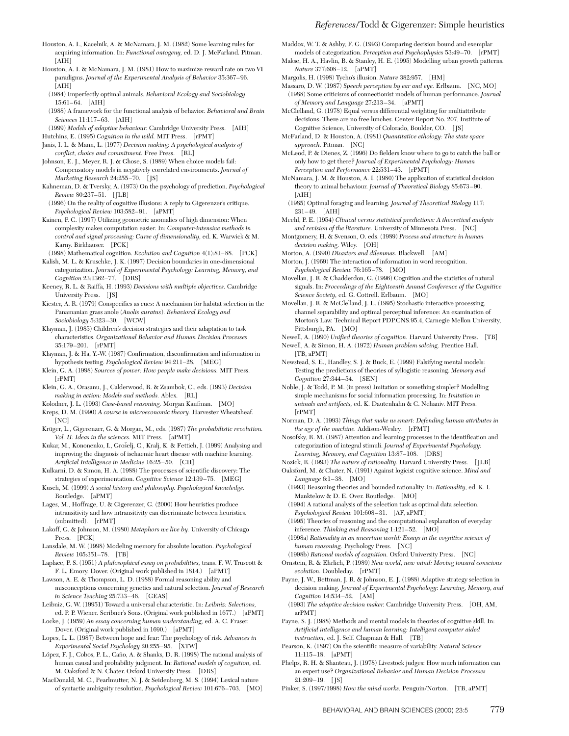- Houston, A. I., Kacelnik, A. & McNamara, J. M. (1982) Some learning rules for acquiring information. In: *Functional ontogeny,* ed. D. J. McFarland. Pitman. [AIH]
- Houston, A. I. & McNamara, J. M. (1981) How to maximize reward rate on two VI paradigms. *Journal of the Experimental Analysis of Behavior* 35:367–96. [AIH]
- (1984) Imperfectly optimal animals. *Behavioral Ecology and Sociobiology* 15:61–64. [AIH]
- (1988) A framework for the functional analysis of behavior. *Behavioral and Brain Sciences* 11:117–63. [AIH]
- (1999) *Models of adaptive behaviour.* Cambridge University Press. [AIH] Hutchins, E. (1995) *Cognition in the wild.* MIT Press. [rPMT]
- Janis, I. L. & Mann, L. (1977) *Decision making: A psychological analysis of conflict, choice and commitment.* Free Press. [RL]
- Johnson, E. J., Meyer, R. J. & Ghose, S. (1989) When choice models fail: Compensatory models in negatively correlated environments. *Journal of Marketing Research* 24:255–70. [JS]
- Kahneman, D. & Tversky, A. (1973) On the psychology of prediction. *Psychological Review* 80:237–51. [JLB]
- (1996) On the reality of cognitive illusions: A reply to Gigerenzer's critique. *Psychological Review* 103:582–91. [aPMT]
- Kainen, P. C. (1997) Utilizing geometric anomalies of high dimension: When complexity makes computation easier. In: *Computer-intensive methods in control and signal processing: Curse of dimensionality,* ed. K. Warwick & M. Karny. Birkhauser. [PCK]
- (1998) Mathematical cognition. *Evolution and Cognition* 4(1):81–88. [PCK]
- Kalish, M. L. & Kruschke, J. K. (1997) Decision boundaries in one-dimensional categorization. *Journal of Experimental Psychology: Learning, Memory, and Cognition* 23:1362–77. [DRS]
- Keeney, R. L. & Raiffa, H. (1993) *Decisions with multiple objectives.* Cambridge University Press. [JS]
- Kiester, A. R. (1979) Conspecifics as cues: A mechanism for habitat selection in the Panamanian grass anole (*Anolis auratus*). *Behavioral Ecology and Sociobiology* 5:323–30. [WCW]
- Klayman, J. (1985) Children's decision strategies and their adaptation to task characteristics. *Organizational Behavior and Human Decision Processes* 35:179–201. [rPMT]
- Klayman, J. & Ha, Y.-W. (1987) Confirmation, disconfirmation and information in hypothesis testing. *Psychological Review* 94:211–28. [MEG]
- Klein, G. A. (1998) *Sources of power: How people make decisions.* MIT Press. [rPMT]
- Klein, G. A., Orasanu, J., Calderwood, R. & Zsambok, C., eds. (1993) *Decision making in action: Models and methods.* Ablex. [RL]
- Kolodner, J. L. (1993) *Case-based reasoning.* Morgan Kaufman. [MO]
- Kreps, D. M. (1990) *A course in microeconomic theory.* Harvester Wheatsheaf. [NC]
- Krüger, L., Gigerenzer, G. & Morgan, M., eds. (1987) *The probabilistic revolution. Vol. II: Ideas in the sciences.* MIT Press. [aPMT]
- Kukar, M., Kononenko, I., Grošelj, C., Kralj, K. & Fettich, J. (1999) Analysing and improving the diagnosis of ischaemic heart disease with machine learning. *Artificial Intelligence in Medicine* 16:25–50. [CH]
- Kulkarni, D. & Simon, H. A. (1988) The processes of scientific discovery: The strategies of experimentation. *Cognitive Science* 12:139–75. [MEG]
- Kusch, M. (1999) *A social history and philosophy. Psychological knowledge.* Routledge. [aPMT]
- Lages, M., Hoffrage, U. & Gigerenzer, G. (2000) How heuristics produce intransitivity and how intransitivity can discriminate between heuristics. (submitted). [rPMT]
- Lakoff, G. & Johnson, M. (1980) *Metaphors we live by.* University of Chicago Press. [PCK]
- Lansdale, M. W. (1998) Modeling memory for absolute location. *Psychological Review* 105:351–78. [TB]
- Laplace, P. S. (1951) *A philosophical essay on probabilities,* trans. F. W. Truscott & F. L. Emory. Dover. (Original work published in 1814.) [aPMT]
- Lawson, A. E. & Thompson, L. D. (1988) Formal reasoning ability and misconceptions concerning genetics and natural selection. *Journal of Research in Science Teaching* 25:733–46. [GEAS]
- Leibniz, G. W. (19951) Toward a universal characteristic. In: *Leibniz: Selections,* ed. P. P. Wiener. Scribner's Sons. (Original work published in 1677.) [aPMT]
- Locke, J. (1959) *An essay concerning human understanding,* ed. A. C. Fraser. Dover. (Original work published in 1690.) [aPMT]
- Lopes, L. L. (1987) Between hope and fear: The psychology of risk. *Advances in Experimental Social Psychology* 20:255–95. [XTW]
- López, F. J., Cobos, P. L., Caño, A. & Shanks, D. R. (1998) The rational analysis of human causal and probability judgment. In: *Rational models of cognition,* ed. M. Oaksford & N. Chater. Oxford University Press. [DRS]
- MacDonald, M. C., Pearlmutter, N. J. & Seidenberg, M. S. (1994) Lexical nature of syntactic ambiguity resolution. *Psychological Review* 101:676–703. [MO]

Maddox, W. T. & Ashby, F. G. (1993) Comparing decision bound and exemplar models of categorization. *Perception and Psychophysics* 53:49–70. [rPMT]

- Makse, H. A., Havlin, B. & Stanley, H. E. (1995) Modelling urban growth patterns. *Nature* 377:608–12. [aPMT]
- Margolis, H. (1998) Tycho's illusion. *Nature* 382:957. [HM]
- Massaro, D. W. (1987) *Speech perception by ear and eye.* Erlbaum. [NC, MO]
- (1988) Some criticisms of connectionist models of human performance. *Journal of Memory and Language* 27:213–34. [aPMT]
- McClelland, G. (1978) Equal versus differential weighting for multiattribute decisions: There are no free lunches. Center Report No. 207, Institute of Cognitive Science, University of Colorado, Boulder, CO. [JS]
- McFarland, D. & Houston, A. (1981) *Quantitative ethology: The state space approach.* Pitman. [NC]
- McLeod, P. & Dienes, Z. (1996) Do fielders know where to go to catch the ball or only how to get there? *Journal of Experimental Psychology: Human Perception and Performance* 22:531–43. [rPMT]
- McNamara, J. M. & Houston, A. I. (1980) The application of statistical decision theory to animal behaviour. *Journal of Theoretical Biology* 85:673–90. [AIH]
- (1985) Optimal foraging and learning. *Journal of Theoretical Biology* 117: 231–49. [AIH]
- Meehl, P. E. (1954) *Clinical versus statistical predictions: A theoretical analysis and revision of the literature.* University of Minnesota Press. [NC]
- Montgomery, H. & Svenson, O. eds. (1989) *Process and structure in human decision making.* Wiley. [OH]
- Morton, A. (1990) *Disasters and dilemmas.* Blackwell. [AM]
- Morton, J. (1969) The interaction of information in word recognition. *Psychological Review* 76:165–78. [MO]
- Movellan, J. R. & Chadderdon, G. (1996) Cognition and the statistics of natural signals. In: *Proceedings of the Eighteenth Annual Conference of the Cognitive Science Society,* ed. G. Cottrell. Erlbaum. [MO]
- Movellan, J. R. & McClelland, J. L. (1995) Stochastic interactive processing, channel separability and optimal perceptual inference: An examination of Morton's Law. Technical Report PDP.CNS.95.4, Carnegie Mellon University, Pittsburgh, PA. [MO]
- Newell, A. (1990) *Unified theories of cognition.* Harvard University Press. [TB]
- Newell, A. & Simon, H. A. (1972) *Human problem solving.* Prentice Hall.
- $|TB, aPMT|$ Newstead, S. E., Handley, S. J. & Buck, E. (1999) Falsifying mental models: Testing the predictions of theories of syllogistic reasoning. *Memory and Cognition* 27:344–54. [SEN]
- Noble, J. & Todd, P. M. (in press) Imitation or something simpler? Modelling simple mechanisms for social information processing. In: *Imitation in animals and artifacts,* ed. K. Dautenhahn & C. Nehaniv. MIT Press. [rPMT]
- Norman, D. A. (1993) *Things that make us smart: Defending human attributes in the age of the machine.* Addison-Wesley. [rPMT]
- Nosofsky, R. M. (1987) Attention and learning processes in the identification and categorization of integral stimuli. *Journal of Experimental Psychology: Learning, Memory, and Cognition* 13:87–108. [DRS]
- Nozick, R. (1993) *The nature of rationality.* Harvard University Press. [JLB]
- Oaksford, M. & Chater, N. (1991) Against logicist cognitive science. *Mind and Language* 6:1–38. [MO]
- (1993) Reasoning theories and bounded rationality. In: *Rationality,* ed. K. I. Manktelow & D. E. Over. Routledge. [MO]
- (1994) A rational analysis of the selection task as optimal data selection. *Psychological Review* 101:608–31. [AF, aPMT]
- (1995) Theories of reasoning and the computational explanation of everyday inference. *Thinking and Reasoning* 1:121–52. [MO]
- (1998a) *Rationality in an uncertain world: Essays in the cognitive science of human reasoning.* Psychology Press. [NC]
- (1998b) *Rational models of cognition.* Oxford University Press. [NC] Ornstein, R. & Ehrlich, P. (1989) *New world, new mind: Moving toward conscious*
- *evolution.* Doubleday. [rPMT] Payne, J. W., Bettman, J. R. & Johnson, E. J. (1988) Adaptive strategy selection in decision making. *Journal of Experimental Psychology: Learning, Memory, and Cognition* 14:534–52. [AM]
- (1993) *The adaptive decision maker.* Cambridge University Press. [OH, AM, arPMT]
- Payne, S. J. (1988) Methods and mental models in theories of cognitive skill. In: *Artificial intelligence and human learning: Intelligent computer aided instruction,* ed. J. Self. Chapman & Hall. [TB]
- Pearson, K. (1897) On the scientific measure of variability. *Natural Science* 11:115–18. [aPMT]
- Phelps, R. H. & Shanteau, J. (1978) Livestock judges: How much information can an expert use? *Organizational Behavior and Human Decision Processes* 21:209–19. [JS]
- Pinker, S. (1997/1998) *How the mind works.* Penguin/Norton. [TB, aPMT]